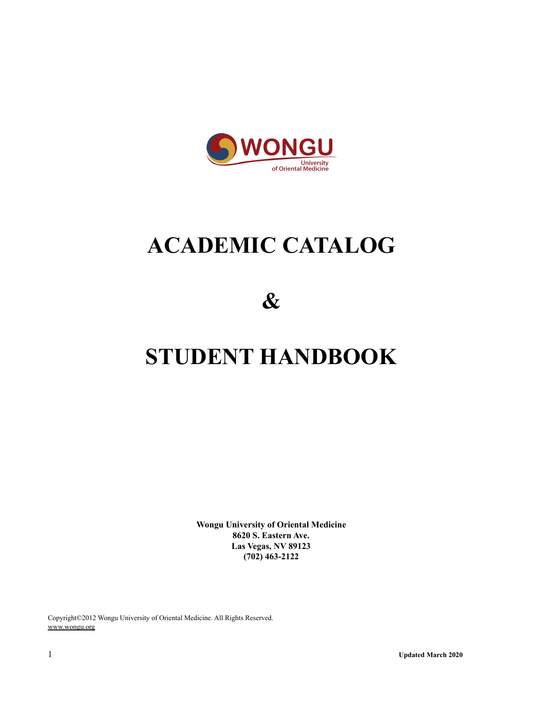

# **ACADEMIC CATALOG**

**&**

# **STUDENT HANDBOOK**

**Wongu University of Oriental Medicine 8620 S. Eastern Ave. Las Vegas, NV 89123 (702) 463-2122**

Copyright©2012 Wongu University of Oriental Medicine. All Rights Reserved. www.wongu.org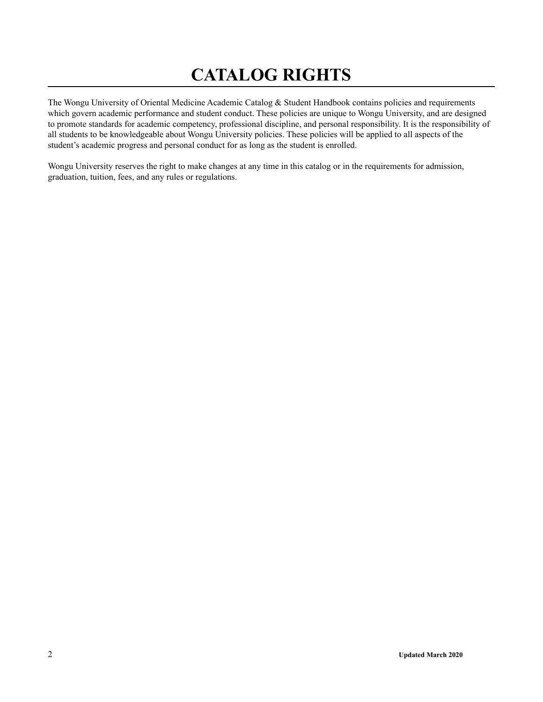# **CATALOG RIGHTS**

The Wongu University of Oriental Medicine Academic Catalog & Student Handbook contains policies and requirements which govern academic performance and student conduct. These policies are unique to Wongu University, and are designed to promote standards for academic competency, professional discipline, and personal responsibility. It is the responsibility of all students to be knowledgeable about Wongu University policies. These policies will be applied to all aspects of the student's academic progress and personal conduct for as long as the student is enrolled.

Wongu University reserves the right to make changes at any time in this catalog or in the requirements for admission, graduation, tuition, fees, and any rules or regulations.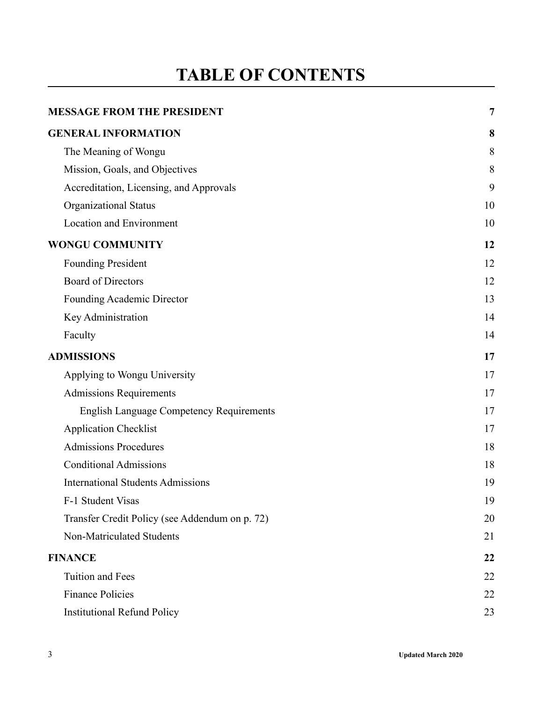# **TABLE OF CONTENTS**

| <b>MESSAGE FROM THE PRESIDENT</b>               | 7  |
|-------------------------------------------------|----|
| <b>GENERAL INFORMATION</b>                      | 8  |
| The Meaning of Wongu                            | 8  |
| Mission, Goals, and Objectives                  | 8  |
| Accreditation, Licensing, and Approvals         | 9  |
| Organizational Status                           | 10 |
| Location and Environment                        | 10 |
| <b>WONGU COMMUNITY</b>                          | 12 |
| <b>Founding President</b>                       | 12 |
| <b>Board of Directors</b>                       | 12 |
| Founding Academic Director                      | 13 |
| Key Administration                              | 14 |
| Faculty                                         | 14 |
| <b>ADMISSIONS</b>                               | 17 |
| Applying to Wongu University                    | 17 |
| <b>Admissions Requirements</b>                  | 17 |
| <b>English Language Competency Requirements</b> | 17 |
| <b>Application Checklist</b>                    | 17 |
| <b>Admissions Procedures</b>                    | 18 |
| <b>Conditional Admissions</b>                   | 18 |
| <b>International Students Admissions</b>        | 19 |
| F-1 Student Visas                               | 19 |
| Transfer Credit Policy (see Addendum on p. 72)  | 20 |
| Non-Matriculated Students                       | 21 |
| <b>FINANCE</b>                                  | 22 |
| <b>Tuition and Fees</b>                         | 22 |
| <b>Finance Policies</b>                         | 22 |
| <b>Institutional Refund Policy</b>              | 23 |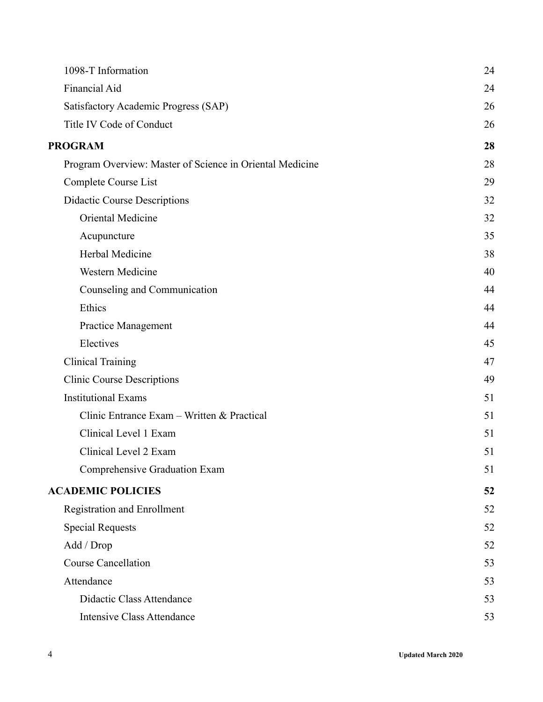| 1098-T Information                                       | 24 |
|----------------------------------------------------------|----|
| <b>Financial Aid</b>                                     | 24 |
| Satisfactory Academic Progress (SAP)                     | 26 |
| Title IV Code of Conduct                                 | 26 |
| <b>PROGRAM</b>                                           | 28 |
| Program Overview: Master of Science in Oriental Medicine | 28 |
| Complete Course List                                     | 29 |
| <b>Didactic Course Descriptions</b>                      | 32 |
| Oriental Medicine                                        | 32 |
| Acupuncture                                              | 35 |
| Herbal Medicine                                          | 38 |
| Western Medicine                                         | 40 |
| Counseling and Communication                             | 44 |
| Ethics                                                   | 44 |
| <b>Practice Management</b>                               | 44 |
| Electives                                                | 45 |
| <b>Clinical Training</b>                                 | 47 |
| <b>Clinic Course Descriptions</b>                        | 49 |
| <b>Institutional Exams</b>                               | 51 |
| Clinic Entrance Exam – Written & Practical               | 51 |
| Clinical Level 1 Exam                                    | 51 |
| Clinical Level 2 Exam                                    | 51 |
| Comprehensive Graduation Exam                            | 51 |
| <b>ACADEMIC POLICIES</b>                                 | 52 |
| <b>Registration and Enrollment</b>                       | 52 |
| <b>Special Requests</b>                                  | 52 |
| Add / Drop                                               | 52 |
| <b>Course Cancellation</b>                               | 53 |
| Attendance                                               | 53 |
| Didactic Class Attendance                                | 53 |
| <b>Intensive Class Attendance</b>                        | 53 |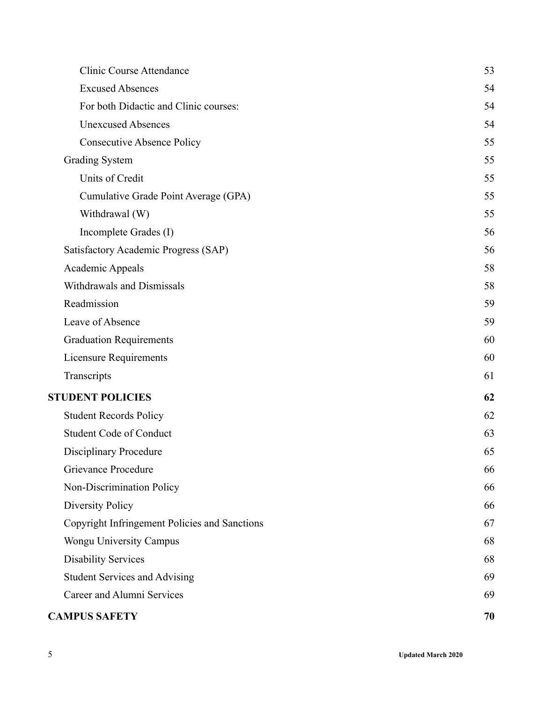| <b>CAMPUS SAFETY</b>                          | 70 |
|-----------------------------------------------|----|
| Career and Alumni Services                    | 69 |
| <b>Student Services and Advising</b>          | 69 |
| <b>Disability Services</b>                    | 68 |
| Wongu University Campus                       | 68 |
| Copyright Infringement Policies and Sanctions | 67 |
| <b>Diversity Policy</b>                       | 66 |
| Non-Discrimination Policy                     | 66 |
| Grievance Procedure                           | 66 |
| <b>Disciplinary Procedure</b>                 | 65 |
| <b>Student Code of Conduct</b>                | 63 |
| <b>Student Records Policy</b>                 | 62 |
| <b>STUDENT POLICIES</b>                       | 62 |
| Transcripts                                   | 61 |
| Licensure Requirements                        | 60 |
| <b>Graduation Requirements</b>                | 60 |
| Leave of Absence                              | 59 |
| Readmission                                   | 59 |
| Withdrawals and Dismissals                    | 58 |
| Academic Appeals                              | 58 |
| Satisfactory Academic Progress (SAP)          | 56 |
| Incomplete Grades (I)                         | 56 |
| Withdrawal (W)                                | 55 |
| Cumulative Grade Point Average (GPA)          | 55 |
| Units of Credit                               | 55 |
| <b>Grading System</b>                         | 55 |
| <b>Consecutive Absence Policy</b>             | 55 |
| <b>Unexcused Absences</b>                     | 54 |
| For both Didactic and Clinic courses:         | 54 |
| <b>Excused Absences</b>                       | 54 |
| Clinic Course Attendance                      | 53 |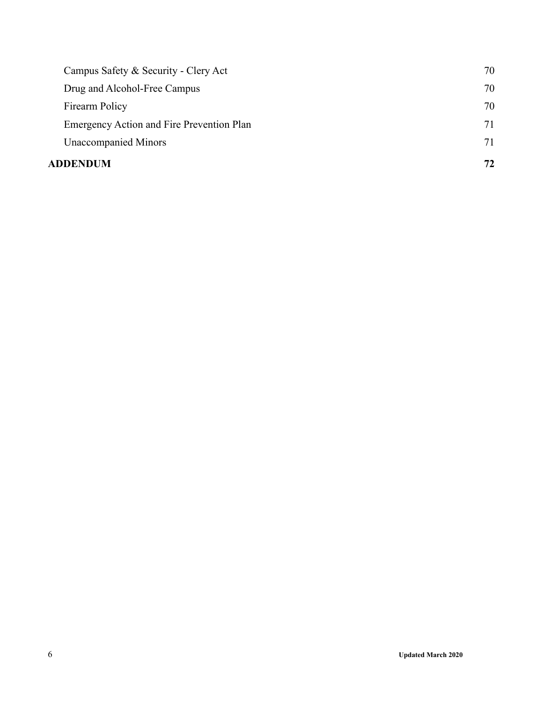| ADDENDUM                                         | 72 |
|--------------------------------------------------|----|
| <b>Unaccompanied Minors</b>                      | 71 |
| <b>Emergency Action and Fire Prevention Plan</b> | 71 |
| Firearm Policy                                   | 70 |
| Drug and Alcohol-Free Campus                     | 70 |
| Campus Safety & Security - Clery Act             | 70 |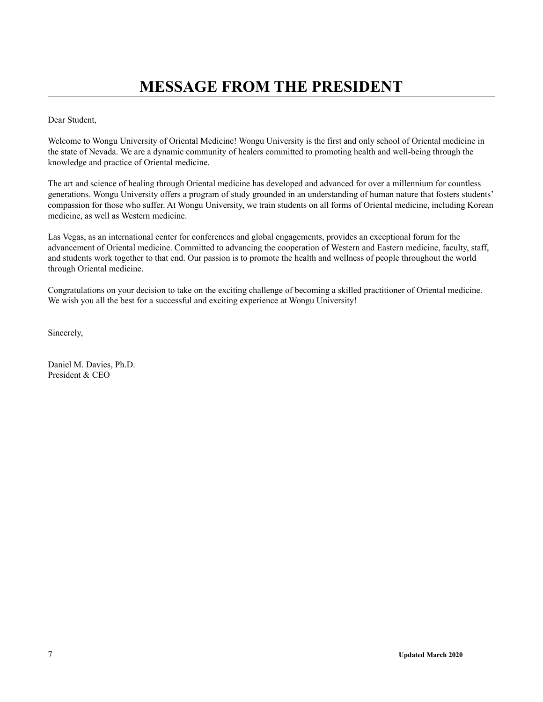<span id="page-6-0"></span>Dear Student,

Welcome to Wongu University of Oriental Medicine! Wongu University is the first and only school of Oriental medicine in the state of Nevada. We are a dynamic community of healers committed to promoting health and well-being through the knowledge and practice of Oriental medicine.

The art and science of healing through Oriental medicine has developed and advanced for over a millennium for countless generations. Wongu University offers a program of study grounded in an understanding of human nature that fosters students' compassion for those who suffer. At Wongu University, we train students on all forms of Oriental medicine, including Korean medicine, as well as Western medicine.

Las Vegas, as an international center for conferences and global engagements, provides an exceptional forum for the advancement of Oriental medicine. Committed to advancing the cooperation of Western and Eastern medicine, faculty, staff, and students work together to that end. Our passion is to promote the health and wellness of people throughout the world through Oriental medicine.

Congratulations on your decision to take on the exciting challenge of becoming a skilled practitioner of Oriental medicine. We wish you all the best for a successful and exciting experience at Wongu University!

Sincerely,

Daniel M. Davies, Ph.D. President & CEO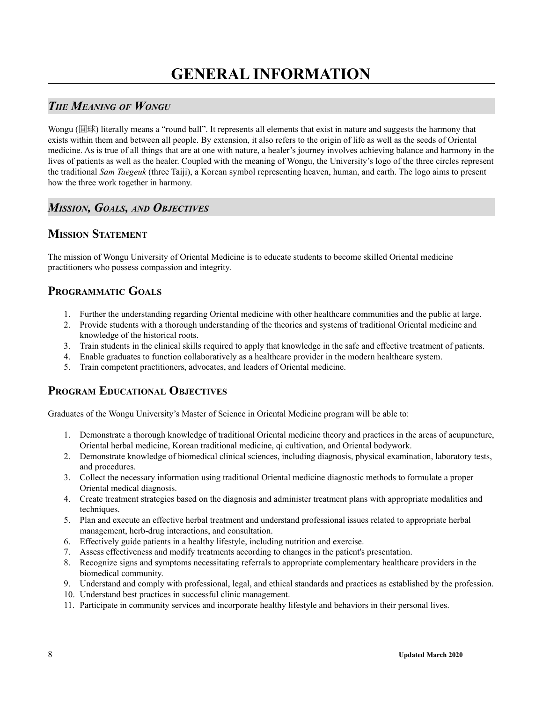### <span id="page-7-1"></span><span id="page-7-0"></span>*THE MEANING OF WONGU*

Wongu (圓球) literally means a "round ball". It represents all elements that exist in nature and suggests the harmony that exists within them and between all people. By extension, it also refers to the origin of life as well as the seeds of Oriental medicine. As is true of all things that are at one with nature, a healer's journey involves achieving balance and harmony in the lives of patients as well as the healer. Coupled with the meaning of Wongu, the University's logo of the three circles represent the traditional *Sam Taegeuk* (three Taiji), a Korean symbol representing heaven, human, and earth. The logo aims to present how the three work together in harmony.

### <span id="page-7-2"></span>*MISSION, GOALS, AND OBJECTIVES*

### **MISSION STATEMENT**

The mission of Wongu University of Oriental Medicine is to educate students to become skilled Oriental medicine practitioners who possess compassion and integrity.

### **PROGRAMMATIC GOALS**

- 1. Further the understanding regarding Oriental medicine with other healthcare communities and the public at large.
- 2. Provide students with a thorough understanding of the theories and systems of traditional Oriental medicine and knowledge of the historical roots.
- 3. Train students in the clinical skills required to apply that knowledge in the safe and effective treatment of patients.
- 4. Enable graduates to function collaboratively as a healthcare provider in the modern healthcare system.
- 5. Train competent practitioners, advocates, and leaders of Oriental medicine.

### **PROGRAM EDUCATIONAL OBJECTIVES**

Graduates of the Wongu University's Master of Science in Oriental Medicine program will be able to:

- 1. Demonstrate a thorough knowledge of traditional Oriental medicine theory and practices in the areas of acupuncture, Oriental herbal medicine, Korean traditional medicine, qi cultivation, and Oriental bodywork.
- 2. Demonstrate knowledge of biomedical clinical sciences, including diagnosis, physical examination, laboratory tests, and procedures.
- 3. Collect the necessary information using traditional Oriental medicine diagnostic methods to formulate a proper Oriental medical diagnosis.
- 4. Create treatment strategies based on the diagnosis and administer treatment plans with appropriate modalities and techniques.
- 5. Plan and execute an effective herbal treatment and understand professional issues related to appropriate herbal management, herb-drug interactions, and consultation.
- 6. Effectively guide patients in a healthy lifestyle, including nutrition and exercise.
- 7. Assess effectiveness and modify treatments according to changes in the patient's presentation.
- 8. Recognize signs and symptoms necessitating referrals to appropriate complementary healthcare providers in the biomedical community.
- 9. Understand and comply with professional, legal, and ethical standards and practices as established by the profession.
- 10. Understand best practices in successful clinic management.
- 11. Participate in community services and incorporate healthy lifestyle and behaviors in their personal lives.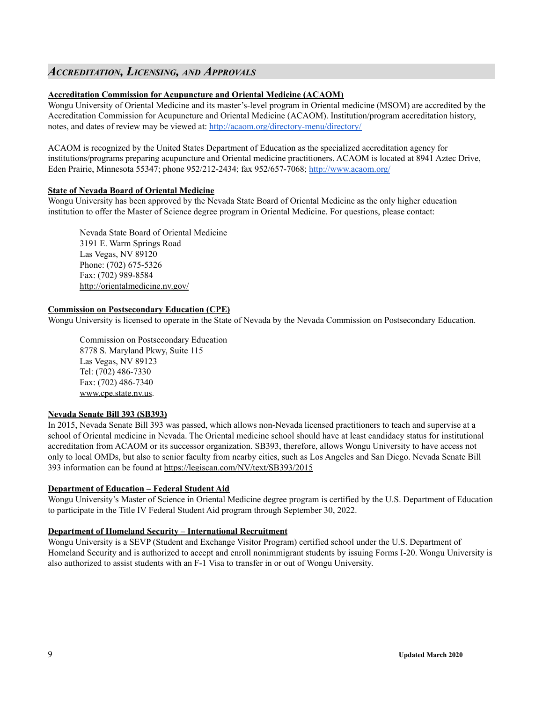### <span id="page-8-0"></span>*ACCREDITATION, LICENSING, AND APPROVALS*

### **Accreditation Commission for Acupuncture and Oriental Medicine (ACAOM)**

Wongu University of Oriental Medicine and its master's-level program in Oriental medicine (MSOM) are accredited by the Accreditation Commission for Acupuncture and Oriental Medicine (ACAOM). Institution/program accreditation history, notes, and dates of review may be viewed at: <http://acaom.org/directory-menu/directory/>

ACAOM is recognized by the United States Department of Education as the specialized accreditation agency for institutions/programs preparing acupuncture and Oriental medicine practitioners. ACAOM is located at 8941 Aztec Drive, Eden Prairie, Minnesota 55347; phone 952/212-2434; fax 952/657-7068; <http://www.acaom.org/>

### **State of Nevada Board of Oriental Medicine**

Wongu University has been approved by the Nevada State Board of Oriental Medicine as the only higher education institution to offer the Master of Science degree program in Oriental Medicine. For questions, please contact:

Nevada State Board of Oriental Medicine 3191 E. Warm Springs Road Las Vegas, NV 89120 Phone: (702) 675-5326 Fax: (702) 989-8584 http://orientalmedicine.nv.gov/

### **Commission on Postsecondary Education (CPE)**

Wongu University is licensed to operate in the State of Nevada by the Nevada Commission on Postsecondary Education.

Commission on Postsecondary Education 8778 S. Maryland Pkwy, Suite 115 Las Vegas, NV 89123 Tel: (702) 486-7330 Fax: (702) 486-7340 www.cpe.state.nv.us.

### **Nevada Senate Bill 393 (SB393)**

In 2015, Nevada Senate Bill 393 was passed, which allows non-Nevada licensed practitioners to teach and supervise at a school of Oriental medicine in Nevada. The Oriental medicine school should have at least candidacy status for institutional accreditation from ACAOM or its successor organization. SB393, therefore, allows Wongu University to have access not only to local OMDs, but also to senior faculty from nearby cities, such as Los Angeles and San Diego. Nevada Senate Bill 393 information can be found at <https://legiscan.com/NV/text/SB393/2015>

### **Department of Education – Federal Student Aid**

Wongu University's Master of Science in Oriental Medicine degree program is certified by the U.S. Department of Education to participate in the Title IV Federal Student Aid program through September 30, 2022.

### **Department of Homeland Security – International Recruitment**

Wongu University is a SEVP (Student and Exchange Visitor Program) certified school under the U.S. Department of Homeland Security and is authorized to accept and enroll nonimmigrant students by issuing Forms I-20. Wongu University is also authorized to assist students with an F-1 Visa to transfer in or out of Wongu University.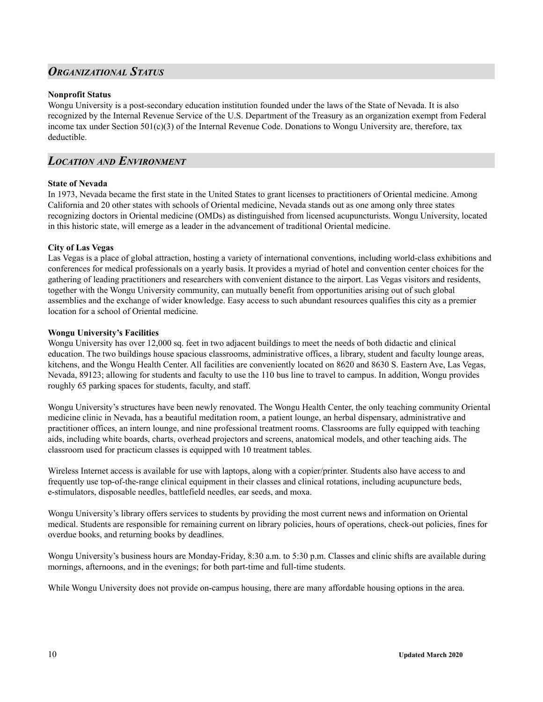### <span id="page-9-0"></span>*ORGANIZATIONAL STATUS*

### **Nonprofit Status**

Wongu University is a post-secondary education institution founded under the laws of the State of Nevada. It is also recognized by the Internal Revenue Service of the U.S. Department of the Treasury as an organization exempt from Federal income tax under Section 501(c)(3) of the Internal Revenue Code. Donations to Wongu University are, therefore, tax deductible.

### <span id="page-9-1"></span>*LOCATION AND ENVIRONMENT*

### **State of Nevada**

In 1973, Nevada became the first state in the United States to grant licenses to practitioners of Oriental medicine. Among California and 20 other states with schools of Oriental medicine, Nevada stands out as one among only three states recognizing doctors in Oriental medicine (OMDs) as distinguished from licensed acupuncturists. Wongu University, located in this historic state, will emerge as a leader in the advancement of traditional Oriental medicine.

### **City of Las Vegas**

Las Vegas is a place of global attraction, hosting a variety of international conventions, including world-class exhibitions and conferences for medical professionals on a yearly basis. It provides a myriad of hotel and convention center choices for the gathering of leading practitioners and researchers with convenient distance to the airport. Las Vegas visitors and residents, together with the Wongu University community, can mutually benefit from opportunities arising out of such global assemblies and the exchange of wider knowledge. Easy access to such abundant resources qualifies this city as a premier location for a school of Oriental medicine.

### **Wongu University's Facilities**

Wongu University has over 12,000 sq. feet in two adjacent buildings to meet the needs of both didactic and clinical education. The two buildings house spacious classrooms, administrative offices, a library, student and faculty lounge areas, kitchens, and the Wongu Health Center. All facilities are conveniently located on 8620 and 8630 S. Eastern Ave, Las Vegas, Nevada, 89123; allowing for students and faculty to use the 110 bus line to travel to campus. In addition, Wongu provides roughly 65 parking spaces for students, faculty, and staff.

Wongu University's structures have been newly renovated. The Wongu Health Center, the only teaching community Oriental medicine clinic in Nevada, has a beautiful meditation room, a patient lounge, an herbal dispensary, administrative and practitioner offices, an intern lounge, and nine professional treatment rooms. Classrooms are fully equipped with teaching aids, including white boards, charts, overhead projectors and screens, anatomical models, and other teaching aids. The classroom used for practicum classes is equipped with 10 treatment tables.

Wireless Internet access is available for use with laptops, along with a copier/printer. Students also have access to and frequently use top-of-the-range clinical equipment in their classes and clinical rotations, including acupuncture beds, e-stimulators, disposable needles, battlefield needles, ear seeds, and moxa.

Wongu University's library offers services to students by providing the most current news and information on Oriental medical. Students are responsible for remaining current on library policies, hours of operations, check-out policies, fines for overdue books, and returning books by deadlines.

Wongu University's business hours are Monday-Friday, 8:30 a.m. to 5:30 p.m. Classes and clinic shifts are available during mornings, afternoons, and in the evenings; for both part-time and full-time students.

While Wongu University does not provide on-campus housing, there are many affordable housing options in the area.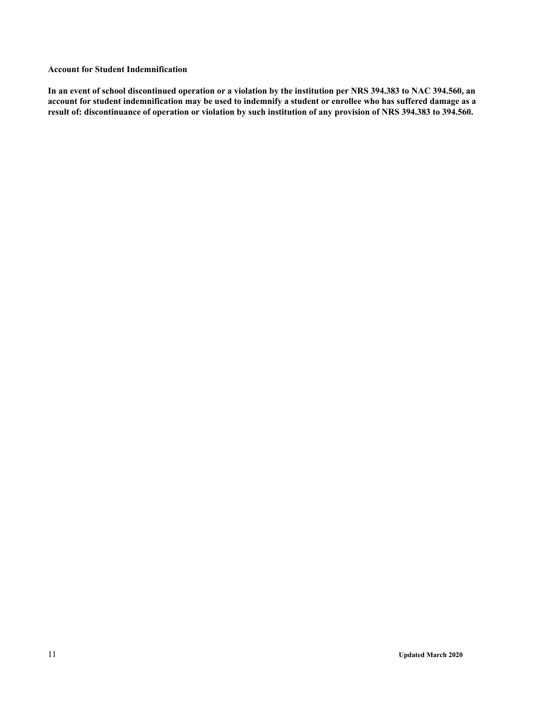### **Account for Student Indemnification**

In an event of school discontinued operation or a violation by the institution per NRS 394.383 to NAC 394.560, an account for student indemnification may be used to indemnify a student or enrollee who has suffered damage as a result of: discontinuance of operation or violation by such institution of any provision of NRS 394.383 to 394.560.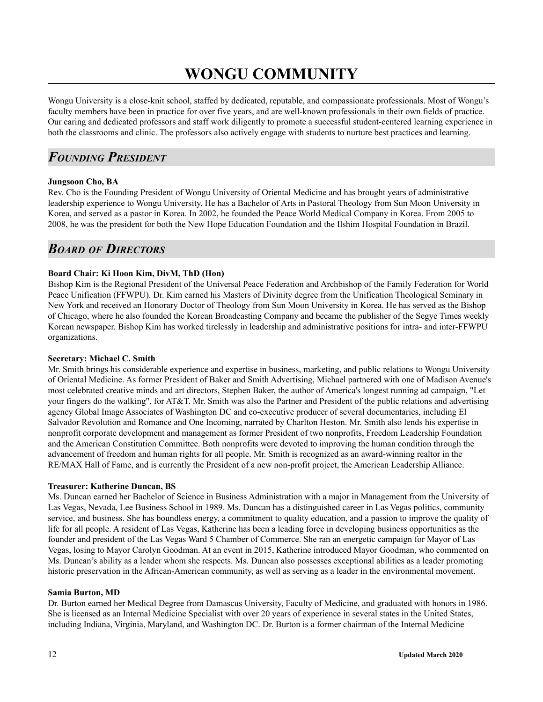# **WONGU COMMUNITY**

<span id="page-11-0"></span>Wongu University is a close-knit school, staffed by dedicated, reputable, and compassionate professionals. Most of Wongu's faculty members have been in practice for over five years, and are well-known professionals in their own fields of practice. Our caring and dedicated professors and staff work diligently to promote a successful student-centered learning experience in both the classrooms and clinic. The professors also actively engage with students to nurture best practices and learning.

## <span id="page-11-1"></span>*FOUNDING PRESIDENT*

### **Jungsoon Cho, BA**

Rev. Cho is the Founding President of Wongu University of Oriental Medicine and has brought years of administrative leadership experience to Wongu University. He has a Bachelor of Arts in Pastoral Theology from Sun Moon University in Korea, and served as a pastor in Korea. In 2002, he founded the Peace World Medical Company in Korea. From 2005 to 2008, he was the president for both the New Hope Education Foundation and the Ilshim Hospital Foundation in Brazil.

### <span id="page-11-2"></span>*BOARD OF DIRECTORS*

### **Board Chair: Ki Hoon Kim, DivM, ThD (Hon)**

Bishop Kim is the Regional President of the Universal Peace Federation and Archbishop of the Family Federation for World Peace Unification (FFWPU). Dr. Kim earned his Masters of Divinity degree from the Unification Theological Seminary in New York and received an Honorary Doctor of Theology from Sun Moon University in Korea. He has served as the Bishop of Chicago, where he also founded the Korean Broadcasting Company and became the publisher of the Segye Times weekly Korean newspaper. Bishop Kim has worked tirelessly in leadership and administrative positions for intra- and inter-FFWPU organizations.

### **Secretary: Michael C. Smith**

Mr. Smith brings his considerable experience and expertise in business, marketing, and public relations to Wongu University of Oriental Medicine. As former President of Baker and Smith Advertising, Michael partnered with one of Madison Avenue's most celebrated creative minds and art directors, Stephen Baker, the author of America's longest running ad campaign, "Let your fingers do the walking", for AT&T. Mr. Smith was also the Partner and President of the public relations and advertising agency Global Image Associates of Washington DC and co-executive producer of several documentaries, including El Salvador Revolution and Romance and One Incoming, narrated by Charlton Heston. Mr. Smith also lends his expertise in nonprofit corporate development and management as former President of two nonprofits, Freedom Leadership Foundation and the American Constitution Committee. Both nonprofits were devoted to improving the human condition through the advancement of freedom and human rights for all people. Mr. Smith is recognized as an award-winning realtor in the RE/MAX Hall of Fame, and is currently the President of a new non-profit project, the American Leadership Alliance.

### **Treasurer: Katherine Duncan, BS**

Ms. Duncan earned her Bachelor of Science in Business Administration with a major in Management from the University of Las Vegas, Nevada, Lee Business School in 1989. Ms. Duncan has a distinguished career in Las Vegas politics, community service, and business. She has boundless energy, a commitment to quality education, and a passion to improve the quality of life for all people. A resident of Las Vegas, Katherine has been a leading force in developing business opportunities as the founder and president of the Las Vegas Ward 5 Chamber of Commerce. She ran an energetic campaign for Mayor of Las Vegas, losing to Mayor Carolyn Goodman. At an event in 2015, Katherine introduced Mayor Goodman, who commented on Ms. Duncan's ability as a leader whom she respects. Ms. Duncan also possesses exceptional abilities as a leader promoting historic preservation in the African-American community, as well as serving as a leader in the environmental movement.

### **Samia Burton, MD**

Dr. Burton earned her Medical Degree from Damascus University, Faculty of Medicine, and graduated with honors in 1986. She is licensed as an Internal Medicine Specialist with over 20 years of experience in several states in the United States, including Indiana, Virginia, Maryland, and Washington DC. Dr. Burton is a former chairman of the Internal Medicine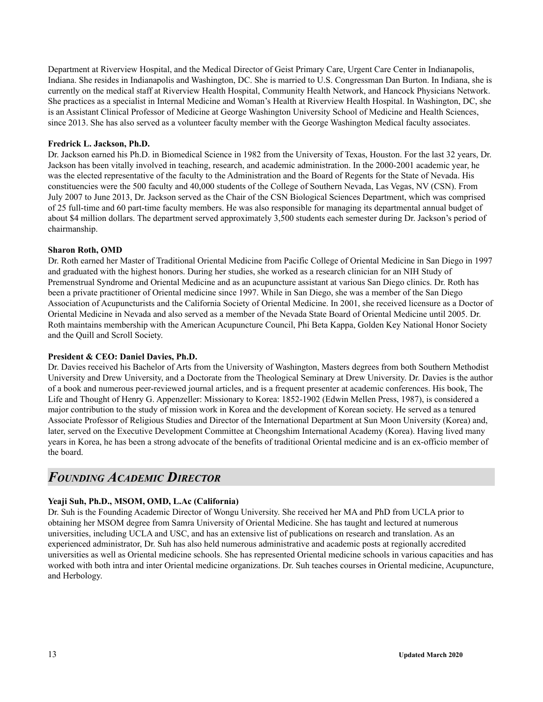Department at Riverview Hospital, and the Medical Director of Geist Primary Care, Urgent Care Center in Indianapolis, Indiana. She resides in Indianapolis and Washington, DC. She is married to U.S. Congressman Dan Burton. In Indiana, she is currently on the medical staff at Riverview Health Hospital, Community Health Network, and Hancock Physicians Network. She practices as a specialist in Internal Medicine and Woman's Health at Riverview Health Hospital. In Washington, DC, she is an Assistant Clinical Professor of Medicine at George Washington University School of Medicine and Health Sciences, since 2013. She has also served as a volunteer faculty member with the George Washington Medical faculty associates.

### **Fredrick L. Jackson, Ph.D.**

Dr. Jackson earned his Ph.D. in Biomedical Science in 1982 from the University of Texas, Houston. For the last 32 years, Dr. Jackson has been vitally involved in teaching, research, and academic administration. In the 2000-2001 academic year, he was the elected representative of the faculty to the Administration and the Board of Regents for the State of Nevada. His constituencies were the 500 faculty and 40,000 students of the College of Southern Nevada, Las Vegas, NV (CSN). From July 2007 to June 2013, Dr. Jackson served as the Chair of the CSN Biological Sciences Department, which was comprised of 25 full-time and 60 part-time faculty members. He was also responsible for managing its departmental annual budget of about \$4 million dollars. The department served approximately 3,500 students each semester during Dr. Jackson's period of chairmanship.

#### **Sharon Roth, OMD**

Dr. Roth earned her Master of Traditional Oriental Medicine from Pacific College of Oriental Medicine in San Diego in 1997 and graduated with the highest honors. During her studies, she worked as a research clinician for an NIH Study of Premenstrual Syndrome and Oriental Medicine and as an acupuncture assistant at various San Diego clinics. Dr. Roth has been a private practitioner of Oriental medicine since 1997. While in San Diego, she was a member of the San Diego Association of Acupuncturists and the California Society of Oriental Medicine. In 2001, she received licensure as a Doctor of Oriental Medicine in Nevada and also served as a member of the Nevada State Board of Oriental Medicine until 2005. Dr. Roth maintains membership with the American Acupuncture Council, Phi Beta Kappa, Golden Key National Honor Society and the Quill and Scroll Society.

#### **President & CEO: Daniel Davies, Ph.D.**

Dr. Davies received his Bachelor of Arts from the University of Washington, Masters degrees from both Southern Methodist University and Drew University, and a Doctorate from the Theological Seminary at Drew University. Dr. Davies is the author of a book and numerous peer-reviewed journal articles, and is a frequent presenter at academic conferences. His book, The Life and Thought of Henry G. Appenzeller: Missionary to Korea: 1852-1902 (Edwin Mellen Press, 1987), is considered a major contribution to the study of mission work in Korea and the development of Korean society. He served as a tenured Associate Professor of Religious Studies and Director of the International Department at Sun Moon University (Korea) and, later, served on the Executive Development Committee at Cheongshim International Academy (Korea). Having lived many years in Korea, he has been a strong advocate of the benefits of traditional Oriental medicine and is an ex-officio member of the board.

# <span id="page-12-0"></span>*FOUNDING ACADEMIC DIRECTOR*

### **Yeaji Suh, Ph.D., MSOM, OMD, L.Ac (California)**

Dr. Suh is the Founding Academic Director of Wongu University. She received her MA and PhD from UCLA prior to obtaining her MSOM degree from Samra University of Oriental Medicine. She has taught and lectured at numerous universities, including UCLA and USC, and has an extensive list of publications on research and translation. As an experienced administrator, Dr. Suh has also held numerous administrative and academic posts at regionally accredited universities as well as Oriental medicine schools. She has represented Oriental medicine schools in various capacities and has worked with both intra and inter Oriental medicine organizations. Dr. Suh teaches courses in Oriental medicine, Acupuncture, and Herbology.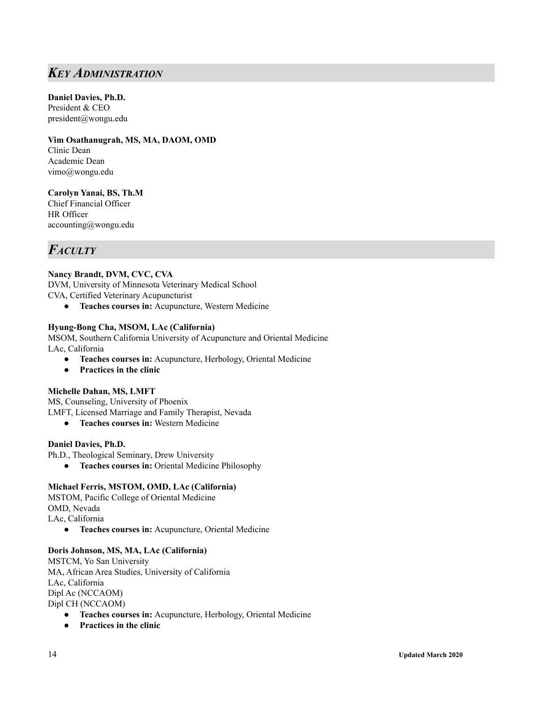## <span id="page-13-0"></span>*KEY ADMINISTRATION*

### **Daniel Davies, Ph.D.**

President & CEO [pr](mailto:president@wongu.org)esident@wongu.edu

**Vim Osathanugrah, MS, MA, DAOM, OMD** Clinic Dean Academic Dean vimo@wongu.edu

**Carolyn Yanai, BS, Th.M** Chief Financial Officer HR Officer accounting@wongu.edu

# <span id="page-13-1"></span>*FACULTY*

### **Nancy Brandt, DVM, CVC, CVA**

DVM, University of Minnesota Veterinary Medical School CVA, Certified Veterinary Acupuncturist

● **Teaches courses in:** Acupuncture, Western Medicine

### **Hyung-Bong Cha, MSOM, LAc (California)**

MSOM, Southern California University of Acupuncture and Oriental Medicine LAc, California

- **● Teaches courses in:** Acupuncture, Herbology, Oriental Medicine
- **Practices in the clinic**

### **Michelle Dahan, MS, LMFT**

MS, Counseling, University of Phoenix LMFT, Licensed Marriage and Family Therapist, Nevada

**● Teaches courses in:** Western Medicine

### **Daniel Davies, Ph.D.**

Ph.D., Theological Seminary, Drew University

**● Teaches courses in:** Oriental Medicine Philosophy

### **Michael Ferris, MSTOM, OMD, LAc (California)**

MSTOM, Pacific College of Oriental Medicine OMD, Nevada LAc, California

● **Teaches courses in:** Acupuncture, Oriental Medicine

### **Doris Johnson, MS, MA, LAc (California)**

MSTCM, Yo San University MA, African Area Studies, University of California LAc, California Dipl Ac (NCCAOM) Dipl CH (NCCAOM)

- **● Teaches courses in:** Acupuncture, Herbology, Oriental Medicine
- **● Practices in the clinic**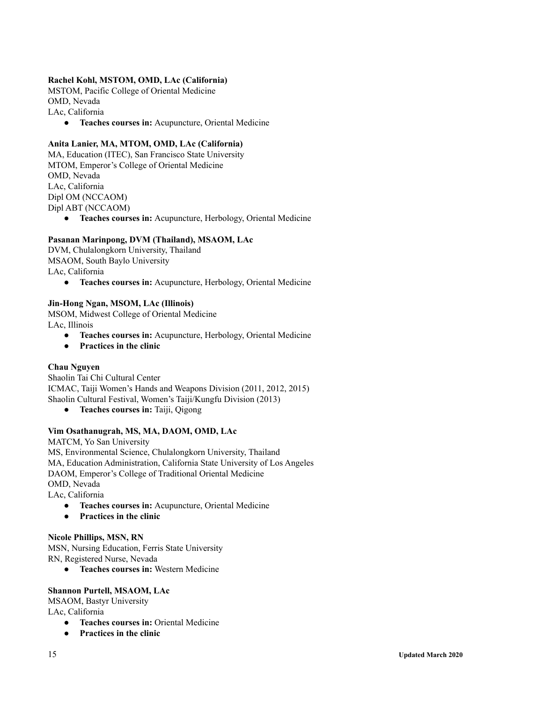### **Rachel Kohl, MSTOM, OMD, LAc (California)**

MSTOM, Pacific College of Oriental Medicine OMD, Nevada LAc, California

**● Teaches courses in:** Acupuncture, Oriental Medicine

### **Anita Lanier, MA, MTOM, OMD, LAc (California)**

MA, Education (ITEC), San Francisco State University MTOM, Emperor's College of Oriental Medicine OMD, Nevada LAc, California Dipl OM (NCCAOM) Dipl ABT (NCCAOM)

**● Teaches courses in:** Acupuncture, Herbology, Oriental Medicine

### **Pasanan Marinpong, DVM (Thailand), MSAOM, LAc**

DVM, Chulalongkorn University, Thailand MSAOM, South Baylo University LAc, California

● **Teaches courses in:** Acupuncture, Herbology, Oriental Medicine

#### **Jin-Hong Ngan, MSOM, LAc (Illinois)**

MSOM, Midwest College of Oriental Medicine LAc, Illinois

- **● Teaches courses in:** Acupuncture, Herbology, Oriental Medicine
- **● Practices in the clinic**

### **Chau Nguyen**

Shaolin Tai Chi Cultural Center ICMAC, Taiji Women's Hands and Weapons Division (2011, 2012, 2015) Shaolin Cultural Festival, Women's Taiji/Kungfu Division (2013)

**● Teaches courses in:** Taiji, Qigong

### **Vim Osathanugrah, MS, MA, DAOM, OMD, LAc**

MATCM, Yo San University MS, Environmental Science, Chulalongkorn University, Thailand MA, Education Administration, California State University of Los Angeles DAOM, Emperor's College of Traditional Oriental Medicine OMD, Nevada LAc, California

- **● Teaches courses in:** Acupuncture, Oriental Medicine
- **● Practices in the clinic**

### **Nicole Phillips, MSN, RN**

MSN, Nursing Education, Ferris State University RN, Registered Nurse, Nevada

**● Teaches courses in:** Western Medicine

### **Shannon Purtell, MSAOM, LAc**

MSAOM, Bastyr University LAc, California

- **● Teaches courses in:** Oriental Medicine
- **● Practices in the clinic**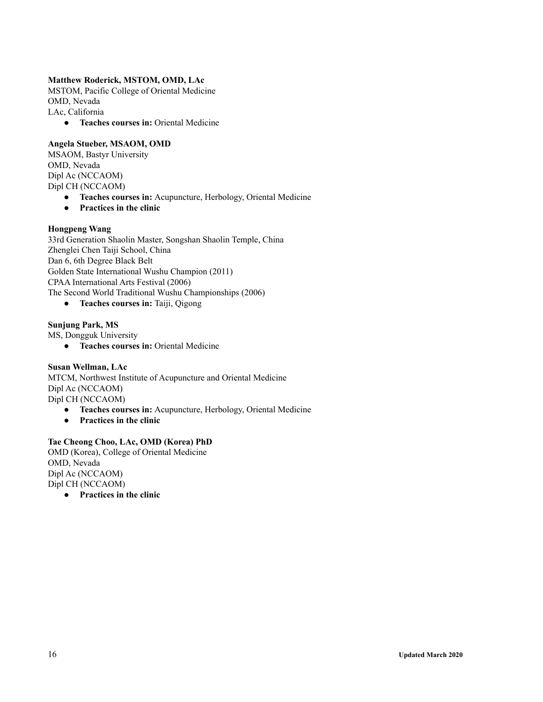### **Matthew Roderick, MSTOM, OMD, LAc**

MSTOM, Pacific College of Oriental Medicine OMD, Nevada LAc, California

**● Teaches courses in:** Oriental Medicine

### **Angela Stueber, MSAOM, OMD**

MSAOM, Bastyr University OMD, Nevada Dipl Ac (NCCAOM) Dipl CH (NCCAOM)

- **● Teaches courses in:** Acupuncture, Herbology, Oriental Medicine
- **Practices in the clinic**

### **Hongpeng Wang**

33rd Generation Shaolin Master, Songshan Shaolin Temple, China Zhenglei Chen Taiji School, China Dan 6, 6th Degree Black Belt Golden State International Wushu Champion (2011) CPAA International Arts Festival (2006) The Second World Traditional Wushu Championships (2006)

**● Teaches courses in:** Taiji, Qigong

### **Sunjung Park, MS**

MS, Dongguk University

**● Teaches courses in:** Oriental Medicine

**Susan Wellman, LAc** MTCM, Northwest Institute of Acupuncture and Oriental Medicine Dipl Ac (NCCAOM) Dipl CH (NCCAOM)

- **● Teaches courses in:** Acupuncture, Herbology, Oriental Medicine
- **Practices in the clinic**

### **Tae Cheong Choo, LAc, OMD (Korea) PhD**

OMD (Korea), College of Oriental Medicine OMD, Nevada Dipl Ac (NCCAOM) Dipl CH (NCCAOM)

● **Practices in the clinic**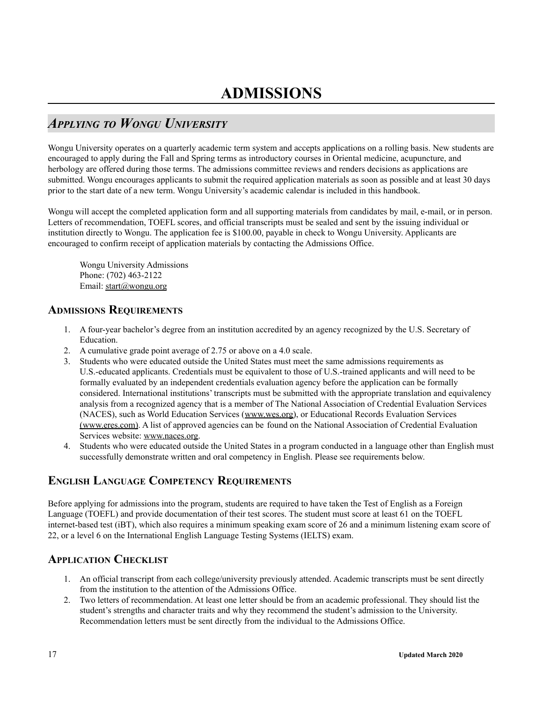# <span id="page-16-1"></span><span id="page-16-0"></span>*APPLYING TO WONGU UNIVERSITY*

Wongu University operates on a quarterly academic term system and accepts applications on a rolling basis. New students are encouraged to apply during the Fall and Spring terms as introductory courses in Oriental medicine, acupuncture, and herbology are offered during those terms. The admissions committee reviews and renders decisions as applications are submitted. Wongu encourages applicants to submit the required application materials as soon as possible and at least 30 days prior to the start date of a new term. Wongu University's academic calendar is included in this handbook.

Wongu will accept the completed application form and all supporting materials from candidates by mail, e-mail, or in person. Letters of recommendation, TOEFL scores, and official transcripts must be sealed and sent by the issuing individual or institution directly to Wongu. The application fee is \$100.00, payable in check to Wongu University. Applicants are encouraged to confirm receipt of application materials by contacting the Admissions Office.

Wongu University Admissions Phone: (702) 463-2122 Email: start@wongu.org

### <span id="page-16-2"></span>**ADMISSIONS REQUIREMENTS**

- 1. A four-year bachelor's degree from an institution accredited by an agency recognized by the U.S. Secretary of Education.
- 2. A cumulative grade point average of 2.75 or above on a 4.0 scale.
- 3. Students who were educated outside the United States must meet the same admissions requirements as U.S.-educated applicants. Credentials must be equivalent to those of U.S.-trained applicants and will need to be formally evaluated by an independent credentials evaluation agency before the application can be formally considered. International institutions' transcripts must be submitted with the appropriate translation and equivalency analysis from a recognized agency that is a member of The National Association of Credential Evaluation Services (NACES), such as World Education Services (www.wes.org), or Educational Records Evaluation Services (www.eres.com). A list of approved agencies can be found on the National Association of Credential Evaluation Services website: www.naces.org.
- 4. Students who were educated outside the United States in a program conducted in a language other than English must successfully demonstrate written and oral competency in English. Please see requirements below.

### <span id="page-16-3"></span>**ENGLISH LANGUAGE COMPETENCY REQUIREMENTS**

Before applying for admissions into the program, students are required to have taken the Test of English as a Foreign Language (TOEFL) and provide documentation of their test scores. The student must score at least 61 on the TOEFL internet-based test (iBT), which also requires a minimum speaking exam score of 26 and a minimum listening exam score of 22, or a level 6 on the International English Language Testing Systems (IELTS) exam.

### <span id="page-16-4"></span>**APPLICATION CHECKLIST**

- 1. An official transcript from each college/university previously attended. Academic transcripts must be sent directly from the institution to the attention of the Admissions Office.
- 2. Two letters of recommendation. At least one letter should be from an academic professional. They should list the student's strengths and character traits and why they recommend the student's admission to the University. Recommendation letters must be sent directly from the individual to the Admissions Office.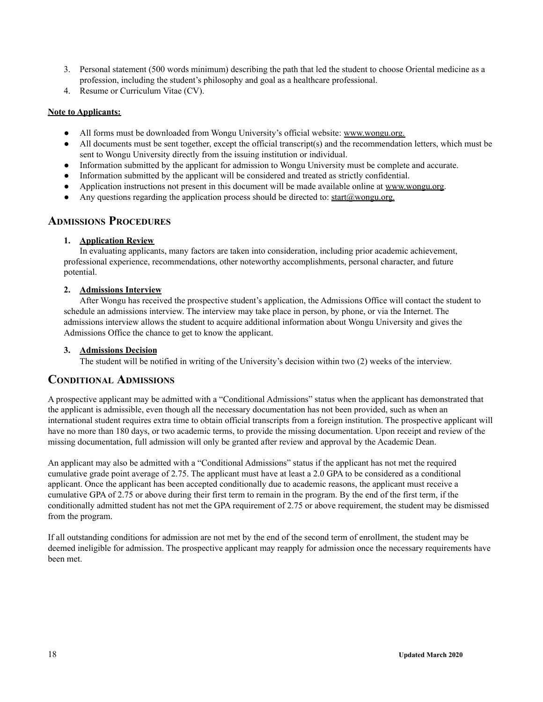- 3. Personal statement (500 words minimum) describing the path that led the student to choose Oriental medicine as a profession, including the student's philosophy and goal as a healthcare professional.
- 4. Resume or Curriculum Vitae (CV).

### **Note to Applicants:**

- All forms must be downloaded from Wongu University's official website: www.wongu.org.
- $\bullet$  All documents must be sent together, except the official transcript(s) and the recommendation letters, which must be sent to Wongu University directly from the issuing institution or individual.
- Information submitted by the applicant for admission to Wongu University must be complete and accurate.
- Information submitted by the applicant will be considered and treated as strictly confidential.
- Application instructions not present in this document will be made available online at www.wongu.org.
- Any questions regarding the application process should be directed to: start@wongu.org.

### <span id="page-17-0"></span>**ADMISSIONS PROCEDURES**

### **1. Application Review**

In evaluating applicants, many factors are taken into consideration, including prior academic achievement, professional experience, recommendations, other noteworthy accomplishments, personal character, and future potential.

### **2. Admissions Interview**

After Wongu has received the prospective student's application, the Admissions Office will contact the student to schedule an admissions interview. The interview may take place in person, by phone, or via the Internet. The admissions interview allows the student to acquire additional information about Wongu University and gives the Admissions Office the chance to get to know the applicant.

### **3. Admissions Decision**

The student will be notified in writing of the University's decision within two (2) weeks of the interview.

### <span id="page-17-1"></span>**CONDITIONAL ADMISSIONS**

A prospective applicant may be admitted with a "Conditional Admissions" status when the applicant has demonstrated that the applicant is admissible, even though all the necessary documentation has not been provided, such as when an international student requires extra time to obtain official transcripts from a foreign institution. The prospective applicant will have no more than 180 days, or two academic terms, to provide the missing documentation. Upon receipt and review of the missing documentation, full admission will only be granted after review and approval by the Academic Dean.

An applicant may also be admitted with a "Conditional Admissions" status if the applicant has not met the required cumulative grade point average of 2.75. The applicant must have at least a 2.0 GPA to be considered as a conditional applicant. Once the applicant has been accepted conditionally due to academic reasons, the applicant must receive a cumulative GPA of 2.75 or above during their first term to remain in the program. By the end of the first term, if the conditionally admitted student has not met the GPA requirement of 2.75 or above requirement, the student may be dismissed from the program.

If all outstanding conditions for admission are not met by the end of the second term of enrollment, the student may be deemed ineligible for admission. The prospective applicant may reapply for admission once the necessary requirements have been met.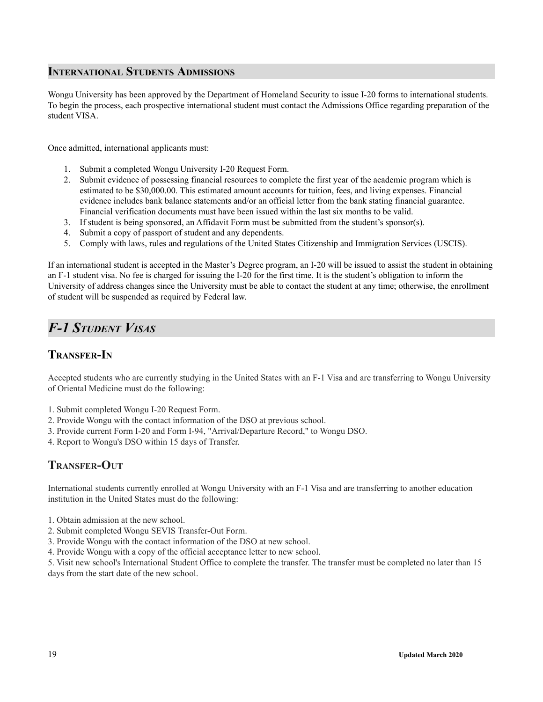### <span id="page-18-0"></span>**INTERNATIONAL STUDENTS ADMISSIONS**

Wongu University has been approved by the Department of Homeland Security to issue I-20 forms to international students. To begin the process, each prospective international student must contact the Admissions Office regarding preparation of the student VISA.

Once admitted, international applicants must:

- 1. Submit a completed Wongu University I-20 Request Form.
- 2. Submit evidence of possessing financial resources to complete the first year of the academic program which is estimated to be \$30,000.00. This estimated amount accounts for tuition, fees, and living expenses. Financial evidence includes bank balance statements and/or an official letter from the bank stating financial guarantee. Financial verification documents must have been issued within the last six months to be valid.
- 3. If student is being sponsored, an Affidavit Form must be submitted from the student's sponsor(s).
- 4. Submit a copy of passport of student and any dependents.
- 5. Comply with laws, rules and regulations of the United States Citizenship and Immigration Services (USCIS).

If an international student is accepted in the Master's Degree program, an I-20 will be issued to assist the student in obtaining an F-1 student visa. No fee is charged for issuing the I-20 for the first time. It is the student's obligation to inform the University of address changes since the University must be able to contact the student at any time; otherwise, the enrollment of student will be suspended as required by Federal law.

# <span id="page-18-1"></span>*F-1 STUDENT VISAS*

### **TRANSFER-IN**

Accepted students who are currently studying in the United States with an F-1 Visa and are transferring to Wongu University of Oriental Medicine must do the following:

- 1. Submit completed Wongu I-20 Request Form.
- 2. Provide Wongu with the contact information of the DSO at previous school.
- 3. Provide current Form I-20 and Form I-94, "Arrival/Departure Record," to Wongu DSO.
- 4. Report to Wongu's DSO within 15 days of Transfer.

### **TRANSFER-OUT**

International students currently enrolled at Wongu University with an F-1 Visa and are transferring to another education institution in the United States must do the following:

- 1. Obtain admission at the new school.
- 2. Submit completed Wongu SEVIS Transfer-Out Form.
- 3. Provide Wongu with the contact information of the DSO at new school.
- 4. Provide Wongu with a copy of the official acceptance letter to new school.

5. Visit new school's International Student Office to complete the transfer. The transfer must be completed no later than 15 days from the start date of the new school.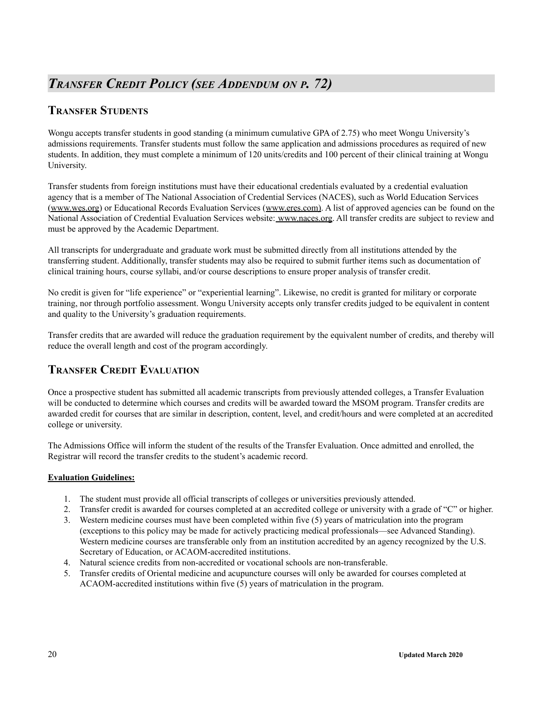### <span id="page-19-0"></span>**TRANSFER STUDENTS**

Wongu accepts transfer students in good standing (a minimum cumulative GPA of 2.75) who meet Wongu University's admissions requirements. Transfer students must follow the same application and admissions procedures as required of new students. In addition, they must complete a minimum of 120 units/credits and 100 percent of their clinical training at Wongu University.

Transfer students from foreign institutions must have their educational credentials evaluated by a credential evaluation agency that is a member of The National Association of Credential Services (NACES), such as World Education Services [\(www.wes.org](http://www.wes.org)) or Educational Records Evaluation Services (www.eres.com). A list of approved agencies can be found on the National Association of Credential Evaluation Services website: [www.naces.org.](http://www.naces.org) All transfer credits are subject to review and must be approved by the Academic Department.

All transcripts for undergraduate and graduate work must be submitted directly from all institutions attended by the transferring student. Additionally, transfer students may also be required to submit further items such as documentation of clinical training hours, course syllabi, and/or course descriptions to ensure proper analysis of transfer credit.

No credit is given for "life experience" or "experiential learning". Likewise, no credit is granted for military or corporate training, nor through portfolio assessment. Wongu University accepts only transfer credits judged to be equivalent in content and quality to the University's graduation requirements.

Transfer credits that are awarded will reduce the graduation requirement by the equivalent number of credits, and thereby will reduce the overall length and cost of the program accordingly.

### **TRANSFER CREDIT EVALUATION**

Once a prospective student has submitted all academic transcripts from previously attended colleges, a Transfer Evaluation will be conducted to determine which courses and credits will be awarded toward the MSOM program. Transfer credits are awarded credit for courses that are similar in description, content, level, and credit/hours and were completed at an accredited college or university.

The Admissions Office will inform the student of the results of the Transfer Evaluation. Once admitted and enrolled, the Registrar will record the transfer credits to the student's academic record.

### **Evaluation Guidelines:**

- 1. The student must provide all official transcripts of colleges or universities previously attended.
- 2. Transfer credit is awarded for courses completed at an accredited college or university with a grade of "C" or higher.
- 3. Western medicine courses must have been completed within five (5) years of matriculation into the program (exceptions to this policy may be made for actively practicing medical professionals—see Advanced Standing). Western medicine courses are transferable only from an institution accredited by an agency recognized by the U.S. Secretary of Education, or ACAOM-accredited institutions.
- 4. Natural science credits from non-accredited or vocational schools are non-transferable.
- 5. Transfer credits of Oriental medicine and acupuncture courses will only be awarded for courses completed at ACAOM-accredited institutions within five (5) years of matriculation in the program.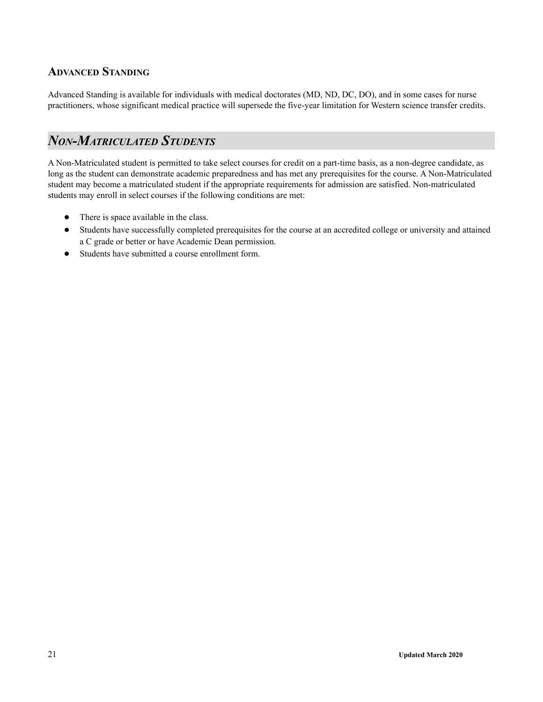### **ADVANCED STANDING**

Advanced Standing is available for individuals with medical doctorates (MD, ND, DC, DO), and in some cases for nurse practitioners, whose significant medical practice will supersede the five-year limitation for Western science transfer credits.

# <span id="page-20-0"></span>*NON-MATRICULATED STUDENTS*

A Non-Matriculated student is permitted to take select courses for credit on a part-time basis, as a non-degree candidate, as long as the student can demonstrate academic preparedness and has met any prerequisites for the course. A Non-Matriculated student may become a matriculated student if the appropriate requirements for admission are satisfied. Non-matriculated students may enroll in select courses if the following conditions are met:

- There is space available in the class.
- Students have successfully completed prerequisites for the course at an accredited college or university and attained a C grade or better or have Academic Dean permission.
- Students have submitted a course enrollment form.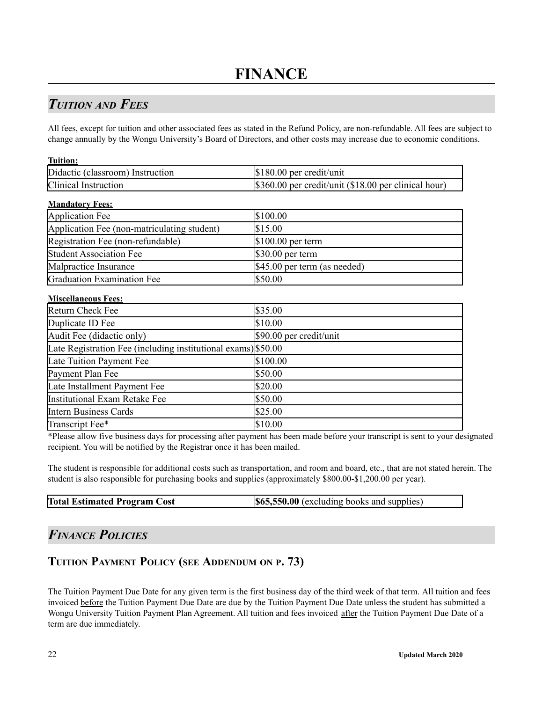# <span id="page-21-1"></span><span id="page-21-0"></span>*TUITION AND FEES*

All fees, except for tuition and other associated fees as stated in the Refund Policy, are non-refundable. All fees are subject to change annually by the Wongu University's Board of Directors, and other costs may increase due to economic conditions.

| <b>Tuition:</b>                                               |                                                      |
|---------------------------------------------------------------|------------------------------------------------------|
| Didactic (classroom) Instruction                              | \$180.00 per credit/unit                             |
| Clinical Instruction                                          | \$360.00 per credit/unit (\$18.00 per clinical hour) |
| <b>Mandatory Fees:</b>                                        |                                                      |
| <b>Application Fee</b>                                        | \$100.00                                             |
| Application Fee (non-matriculating student)                   | \$15.00                                              |
| Registration Fee (non-refundable)                             | \$100.00 per term                                    |
| <b>Student Association Fee</b>                                | \$30.00 per term                                     |
| Malpractice Insurance                                         | \$45.00 per term (as needed)                         |
| Graduation Examination Fee                                    | \$50.00                                              |
| <b>Miscellaneous Fees:</b>                                    |                                                      |
| Return Check Fee                                              | \$35.00                                              |
| Duplicate ID Fee                                              | \$10.00                                              |
| Audit Fee (didactic only)                                     | \$90.00 per credit/unit                              |
| Late Registration Fee (including institutional exams) \$50.00 |                                                      |
| Late Tuition Payment Fee                                      | \$100.00                                             |
| Payment Plan Fee                                              | \$50.00                                              |
| Late Installment Payment Fee                                  | \$20.00                                              |
| Institutional Exam Retake Fee                                 | \$50.00                                              |
| <b>Intern Business Cards</b>                                  | \$25.00                                              |
| Transcript Fee*                                               | \$10.00                                              |

\*Please allow five business days for processing after payment has been made before your transcript is sent to your designated recipient. You will be notified by the Registrar once it has been mailed.

The student is responsible for additional costs such as transportation, and room and board, etc., that are not stated herein. The student is also responsible for purchasing books and supplies (approximately \$800.00-\$1,200.00 per year).

| <b>Total Estimated Program Cost</b> | <b>\$65,550.00</b> (excluding books and supplies) |
|-------------------------------------|---------------------------------------------------|
|-------------------------------------|---------------------------------------------------|

# <span id="page-21-2"></span>*FINANCE POLICIES*

### **TUITION PAYMENT POLICY (SEE ADDENDUM ON P. 73)**

The Tuition Payment Due Date for any given term is the first business day of the third week of that term. All tuition and fees invoiced before the Tuition Payment Due Date are due by the Tuition Payment Due Date unless the student has submitted a Wongu University Tuition Payment Plan Agreement. All tuition and fees invoiced after the Tuition Payment Due Date of a term are due immediately.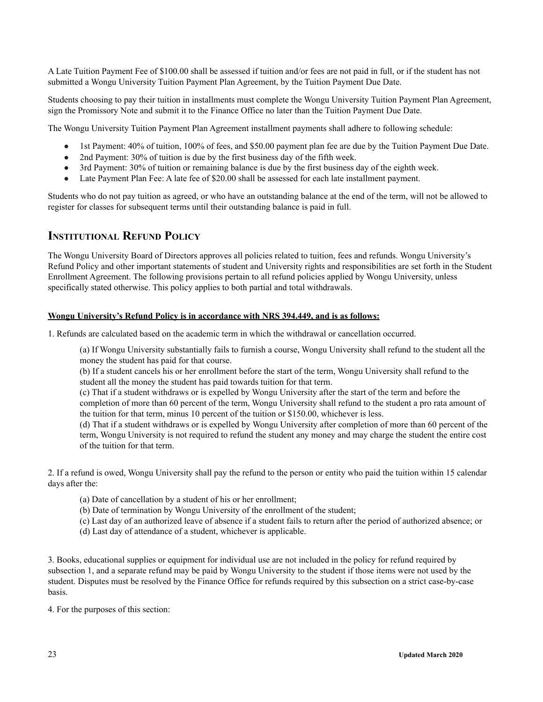A Late Tuition Payment Fee of \$100.00 shall be assessed if tuition and/or fees are not paid in full, or if the student has not submitted a Wongu University Tuition Payment Plan Agreement, by the Tuition Payment Due Date.

Students choosing to pay their tuition in installments must complete the Wongu University Tuition Payment Plan Agreement, sign the Promissory Note and submit it to the Finance Office no later than the Tuition Payment Due Date.

The Wongu University Tuition Payment Plan Agreement installment payments shall adhere to following schedule:

- 1st Payment: 40% of tuition, 100% of fees, and \$50.00 payment plan fee are due by the Tuition Payment Due Date.
- 2nd Payment: 30% of tuition is due by the first business day of the fifth week.
- 3rd Payment: 30% of tuition or remaining balance is due by the first business day of the eighth week.
- Late Payment Plan Fee: A late fee of \$20.00 shall be assessed for each late installment payment.

Students who do not pay tuition as agreed, or who have an outstanding balance at the end of the term, will not be allowed to register for classes for subsequent terms until their outstanding balance is paid in full.

### <span id="page-22-0"></span>**INSTITUTIONAL REFUND POLICY**

The Wongu University Board of Directors approves all policies related to tuition, fees and refunds. Wongu University's Refund Policy and other important statements of student and University rights and responsibilities are set forth in the Student Enrollment Agreement. The following provisions pertain to all refund policies applied by Wongu University, unless specifically stated otherwise. This policy applies to both partial and total withdrawals.

#### **Wongu University's Refund Policy is in accordance with NRS 394.449, and is as follows:**

1. Refunds are calculated based on the academic term in which the withdrawal or cancellation occurred.

(a) If Wongu University substantially fails to furnish a course, Wongu University shall refund to the student all the money the student has paid for that course.

(b) If a student cancels his or her enrollment before the start of the term, Wongu University shall refund to the student all the money the student has paid towards tuition for that term.

(c) That if a student withdraws or is expelled by Wongu University after the start of the term and before the completion of more than 60 percent of the term, Wongu University shall refund to the student a pro rata amount of the tuition for that term, minus 10 percent of the tuition or \$150.00, whichever is less.

(d) That if a student withdraws or is expelled by Wongu University after completion of more than 60 percent of the term, Wongu University is not required to refund the student any money and may charge the student the entire cost of the tuition for that term.

2. If a refund is owed, Wongu University shall pay the refund to the person or entity who paid the tuition within 15 calendar days after the:

- (a) Date of cancellation by a student of his or her enrollment;
- (b) Date of termination by Wongu University of the enrollment of the student;
- (c) Last day of an authorized leave of absence if a student fails to return after the period of authorized absence; or
- (d) Last day of attendance of a student, whichever is applicable.

3. Books, educational supplies or equipment for individual use are not included in the policy for refund required by subsection 1, and a separate refund may be paid by Wongu University to the student if those items were not used by the student. Disputes must be resolved by the Finance Office for refunds required by this subsection on a strict case-by-case basis.

4. For the purposes of this section: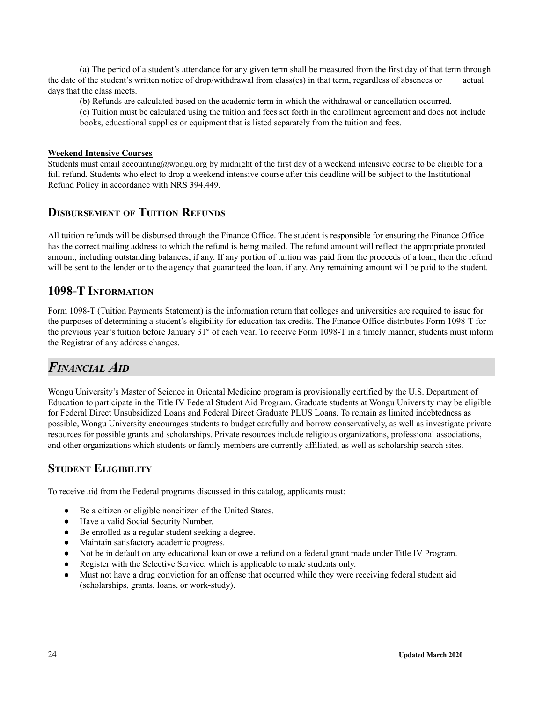(a) The period of a student's attendance for any given term shall be measured from the first day of that term through the date of the student's written notice of drop/withdrawal from class(es) in that term, regardless of absences or actual days that the class meets.

(b) Refunds are calculated based on the academic term in which the withdrawal or cancellation occurred.

(c) Tuition must be calculated using the tuition and fees set forth in the enrollment agreement and does not include books, educational supplies or equipment that is listed separately from the tuition and fees.

#### **Weekend Intensive Courses**

Students must email  $\frac{accounting@wongu.org}{downgu.org}$  by midnight of the first day of a weekend intensive course to be eligible for a full refund. Students who elect to drop a weekend intensive course after this deadline will be subject to the Institutional Refund Policy in accordance with NRS 394.449.

### **DISBURSEMENT OF TUITION REFUNDS**

All tuition refunds will be disbursed through the Finance Office. The student is responsible for ensuring the Finance Office has the correct mailing address to which the refund is being mailed. The refund amount will reflect the appropriate prorated amount, including outstanding balances, if any. If any portion of tuition was paid from the proceeds of a loan, then the refund will be sent to the lender or to the agency that guaranteed the loan, if any. Any remaining amount will be paid to the student.

### <span id="page-23-0"></span>**1098-T INFORMATION**

Form 1098-T (Tuition Payments Statement) is the information return that colleges and universities are required to issue for the purposes of determining a student's eligibility for education tax credits. The Finance Office distributes Form 1098-T for the previous year's tuition before January 31<sup>st</sup> of each year. To receive Form 1098-T in a timely manner, students must inform the Registrar of any address changes.

# <span id="page-23-1"></span>*FINANCIAL AID*

Wongu University's Master of Science in Oriental Medicine program is provisionally certified by the U.S. Department of Education to participate in the Title IV Federal Student Aid Program. Graduate students at Wongu University may be eligible for Federal Direct Unsubsidized Loans and Federal Direct Graduate PLUS Loans. To remain as limited indebtedness as possible, Wongu University encourages students to budget carefully and borrow conservatively, as well as investigate private resources for possible grants and scholarships. Private resources include religious organizations, professional associations, and other organizations which students or family members are currently affiliated, as well as scholarship search sites.

### **STUDENT ELIGIBILITY**

To receive aid from the Federal programs discussed in this catalog, applicants must:

- Be a citizen or eligible noncitizen of the United States.
- Have a valid Social Security Number.
- Be enrolled as a regular student seeking a degree.
- Maintain satisfactory academic progress.
- Not be in default on any educational loan or owe a refund on a federal grant made under Title IV Program.
- Register with the Selective Service, which is applicable to male students only.
- Must not have a drug conviction for an offense that occurred while they were receiving federal student aid (scholarships, grants, loans, or work-study).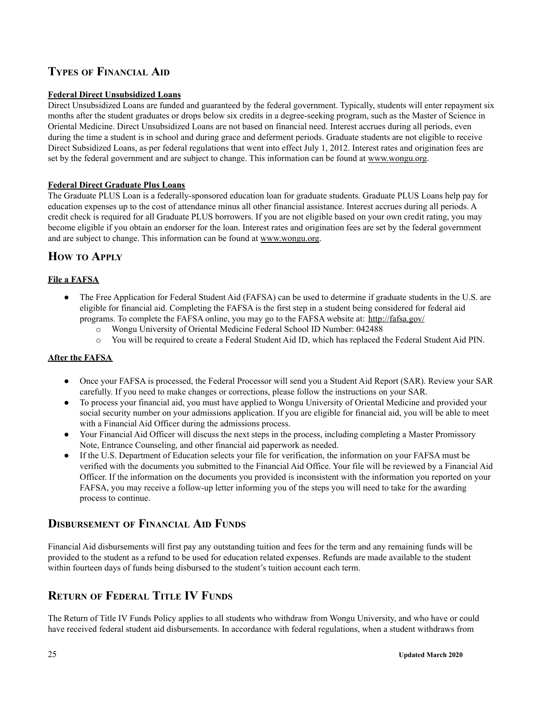### **TYPES OF FINANCIAL AID**

### **Federal Direct Unsubsidized Loans**

Direct Unsubsidized Loans are funded and guaranteed by the federal government. Typically, students will enter repayment six months after the student graduates or drops below six credits in a degree-seeking program, such as the Master of Science in Oriental Medicine. Direct Unsubsidized Loans are not based on financial need. Interest accrues during all periods, even during the time a student is in school and during grace and deferment periods. Graduate students are not eligible to receive Direct Subsidized Loans, as per federal regulations that went into effect July 1, 2012. Interest rates and origination fees are set by the federal government and are subject to change. This information can be found at www.wongu.org.

### **Federal Direct Graduate Plus Loans**

The Graduate PLUS Loan is a federally-sponsored education loan for graduate students. Graduate PLUS Loans help pay for education expenses up to the cost of attendance minus all other financial assistance. Interest accrues during all periods. A credit check is required for all Graduate PLUS borrowers. If you are not eligible based on your own credit rating, you may become eligible if you obtain an endorser for the loan. Interest rates and origination fees are set by the federal government and are subject to change. This information can be found at www.wongu.org.

### **HOW TO APPLY**

### **File a FAFSA**

- The Free Application for Federal Student Aid (FAFSA) can be used to determine if graduate students in the U.S. are eligible for financial aid. Completing the FAFSA is the first step in a student being considered for federal aid programs. To complete the FAFSA online, you may go to the FAFSA website at: http://fafsa.gov/
	- o Wongu University of Oriental Medicine Federal School ID Number: 042488
	- o You will be required to create a Federal Student Aid ID, which has replaced the Federal Student Aid PIN.

### **After the FAFSA**

- Once your FAFSA is processed, the Federal Processor will send you a Student Aid Report (SAR). Review your SAR carefully. If you need to make changes or corrections, please follow the instructions on your SAR.
- To process your financial aid, you must have applied to Wongu University of Oriental Medicine and provided your social security number on your admissions application. If you are eligible for financial aid, you will be able to meet with a Financial Aid Officer during the admissions process.
- Your Financial Aid Officer will discuss the next steps in the process, including completing a Master Promissory Note, Entrance Counseling, and other financial aid paperwork as needed.
- If the U.S. Department of Education selects your file for verification, the information on your FAFSA must be verified with the documents you submitted to the Financial Aid Office. Your file will be reviewed by a Financial Aid Officer. If the information on the documents you provided is inconsistent with the information you reported on your FAFSA, you may receive a follow-up letter informing you of the steps you will need to take for the awarding process to continue.

### **DISBURSEMENT OF FINANCIAL AID FUNDS**

Financial Aid disbursements will first pay any outstanding tuition and fees for the term and any remaining funds will be provided to the student as a refund to be used for education related expenses. Refunds are made available to the student within fourteen days of funds being disbursed to the student's tuition account each term.

### **RETURN OF FEDERAL TITLE IV FUNDS**

The Return of Title IV Funds Policy applies to all students who withdraw from Wongu University, and who have or could have received federal student aid disbursements. In accordance with federal regulations, when a student withdraws from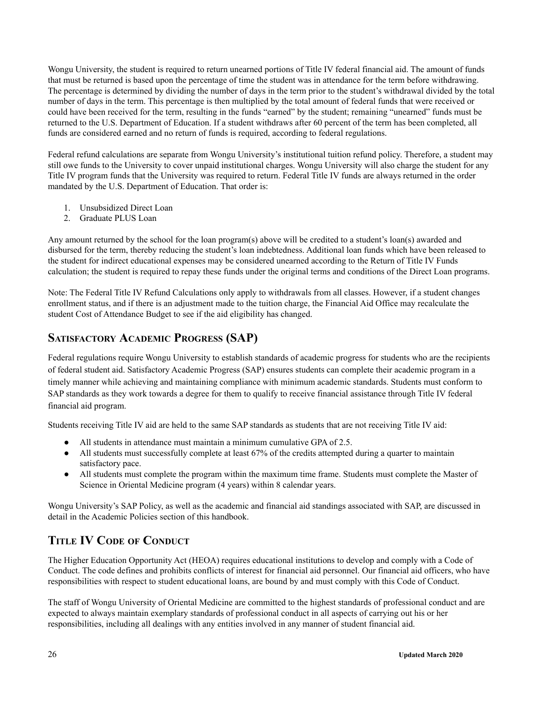Wongu University, the student is required to return unearned portions of Title IV federal financial aid. The amount of funds that must be returned is based upon the percentage of time the student was in attendance for the term before withdrawing. The percentage is determined by dividing the number of days in the term prior to the student's withdrawal divided by the total number of days in the term. This percentage is then multiplied by the total amount of federal funds that were received or could have been received for the term, resulting in the funds "earned" by the student; remaining "unearned" funds must be returned to the U.S. Department of Education. If a student withdraws after 60 percent of the term has been completed, all funds are considered earned and no return of funds is required, according to federal regulations.

Federal refund calculations are separate from Wongu University's institutional tuition refund policy. Therefore, a student may still owe funds to the University to cover unpaid institutional charges. Wongu University will also charge the student for any Title IV program funds that the University was required to return. Federal Title IV funds are always returned in the order mandated by the U.S. Department of Education. That order is:

- 1. Unsubsidized Direct Loan
- 2. Graduate PLUS Loan

Any amount returned by the school for the loan program(s) above will be credited to a student's loan(s) awarded and disbursed for the term, thereby reducing the student's loan indebtedness. Additional loan funds which have been released to the student for indirect educational expenses may be considered unearned according to the Return of Title IV Funds calculation; the student is required to repay these funds under the original terms and conditions of the Direct Loan programs.

Note: The Federal Title IV Refund Calculations only apply to withdrawals from all classes. However, if a student changes enrollment status, and if there is an adjustment made to the tuition charge, the Financial Aid Office may recalculate the student Cost of Attendance Budget to see if the aid eligibility has changed.

### <span id="page-25-0"></span>**SATISFACTORY ACADEMIC PROGRESS (SAP)**

Federal regulations require Wongu University to establish standards of academic progress for students who are the recipients of federal student aid. Satisfactory Academic Progress (SAP) ensures students can complete their academic program in a timely manner while achieving and maintaining compliance with minimum academic standards. Students must conform to SAP standards as they work towards a degree for them to qualify to receive financial assistance through Title IV federal financial aid program.

Students receiving Title IV aid are held to the same SAP standards as students that are not receiving Title IV aid:

- All students in attendance must maintain a minimum cumulative GPA of 2.5.
- All students must successfully complete at least 67% of the credits attempted during a quarter to maintain satisfactory pace.
- All students must complete the program within the maximum time frame. Students must complete the Master of Science in Oriental Medicine program (4 years) within 8 calendar years.

Wongu University's SAP Policy, as well as the academic and financial aid standings associated with SAP, are discussed in detail in the Academic Policies section of this handbook.

# <span id="page-25-1"></span>**TITLE IV CODE OF CONDUCT**

The Higher Education Opportunity Act (HEOA) requires educational institutions to develop and comply with a Code of Conduct. The code defines and prohibits conflicts of interest for financial aid personnel. Our financial aid officers, who have responsibilities with respect to student educational loans, are bound by and must comply with this Code of Conduct.

The staff of Wongu University of Oriental Medicine are committed to the highest standards of professional conduct and are expected to always maintain exemplary standards of professional conduct in all aspects of carrying out his or her responsibilities, including all dealings with any entities involved in any manner of student financial aid.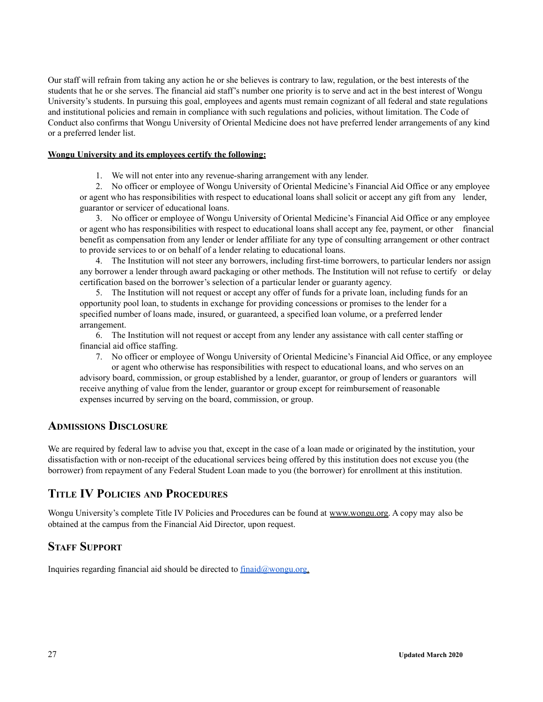Our staff will refrain from taking any action he or she believes is contrary to law, regulation, or the best interests of the students that he or she serves. The financial aid staff's number one priority is to serve and act in the best interest of Wongu University's students. In pursuing this goal, employees and agents must remain cognizant of all federal and state regulations and institutional policies and remain in compliance with such regulations and policies, without limitation. The Code of Conduct also confirms that Wongu University of Oriental Medicine does not have preferred lender arrangements of any kind or a preferred lender list.

### **Wongu University and its employees certify the following:**

1. We will not enter into any revenue-sharing arrangement with any lender.

2. No officer or employee of Wongu University of Oriental Medicine's Financial Aid Office or any employee or agent who has responsibilities with respect to educational loans shall solicit or accept any gift from any lender, guarantor or servicer of educational loans.

3. No officer or employee of Wongu University of Oriental Medicine's Financial Aid Office or any employee or agent who has responsibilities with respect to educational loans shall accept any fee, payment, or other financial benefit as compensation from any lender or lender affiliate for any type of consulting arrangement or other contract to provide services to or on behalf of a lender relating to educational loans.

4. The Institution will not steer any borrowers, including first-time borrowers, to particular lenders nor assign any borrower a lender through award packaging or other methods. The Institution will not refuse to certify or delay certification based on the borrower's selection of a particular lender or guaranty agency.

5. The Institution will not request or accept any offer of funds for a private loan, including funds for an opportunity pool loan, to students in exchange for providing concessions or promises to the lender for a specified number of loans made, insured, or guaranteed, a specified loan volume, or a preferred lender arrangement.

6. The Institution will not request or accept from any lender any assistance with call center staffing or financial aid office staffing.

7. No officer or employee of Wongu University of Oriental Medicine's Financial Aid Office, or any employee or agent who otherwise has responsibilities with respect to educational loans, and who serves on an advisory board, commission, or group established by a lender, guarantor, or group of lenders or guarantors will receive anything of value from the lender, guarantor or group except for reimbursement of reasonable expenses incurred by serving on the board, commission, or group.

### **ADMISSIONS DISCLOSURE**

We are required by federal law to advise you that, except in the case of a loan made or originated by the institution, your dissatisfaction with or non-receipt of the educational services being offered by this institution does not excuse you (the borrower) from repayment of any Federal Student Loan made to you (the borrower) for enrollment at this institution.

### **TITLE IV POLICIES AND PROCEDURES**

Wongu University's complete Title IV Policies and Procedures can be found at www.wongu.org. A copy may also be obtained at the campus from the Financial Aid Director, upon request.

### **STAFF SUPPORT**

Inquiries regarding financial aid should be directed to [finaid@wongu.org](mailto:finaid@wongu.org).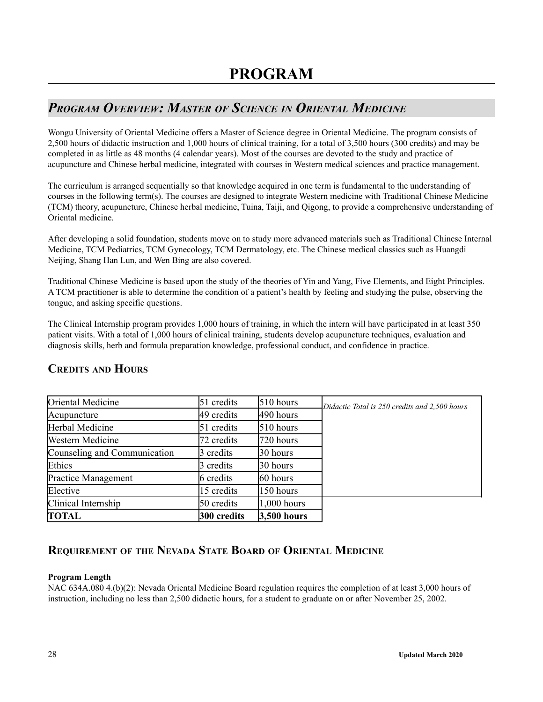# <span id="page-27-1"></span><span id="page-27-0"></span>*PROGRAM OVERVIEW: MASTER OF SCIENCE IN ORIENTAL MEDICINE*

Wongu University of Oriental Medicine offers a Master of Science degree in Oriental Medicine. The program consists of 2,500 hours of didactic instruction and 1,000 hours of clinical training, for a total of 3,500 hours (300 credits) and may be completed in as little as 48 months (4 calendar years). Most of the courses are devoted to the study and practice of acupuncture and Chinese herbal medicine, integrated with courses in Western medical sciences and practice management.

The curriculum is arranged sequentially so that knowledge acquired in one term is fundamental to the understanding of courses in the following term(s). The courses are designed to integrate Western medicine with Traditional Chinese Medicine (TCM) theory, acupuncture, Chinese herbal medicine, Tuina, Taiji, and Qigong, to provide a comprehensive understanding of Oriental medicine.

After developing a solid foundation, students move on to study more advanced materials such as Traditional Chinese Internal Medicine, TCM Pediatrics, TCM Gynecology, TCM Dermatology, etc. The Chinese medical classics such as Huangdi Neijing, Shang Han Lun, and Wen Bing are also covered.

Traditional Chinese Medicine is based upon the study of the theories of Yin and Yang, Five Elements, and Eight Principles. A TCM practitioner is able to determine the condition of a patient's health by feeling and studying the pulse, observing the tongue, and asking specific questions.

The Clinical Internship program provides 1,000 hours of training, in which the intern will have participated in at least 350 patient visits. With a total of 1,000 hours of clinical training, students develop acupuncture techniques, evaluation and diagnosis skills, herb and formula preparation knowledge, professional conduct, and confidence in practice.

| <b>TOTAL</b>                 | 300 credits | 3,500 hours   |                                               |
|------------------------------|-------------|---------------|-----------------------------------------------|
| Clinical Internship          | 50 credits  | $1,000$ hours |                                               |
| Elective                     | 15 credits  | 150 hours     |                                               |
| <b>Practice Management</b>   | 6 credits   | 60 hours      |                                               |
| Ethics                       | 3 credits   | 30 hours      |                                               |
| Counseling and Communication | 3 credits   | 30 hours      |                                               |
| <b>Western Medicine</b>      | 72 credits  | 720 hours     |                                               |
| Herbal Medicine              | 51 credits  | 510 hours     |                                               |
| Acupuncture                  | 49 credits  | 490 hours     |                                               |
| Oriental Medicine            | 51 credits  | 510 hours     | Didactic Total is 250 credits and 2,500 hours |

### **CREDITS AND HOURS**

# **REQUIREMENT OF THE NEVADA STATE BOARD OF ORIENTAL MEDICINE**

### **Program Length**

NAC 634A.080 4.(b)(2): Nevada Oriental Medicine Board regulation requires the completion of at least 3,000 hours of instruction, including no less than 2,500 didactic hours, for a student to graduate on or after November 25, 2002.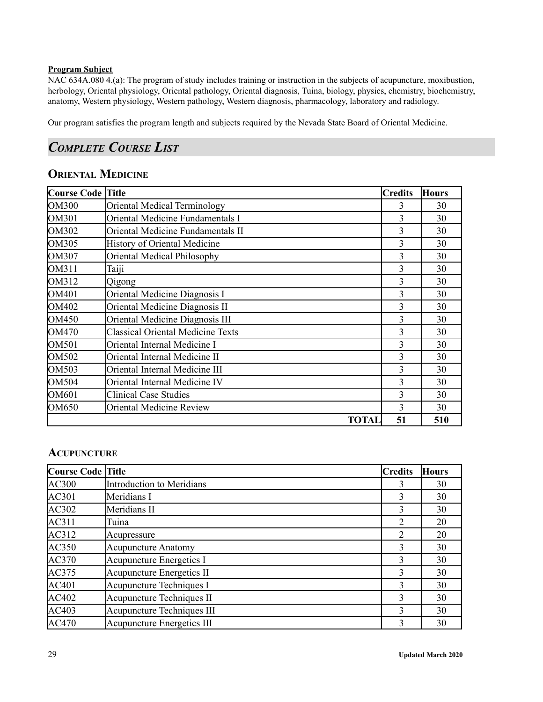### **Program Subject**

NAC 634A.080 4.(a): The program of study includes training or instruction in the subjects of acupuncture, moxibustion, herbology, Oriental physiology, Oriental pathology, Oriental diagnosis, Tuina, biology, physics, chemistry, biochemistry, anatomy, Western physiology, Western pathology, Western diagnosis, pharmacology, laboratory and radiology.

Our program satisfies the program length and subjects required by the Nevada State Board of Oriental Medicine.

# <span id="page-28-0"></span>*COMPLETE COURSE LIST*

# **ORIENTAL MEDICINE**

| <b>Course Code Title</b> |                                          | <b>Credits</b> | <b>Hours</b> |
|--------------------------|------------------------------------------|----------------|--------------|
| <b>OM300</b>             | Oriental Medical Terminology             | 3              | 30           |
| OM301                    | Oriental Medicine Fundamentals I         | 3              | 30           |
| OM302                    | Oriental Medicine Fundamentals II        | 3              | 30           |
| <b>OM305</b>             | <b>History of Oriental Medicine</b>      | 3              | 30           |
| OM307                    | Oriental Medical Philosophy              | 3              | 30           |
| OM311                    | Taiji                                    | 3              | 30           |
| OM312                    | Qigong                                   | 3              | 30           |
| OM401                    | Oriental Medicine Diagnosis I            | 3              | 30           |
| OM402                    | Oriental Medicine Diagnosis II           | 3              | 30           |
| OM450                    | Oriental Medicine Diagnosis III          | 3              | 30           |
| OM470                    | <b>Classical Oriental Medicine Texts</b> | 3              | 30           |
| <b>OM501</b>             | Oriental Internal Medicine I             | 3              | 30           |
| OM502                    | Oriental Internal Medicine II            | 3              | 30           |
| OM503                    | Oriental Internal Medicine III           | 3              | 30           |
| OM504                    | Oriental Internal Medicine IV            | 3              | 30           |
| OM601                    | <b>Clinical Case Studies</b>             | 3              | 30           |
| OM650                    | <b>Oriental Medicine Review</b>          | 3              | 30           |
|                          | <b>TOTAL</b>                             | 51             | 510          |

### **ACUPUNCTURE**

| Course Code Title |                                   | <b>Credits</b> | <b>Hours</b> |
|-------------------|-----------------------------------|----------------|--------------|
| <b>AC300</b>      | Introduction to Meridians         | 3              | 30           |
| AC301             | Meridians I                       | 3              | 30           |
| AC302             | Meridians II                      | 3              | 30           |
| AC311             | Tuina                             | 2              | 20           |
| AC312             | Acupressure                       | 2              | 20           |
| <b>AC350</b>      | <b>Acupuncture Anatomy</b>        | 3              | 30           |
| AC370             | Acupuncture Energetics I          | 3              | 30           |
| AC375             | <b>Acupuncture Energetics II</b>  | 3              | 30           |
| AC401             | Acupuncture Techniques I          | 3              | 30           |
| AC402             | Acupuncture Techniques II         | 3              | 30           |
| AC403             | Acupuncture Techniques III        | 3              | 30           |
| <b>AC470</b>      | <b>Acupuncture Energetics III</b> | 3              | 30           |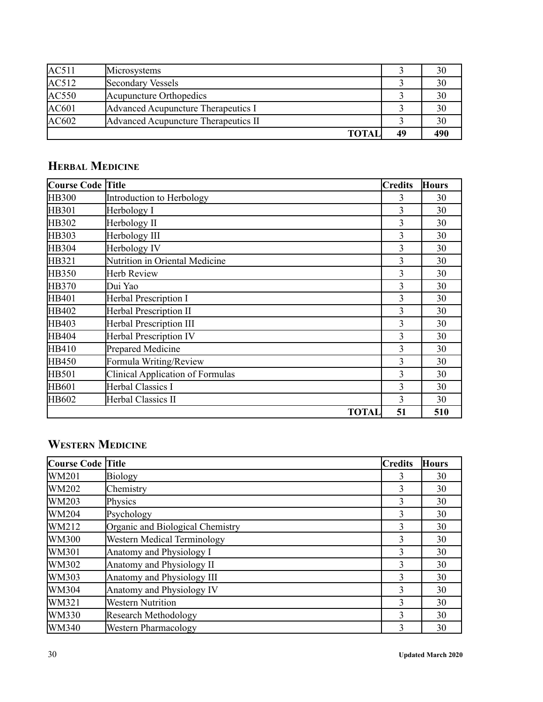| AC511        | Microsystems                         |    | 30  |
|--------------|--------------------------------------|----|-----|
| AC512        | Secondary Vessels                    |    | 30  |
| <b>AC550</b> | Acupuncture Orthopedics              |    | 30  |
| AC601        | Advanced Acupuncture Therapeutics I  |    | 30  |
| AC602        | Advanced Acupuncture Therapeutics II |    | 30  |
|              | <b>TOTAL</b>                         | 49 | 490 |

# **HERBAL MEDICINE**

| <b>Course Code</b> | <b>Title</b>                            | <b>Credits</b> | <b>Hours</b> |
|--------------------|-----------------------------------------|----------------|--------------|
| <b>HB300</b>       | Introduction to Herbology               | 3              | 30           |
| <b>HB301</b>       | Herbology I                             | 3              | 30           |
| HB302              | Herbology II                            | 3              | 30           |
| HB303              | Herbology III                           | 3              | 30           |
| HB304              | Herbology IV                            | 3              | 30           |
| HB321              | Nutrition in Oriental Medicine          | 3              | 30           |
| <b>HB350</b>       | Herb Review                             | 3              | 30           |
| <b>HB370</b>       | Dui Yao                                 | 3              | 30           |
| HB401              | <b>Herbal Prescription I</b>            | 3              | 30           |
| HB402              | <b>Herbal Prescription II</b>           | 3              | 30           |
| HB403              | <b>Herbal Prescription III</b>          | 3              | 30           |
| <b>HB404</b>       | <b>Herbal Prescription IV</b>           | 3              | 30           |
| HB410              | Prepared Medicine                       | 3              | 30           |
| <b>HB450</b>       | Formula Writing/Review                  | 3              | 30           |
| <b>HB501</b>       | <b>Clinical Application of Formulas</b> | 3              | 30           |
| HB601              | <b>Herbal Classics I</b>                | 3              | 30           |
| HB602              | Herbal Classics II                      | 3              | 30           |
|                    | <b>TOTAL</b>                            | 51             | 510          |

# **WESTERN MEDICINE**

| <b>Course Code Title</b> |                                    | <b>Credits</b> | <b>Hours</b> |
|--------------------------|------------------------------------|----------------|--------------|
| <b>WM201</b>             | Biology                            | 3              | 30           |
| WM202                    | Chemistry                          | 3              | 30           |
| WM203                    | Physics                            | 3              | 30           |
| WM204                    | Psychology                         | 3              | 30           |
| WM212                    | Organic and Biological Chemistry   | 3              | 30           |
| <b>WM300</b>             | <b>Western Medical Terminology</b> | 3              | 30           |
| <b>WM301</b>             | Anatomy and Physiology I           | 3              | 30           |
| WM302                    | Anatomy and Physiology II          | 3              | 30           |
| WM303                    | Anatomy and Physiology III         | 3              | 30           |
| WM304                    | Anatomy and Physiology IV          | 3              | 30           |
| WM321                    | <b>Western Nutrition</b>           | 3              | 30           |
| WM330                    | <b>Research Methodology</b>        | 3              | 30           |
| <b>WM340</b>             | <b>Western Pharmacology</b>        | 3              | 30           |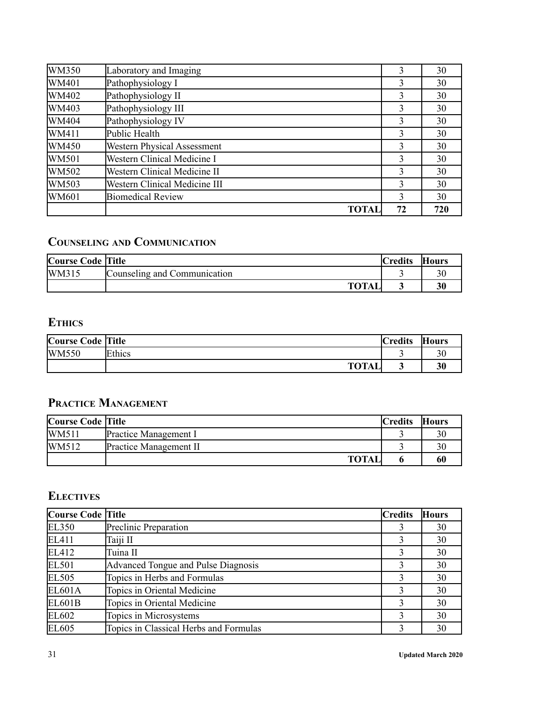| <b>WM350</b> | Laboratory and Imaging             | 3  | 30  |
|--------------|------------------------------------|----|-----|
| WM401        | Pathophysiology I                  | 3  | 30  |
| WM402        | Pathophysiology II                 | 3  | 30  |
| WM403        | Pathophysiology III                | 3  | 30  |
| WM404        | Pathophysiology IV                 | 3  | 30  |
| WM411        | Public Health                      | 3  | 30  |
| WM450        | <b>Western Physical Assessment</b> | 3  | 30  |
| WM501        | <b>Western Clinical Medicine I</b> | 3  | 30  |
| WM502        | Western Clinical Medicine II       | 3  | 30  |
| WM503        | Western Clinical Medicine III      | 3  | 30  |
| <b>WM601</b> | <b>Biomedical Review</b>           | 3  | 30  |
|              | TOTAI                              | 72 | 720 |

# **COUNSELING AND COMMUNICATION**

| <b>Course Code Title</b> |                              | <b>Credits</b> | <b>Hours</b> |
|--------------------------|------------------------------|----------------|--------------|
| WM315                    | Counseling and Communication |                |              |
|                          | TOTAI                        |                | 30           |

# **ETHICS**

| <b>Course Code Title</b> |              | <b>Credits</b> | <b>Hours</b> |
|--------------------------|--------------|----------------|--------------|
| <b>WM550</b>             | Ethics       |                |              |
|                          | <b>TOTAL</b> | ັ              | 30           |

# **PRACTICE MANAGEMENT**

| <b>Course Code Title</b> |                               | <b>Credits</b> | <b>Hours</b> |
|--------------------------|-------------------------------|----------------|--------------|
| <b>WM511</b>             | <b>Practice Management I</b>  |                |              |
| WM512                    | <b>Practice Management II</b> |                |              |
|                          | <b>TOTAL</b>                  |                |              |

# **ELECTIVES**

| Course Code Title |                                        | <b>Credits</b> | <b>Hours</b> |
|-------------------|----------------------------------------|----------------|--------------|
| <b>EL350</b>      | Preclinic Preparation                  |                | 30           |
| EL411             | Taiji II                               |                | 30           |
| EL412             | Tuina II                               | 3              | 30           |
| EL501             | Advanced Tongue and Pulse Diagnosis    | 3              | 30           |
| <b>EL505</b>      | Topics in Herbs and Formulas           |                | 30           |
| <b>EL601A</b>     | Topics in Oriental Medicine            | 3              | 30           |
| <b>EL601B</b>     | Topics in Oriental Medicine            | 3              | 30           |
| EL602             | Topics in Microsystems                 | 3              | 30           |
| EL605             | Topics in Classical Herbs and Formulas | 3              | 30           |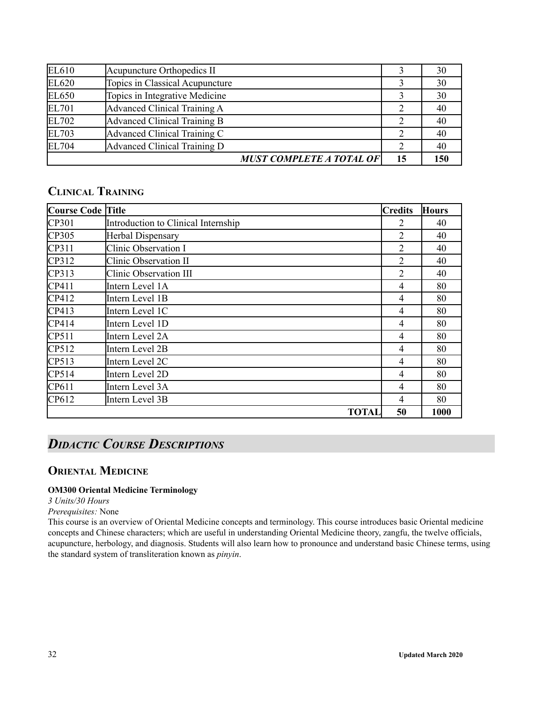| EL610        | Acupuncture Orthopedics II      |    | 30  |
|--------------|---------------------------------|----|-----|
| EL620        | Topics in Classical Acupuncture |    | 30  |
| EL650        | Topics in Integrative Medicine  |    | 30  |
| EL701        | Advanced Clinical Training A    |    | 40  |
| EL702        | Advanced Clinical Training B    |    | 40  |
| EL703        | Advanced Clinical Training C    | 2  | 40  |
| <b>EL704</b> | Advanced Clinical Training D    |    | 40  |
|              | <b>MUST COMPLETE A TOTAL OF</b> | 15 | 150 |

# **CLINICAL TRAINING**

| <b>Course Code Title</b> |                                     | <b>Credits</b> | <b>Hours</b> |
|--------------------------|-------------------------------------|----------------|--------------|
| CP301                    | Introduction to Clinical Internship | 2              | 40           |
| CP305                    | Herbal Dispensary                   | 2              | 40           |
| CP311                    | Clinic Observation I                | 2              | 40           |
| CP312                    | Clinic Observation II               | $\overline{2}$ | 40           |
| CP313                    | <b>Clinic Observation III</b>       | 2              | 40           |
| CP411                    | Intern Level 1A                     | $\overline{4}$ | 80           |
| CP412                    | Intern Level 1B                     | 4              | 80           |
| CP413                    | Intern Level 1C                     | 4              | 80           |
| CP414                    | Intern Level 1D                     | 4              | 80           |
| CP511                    | Intern Level 2A                     | $\overline{4}$ | 80           |
| CP512                    | Intern Level 2B                     | 4              | 80           |
| CP513                    | Intern Level 2C                     | 4              | 80           |
| CP514                    | Intern Level 2D                     | 4              | 80           |
| CP611                    | Intern Level 3A                     | 4              | 80           |
| CP612                    | Intern Level 3B                     | 4              | 80           |
|                          | <b>TOTAL</b>                        | 50             | 1000         |

# <span id="page-31-0"></span>*DIDACTIC COURSE DESCRIPTIONS*

### <span id="page-31-1"></span>**ORIENTAL MEDICINE**

### **OM300 Oriental Medicine Terminology**

*3 Units/30 Hours*

### *Prerequisites:* None

This course is an overview of Oriental Medicine concepts and terminology. This course introduces basic Oriental medicine concepts and Chinese characters; which are useful in understanding Oriental Medicine theory, zangfu, the twelve officials, acupuncture, herbology, and diagnosis. Students will also learn how to pronounce and understand basic Chinese terms, using the standard system of transliteration known as *pinyin*.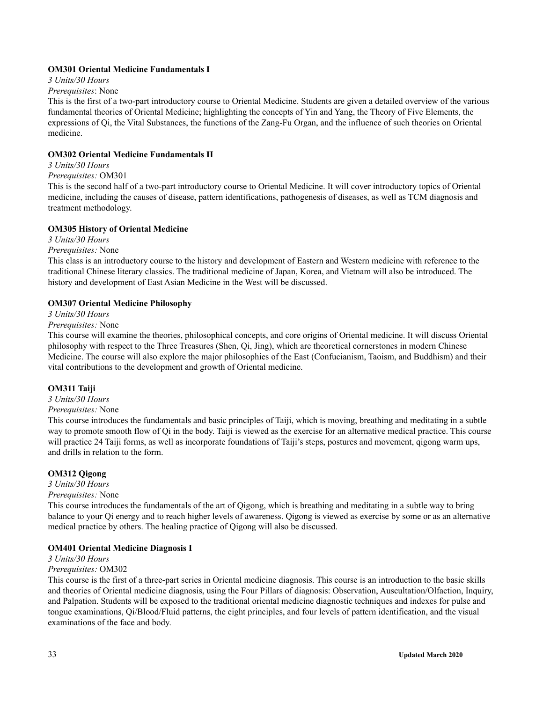### **OM301 Oriental Medicine Fundamentals I**

*3 Units/30 Hours*

#### *Prerequisites*: None

This is the first of a two-part introductory course to Oriental Medicine. Students are given a detailed overview of the various fundamental theories of Oriental Medicine; highlighting the concepts of Yin and Yang, the Theory of Five Elements, the expressions of Qi, the Vital Substances, the functions of the Zang-Fu Organ, and the influence of such theories on Oriental medicine.

#### **OM302 Oriental Medicine Fundamentals II**

### *3 Units/30 Hours*

### *Prerequisites:* OM301

This is the second half of a two-part introductory course to Oriental Medicine. It will cover introductory topics of Oriental medicine, including the causes of disease, pattern identifications, pathogenesis of diseases, as well as TCM diagnosis and treatment methodology.

#### **OM305 History of Oriental Medicine**

*3 Units/30 Hours*

#### *Prerequisites:* None

This class is an introductory course to the history and development of Eastern and Western medicine with reference to the traditional Chinese literary classics. The traditional medicine of Japan, Korea, and Vietnam will also be introduced. The history and development of East Asian Medicine in the West will be discussed.

#### **OM307 Oriental Medicine Philosophy**

*3 Units/30 Hours*

#### *Prerequisites:* None

This course will examine the theories, philosophical concepts, and core origins of Oriental medicine. It will discuss Oriental philosophy with respect to the Three Treasures (Shen, Qi, Jing), which are theoretical cornerstones in modern Chinese Medicine. The course will also explore the major philosophies of the East (Confucianism, Taoism, and Buddhism) and their vital contributions to the development and growth of Oriental medicine.

#### **OM311 Taiji**

*3 Units/30 Hours*

#### *Prerequisites:* None

This course introduces the fundamentals and basic principles of Taiji, which is moving, breathing and meditating in a subtle way to promote smooth flow of Qi in the body. Taiji is viewed as the exercise for an alternative medical practice. This course will practice 24 Taiji forms, as well as incorporate foundations of Taiji's steps, postures and movement, qigong warm ups, and drills in relation to the form.

### **OM312 Qigong**

*3 Units/30 Hours*

### *Prerequisites:* None

This course introduces the fundamentals of the art of Qigong, which is breathing and meditating in a subtle way to bring balance to your Qi energy and to reach higher levels of awareness. Qigong is viewed as exercise by some or as an alternative medical practice by others. The healing practice of Qigong will also be discussed.

#### **OM401 Oriental Medicine Diagnosis I**

#### *3 Units/30 Hours*

#### *Prerequisites:* OM302

This course is the first of a three-part series in Oriental medicine diagnosis. This course is an introduction to the basic skills and theories of Oriental medicine diagnosis, using the Four Pillars of diagnosis: Observation, Auscultation/Olfaction, Inquiry, and Palpation. Students will be exposed to the traditional oriental medicine diagnostic techniques and indexes for pulse and tongue examinations, Qi/Blood/Fluid patterns, the eight principles, and four levels of pattern identification, and the visual examinations of the face and body.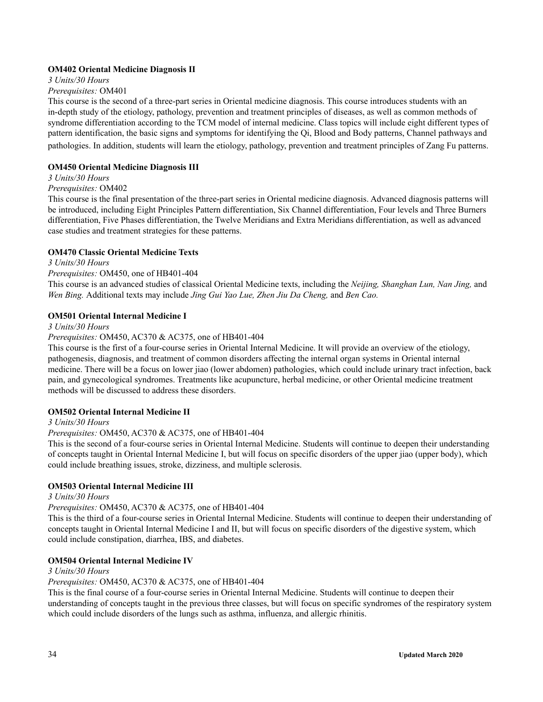### **OM402 Oriental Medicine Diagnosis II**

*3 Units/30 Hours*

### *Prerequisites:* OM401

This course is the second of a three-part series in Oriental medicine diagnosis. This course introduces students with an in-depth study of the etiology, pathology, prevention and treatment principles of diseases, as well as common methods of syndrome differentiation according to the TCM model of internal medicine. Class topics will include eight different types of pattern identification, the basic signs and symptoms for identifying the Qi, Blood and Body patterns, Channel pathways and pathologies. In addition, students will learn the etiology, pathology, prevention and treatment principles of Zang Fu patterns.

### **OM450 Oriental Medicine Diagnosis III**

#### *3 Units/30 Hours*

#### *Prerequisites:* OM402

This course is the final presentation of the three-part series in Oriental medicine diagnosis. Advanced diagnosis patterns will be introduced, including Eight Principles Pattern differentiation, Six Channel differentiation, Four levels and Three Burners differentiation, Five Phases differentiation, the Twelve Meridians and Extra Meridians differentiation, as well as advanced case studies and treatment strategies for these patterns.

### **OM470 Classic Oriental Medicine Texts**

### *3 Units/30 Hours*

#### *Prerequisites:* OM450, one of HB401-404

This course is an advanced studies of classical Oriental Medicine texts, including the *Neijing, Shanghan Lun, Nan Jing,* and *Wen Bing.* Additional texts may include *Jing Gui Yao Lue, Zhen Jiu Da Cheng,* and *Ben Cao.*

#### **OM501 Oriental Internal Medicine I**

#### *3 Units/30 Hours*

*Prerequisites:* OM450, AC370 & AC375, one of HB401-404

This course is the first of a four-course series in Oriental Internal Medicine. It will provide an overview of the etiology, pathogenesis, diagnosis, and treatment of common disorders affecting the internal organ systems in Oriental internal medicine. There will be a focus on lower jiao (lower abdomen) pathologies, which could include urinary tract infection, back pain, and gynecological syndromes. Treatments like acupuncture, herbal medicine, or other Oriental medicine treatment methods will be discussed to address these disorders.

### **OM502 Oriental Internal Medicine II**

### *3 Units/30 Hours*

### *Prerequisites:* OM450, AC370 & AC375, one of HB401-404

This is the second of a four-course series in Oriental Internal Medicine. Students will continue to deepen their understanding of concepts taught in Oriental Internal Medicine I, but will focus on specific disorders of the upper jiao (upper body), which could include breathing issues, stroke, dizziness, and multiple sclerosis.

### **OM503 Oriental Internal Medicine III**

### *3 Units/30 Hours*

### *Prerequisites:* OM450, AC370 & AC375, one of HB401-404

This is the third of a four-course series in Oriental Internal Medicine. Students will continue to deepen their understanding of concepts taught in Oriental Internal Medicine I and II, but will focus on specific disorders of the digestive system, which could include constipation, diarrhea, IBS, and diabetes.

### **OM504 Oriental Internal Medicine IV**

### *3 Units/30 Hours*

### *Prerequisites:* OM450, AC370 & AC375, one of HB401-404

This is the final course of a four-course series in Oriental Internal Medicine. Students will continue to deepen their understanding of concepts taught in the previous three classes, but will focus on specific syndromes of the respiratory system which could include disorders of the lungs such as asthma, influenza, and allergic rhinitis.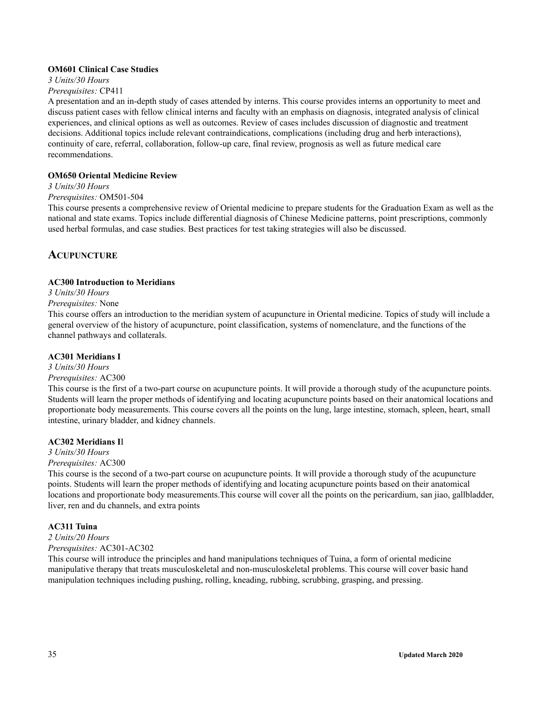#### **OM601 Clinical Case Studies**

### *3 Units/30 Hours*

*Prerequisites:* CP411

A presentation and an in-depth study of cases attended by interns. This course provides interns an opportunity to meet and discuss patient cases with fellow clinical interns and faculty with an emphasis on diagnosis, integrated analysis of clinical experiences, and clinical options as well as outcomes. Review of cases includes discussion of diagnostic and treatment decisions. Additional topics include relevant contraindications, complications (including drug and herb interactions), continuity of care, referral, collaboration, follow-up care, final review, prognosis as well as future medical care recommendations.

### **OM650 Oriental Medicine Review**

### *3 Units/30 Hours*

### *Prerequisites:* OM501-504

This course presents a comprehensive review of Oriental medicine to prepare students for the Graduation Exam as well as the national and state exams. Topics include differential diagnosis of Chinese Medicine patterns, point prescriptions, commonly used herbal formulas, and case studies. Best practices for test taking strategies will also be discussed.

### <span id="page-34-0"></span>**ACUPUNCTURE**

### **AC300 Introduction to Meridians**

### *3 Units/30 Hours*

### *Prerequisites:* None

This course offers an introduction to the meridian system of acupuncture in Oriental medicine. Topics of study will include a general overview of the history of acupuncture, point classification, systems of nomenclature, and the functions of the channel pathways and collaterals.

### **AC301 Meridians I**

### *3 Units/30 Hours*

### *Prerequisites:* AC300

This course is the first of a two-part course on acupuncture points. It will provide a thorough study of the acupuncture points. Students will learn the proper methods of identifying and locating acupuncture points based on their anatomical locations and proportionate body measurements. This course covers all the points on the lung, large intestine, stomach, spleen, heart, small intestine, urinary bladder, and kidney channels.

### **AC302 Meridians I**I

### *3 Units/30 Hours*

### *Prerequisites:* AC300

This course is the second of a two-part course on acupuncture points. It will provide a thorough study of the acupuncture points. Students will learn the proper methods of identifying and locating acupuncture points based on their anatomical locations and proportionate body measurements.This course will cover all the points on the pericardium, san jiao, gallbladder, liver, ren and du channels, and extra points

### **AC311 Tuina**

#### *2 Units/20 Hours Prerequisites:* AC301-AC302

This course will introduce the principles and hand manipulations techniques of Tuina, a form of oriental medicine manipulative therapy that treats musculoskeletal and non-musculoskeletal problems. This course will cover basic hand manipulation techniques including pushing, rolling, kneading, rubbing, scrubbing, grasping, and pressing.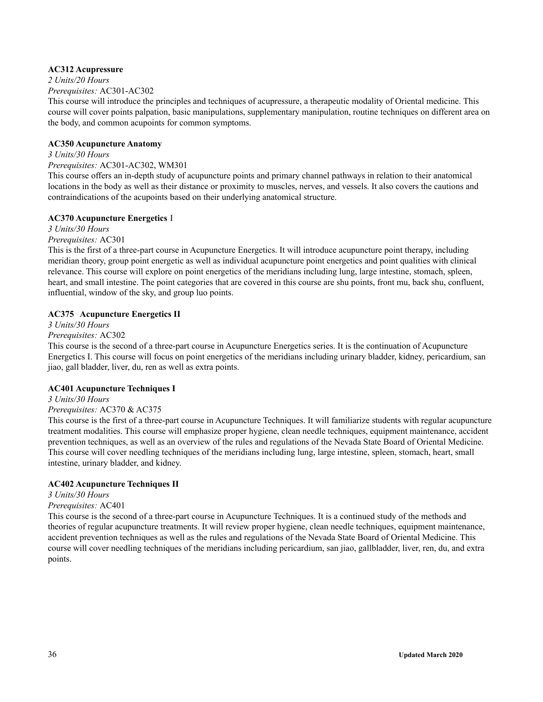### **AC312 Acupressure**

*2 Units/20 Hours*

*Prerequisites:* AC301-AC302

This course will introduce the principles and techniques of acupressure, a therapeutic modality of Oriental medicine. This course will cover points palpation, basic manipulations, supplementary manipulation, routine techniques on different area on the body, and common acupoints for common symptoms.

#### **AC350 Acupuncture Anatomy**

#### *3 Units/30 Hours Prerequisites:* AC301-AC302, WM301

This course offers an in-depth study of acupuncture points and primary channel pathways in relation to their anatomical locations in the body as well as their distance or proximity to muscles, nerves, and vessels. It also covers the cautions and contraindications of the acupoints based on their underlying anatomical structure.

### **AC370 Acupuncture Energetics** I

*3 Units/30 Hours*

*Prerequisites:* AC301

This is the first of a three-part course in Acupuncture Energetics. It will introduce acupuncture point therapy, including meridian theory, group point energetic as well as individual acupuncture point energetics and point qualities with clinical relevance. This course will explore on point energetics of the meridians including lung, large intestine, stomach, spleen, heart, and small intestine. The point categories that are covered in this course are shu points, front mu, back shu, confluent, influential, window of the sky, and group luo points.

### **AC375 Acupuncture Energetics II**

*3 Units/30 Hours*

### *Prerequisites:* AC302

This course is the second of a three-part course in Acupuncture Energetics series. It is the continuation of Acupuncture Energetics I. This course will focus on point energetics of the meridians including urinary bladder, kidney, pericardium, san jiao, gall bladder, liver, du, ren as well as extra points.

### **AC401 Acupuncture Techniques I**

*3 Units/30 Hours Prerequisites:* AC370 & AC375

This course is the first of a three-part course in Acupuncture Techniques. It will familiarize students with regular acupuncture treatment modalities. This course will emphasize proper hygiene, clean needle techniques, equipment maintenance, accident prevention techniques, as well as an overview of the rules and regulations of the Nevada State Board of Oriental Medicine. This course will cover needling techniques of the meridians including lung, large intestine, spleen, stomach, heart, small intestine, urinary bladder, and kidney.

### **AC402 Acupuncture Techniques II**

### *3 Units/30 Hours*

### *Prerequisites:* AC401

This course is the second of a three-part course in Acupuncture Techniques. It is a continued study of the methods and theories of regular acupuncture treatments. It will review proper hygiene, clean needle techniques, equipment maintenance, accident prevention techniques as well as the rules and regulations of the Nevada State Board of Oriental Medicine. This course will cover needling techniques of the meridians including pericardium, san jiao, gallbladder, liver, ren, du, and extra points.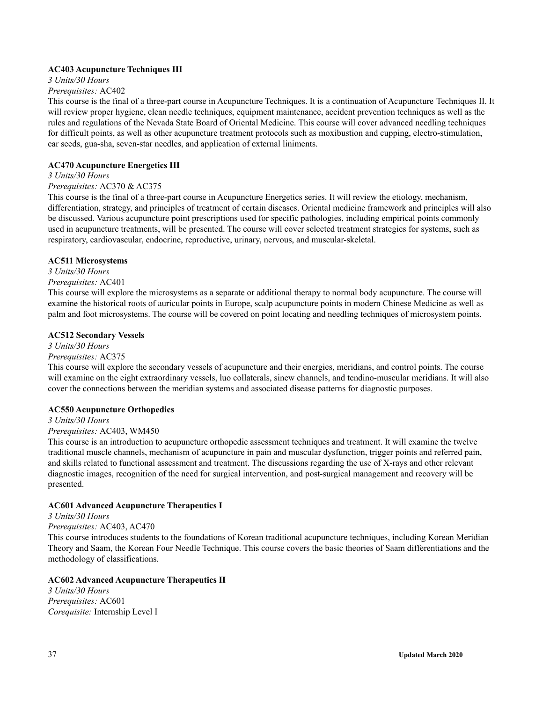### **AC403 Acupuncture Techniques III**

*3 Units/30 Hours*

### *Prerequisites:* AC402

This course is the final of a three-part course in Acupuncture Techniques. It is a continuation of Acupuncture Techniques II. It will review proper hygiene, clean needle techniques, equipment maintenance, accident prevention techniques as well as the rules and regulations of the Nevada State Board of Oriental Medicine. This course will cover advanced needling techniques for difficult points, as well as other acupuncture treatment protocols such as moxibustion and cupping, electro-stimulation, ear seeds, gua-sha, seven-star needles, and application of external liniments.

### **AC470 Acupuncture Energetics III**

### *3 Units/30 Hours*

### *Prerequisites:* AC370 & AC375

This course is the final of a three-part course in Acupuncture Energetics series. It will review the etiology, mechanism, differentiation, strategy, and principles of treatment of certain diseases. Oriental medicine framework and principles will also be discussed. Various acupuncture point prescriptions used for specific pathologies, including empirical points commonly used in acupuncture treatments, will be presented. The course will cover selected treatment strategies for systems, such as respiratory, cardiovascular, endocrine, reproductive, urinary, nervous, and muscular-skeletal.

### **AC511 Microsystems**

*3 Units/30 Hours Prerequisites:* AC401

This course will explore the microsystems as a separate or additional therapy to normal body acupuncture. The course will examine the historical roots of auricular points in Europe, scalp acupuncture points in modern Chinese Medicine as well as palm and foot microsystems. The course will be covered on point locating and needling techniques of microsystem points.

### **AC512 Secondary Vessels**

### *3 Units/30 Hours*

### *Prerequisites:* AC375

This course will explore the secondary vessels of acupuncture and their energies, meridians, and control points. The course will examine on the eight extraordinary vessels, luo collaterals, sinew channels, and tendino-muscular meridians. It will also cover the connections between the meridian systems and associated disease patterns for diagnostic purposes.

### **AC550 Acupuncture Orthopedics**

*3 Units/30 Hours*

### *Prerequisites:* AC403, WM450

This course is an introduction to acupuncture orthopedic assessment techniques and treatment. It will examine the twelve traditional muscle channels, mechanism of acupuncture in pain and muscular dysfunction, trigger points and referred pain, and skills related to functional assessment and treatment. The discussions regarding the use of X-rays and other relevant diagnostic images, recognition of the need for surgical intervention, and post-surgical management and recovery will be presented.

### **AC601 Advanced Acupuncture Therapeutics I**

### *3 Units/30 Hours*

*Prerequisites:* AC403, AC470

This course introduces students to the foundations of Korean traditional acupuncture techniques, including Korean Meridian Theory and Saam, the Korean Four Needle Technique. This course covers the basic theories of Saam differentiations and the methodology of classifications.

### **AC602 Advanced Acupuncture Therapeutics II**

*3 Units/30 Hours Prerequisites:* AC601 *Corequisite:* Internship Level I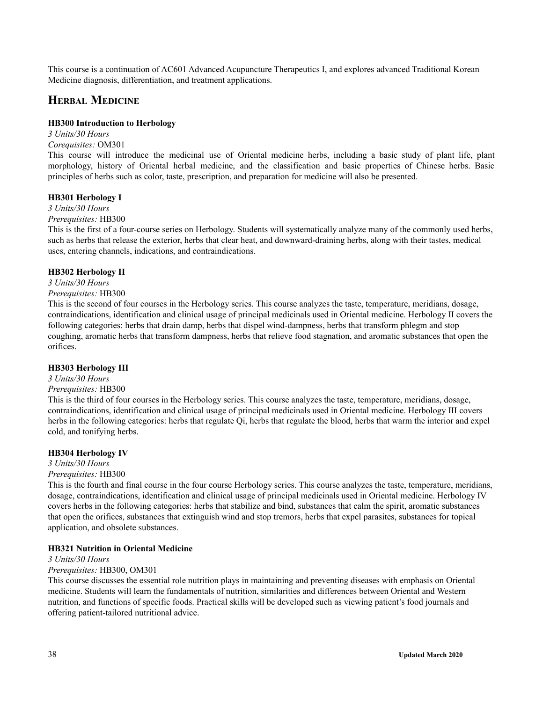This course is a continuation of AC601 Advanced Acupuncture Therapeutics I, and explores advanced Traditional Korean Medicine diagnosis, differentiation, and treatment applications.

### **HERBAL MEDICINE**

### **HB300 Introduction to Herbology**

*3 Units/30 Hours Corequisites:* OM301

This course will introduce the medicinal use of Oriental medicine herbs, including a basic study of plant life, plant morphology, history of Oriental herbal medicine, and the classification and basic properties of Chinese herbs. Basic principles of herbs such as color, taste, prescription, and preparation for medicine will also be presented.

### **HB301 Herbology I**

*3 Units/30 Hours*

*Prerequisites:* HB300

This is the first of a four-course series on Herbology. Students will systematically analyze many of the commonly used herbs, such as herbs that release the exterior, herbs that clear heat, and downward-draining herbs, along with their tastes, medical uses, entering channels, indications, and contraindications.

### **HB302 Herbology II**

*3 Units/30 Hours*

### *Prerequisites:* HB300

This is the second of four courses in the Herbology series. This course analyzes the taste, temperature, meridians, dosage, contraindications, identification and clinical usage of principal medicinals used in Oriental medicine. Herbology II covers the following categories: herbs that drain damp, herbs that dispel wind-dampness, herbs that transform phlegm and stop coughing, aromatic herbs that transform dampness, herbs that relieve food stagnation, and aromatic substances that open the orifices.

#### **HB303 Herbology III**

### *3 Units/30 Hours*

#### *Prerequisites:* HB300

This is the third of four courses in the Herbology series. This course analyzes the taste, temperature, meridians, dosage, contraindications, identification and clinical usage of principal medicinals used in Oriental medicine. Herbology III covers herbs in the following categories: herbs that regulate Qi, herbs that regulate the blood, herbs that warm the interior and expel cold, and tonifying herbs.

#### **HB304 Herbology IV**

*3 Units/30 Hours*

*Prerequisites:* HB300

This is the fourth and final course in the four course Herbology series. This course analyzes the taste, temperature, meridians, dosage, contraindications, identification and clinical usage of principal medicinals used in Oriental medicine. Herbology IV covers herbs in the following categories: herbs that stabilize and bind, substances that calm the spirit, aromatic substances that open the orifices, substances that extinguish wind and stop tremors, herbs that expel parasites, substances for topical application, and obsolete substances.

### **HB321 Nutrition in Oriental Medicine**

*3 Units/30 Hours*

#### *Prerequisites:* HB300, OM301

This course discusses the essential role nutrition plays in maintaining and preventing diseases with emphasis on Oriental medicine. Students will learn the fundamentals of nutrition, similarities and differences between Oriental and Western nutrition, and functions of specific foods. Practical skills will be developed such as viewing patient's food journals and offering patient-tailored nutritional advice.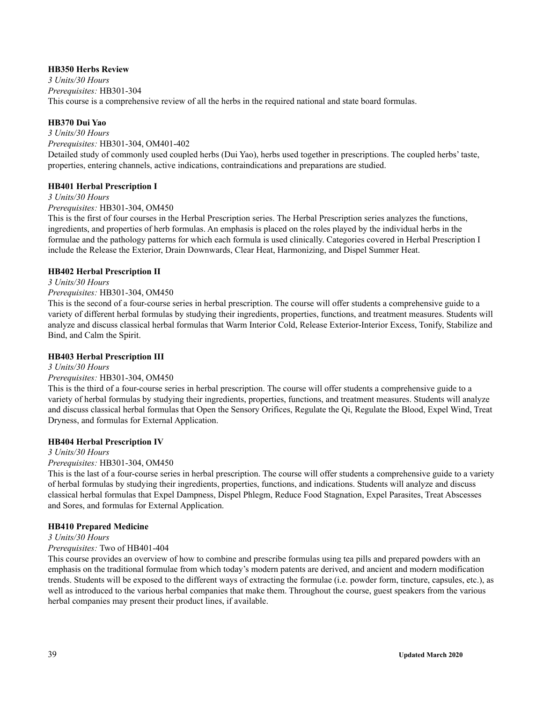### **HB350 Herbs Review**

*3 Units/30 Hours Prerequisites:* HB301-304 This course is a comprehensive review of all the herbs in the required national and state board formulas.

### **HB370 Dui Yao**

*3 Units/30 Hours Prerequisites:* HB301-304, OM401-402 Detailed study of commonly used coupled herbs (Dui Yao), herbs used together in prescriptions. The coupled herbs' taste, properties, entering channels, active indications, contraindications and preparations are studied.

### **HB401 Herbal Prescription I**

*3 Units/30 Hours Prerequisites:* HB301-304, OM450

This is the first of four courses in the Herbal Prescription series. The Herbal Prescription series analyzes the functions, ingredients, and properties of herb formulas. An emphasis is placed on the roles played by the individual herbs in the formulae and the pathology patterns for which each formula is used clinically. Categories covered in Herbal Prescription I include the Release the Exterior, Drain Downwards, Clear Heat, Harmonizing, and Dispel Summer Heat.

### **HB402 Herbal Prescription II**

*3 Units/30 Hours*

### *Prerequisites:* HB301-304, OM450

This is the second of a four-course series in herbal prescription. The course will offer students a comprehensive guide to a variety of different herbal formulas by studying their ingredients, properties, functions, and treatment measures. Students will analyze and discuss classical herbal formulas that Warm Interior Cold, Release Exterior-Interior Excess, Tonify, Stabilize and Bind, and Calm the Spirit.

### **HB403 Herbal Prescription III**

### *3 Units/30 Hours*

### *Prerequisites:* HB301-304, OM450

This is the third of a four-course series in herbal prescription. The course will offer students a comprehensive guide to a variety of herbal formulas by studying their ingredients, properties, functions, and treatment measures. Students will analyze and discuss classical herbal formulas that Open the Sensory Orifices, Regulate the Qi, Regulate the Blood, Expel Wind, Treat Dryness, and formulas for External Application.

### **HB404 Herbal Prescription IV**

### *3 Units/30 Hours*

### *Prerequisites:* HB301-304, OM450

This is the last of a four-course series in herbal prescription. The course will offer students a comprehensive guide to a variety of herbal formulas by studying their ingredients, properties, functions, and indications. Students will analyze and discuss classical herbal formulas that Expel Dampness, Dispel Phlegm, Reduce Food Stagnation, Expel Parasites, Treat Abscesses and Sores, and formulas for External Application.

### **HB410 Prepared Medicine**

### *3 Units/30 Hours*

### *Prerequisites:* Two of HB401-404

This course provides an overview of how to combine and prescribe formulas using tea pills and prepared powders with an emphasis on the traditional formulae from which today's modern patents are derived, and ancient and modern modification trends. Students will be exposed to the different ways of extracting the formulae (i.e. powder form, tincture, capsules, etc.), as well as introduced to the various herbal companies that make them. Throughout the course, guest speakers from the various herbal companies may present their product lines, if available.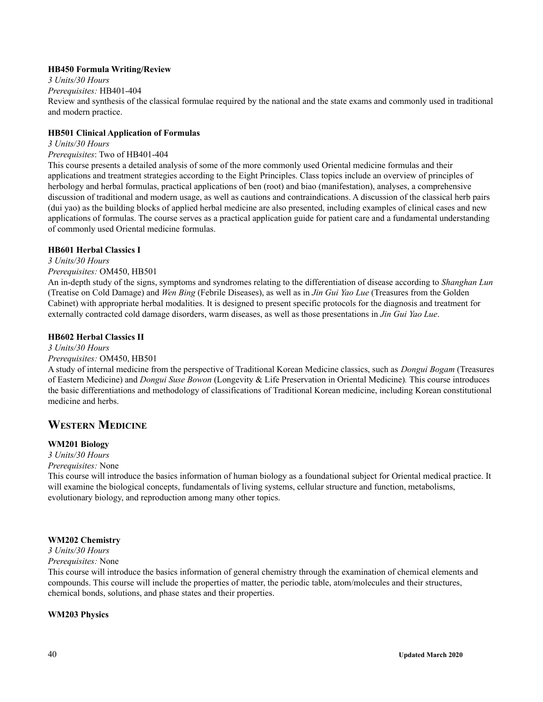### **HB450 Formula Writing/Review**

#### *3 Units/30 Hours Prerequisites:* HB401-404

Review and synthesis of the classical formulae required by the national and the state exams and commonly used in traditional and modern practice.

### **HB501 Clinical Application of Formulas**

### *3 Units/30 Hours*

### *Prerequisites*: Two of HB401-404

This course presents a detailed analysis of some of the more commonly used Oriental medicine formulas and their applications and treatment strategies according to the Eight Principles. Class topics include an overview of principles of herbology and herbal formulas, practical applications of ben (root) and biao (manifestation), analyses, a comprehensive discussion of traditional and modern usage, as well as cautions and contraindications. A discussion of the classical herb pairs (dui yao) as the building blocks of applied herbal medicine are also presented, including examples of clinical cases and new applications of formulas. The course serves as a practical application guide for patient care and a fundamental understanding of commonly used Oriental medicine formulas.

### **HB601 Herbal Classics I**

### *3 Units/30 Hours*

### *Prerequisites:* OM450, HB501

An in-depth study of the signs, symptoms and syndromes relating to the differentiation of disease according to *Shanghan Lun* (Treatise on Cold Damage) and *Wen Bing* (Febrile Diseases), as well as in *Jin Gui Yao Lue* (Treasures from the Golden Cabinet) with appropriate herbal modalities. It is designed to present specific protocols for the diagnosis and treatment for externally contracted cold damage disorders, warm diseases, as well as those presentations in *Jin Gui Yao Lue*.

### **HB602 Herbal Classics II**

### *3 Units/30 Hours*

### *Prerequisites:* OM450, HB501

A study of internal medicine from the perspective of Traditional Korean Medicine classics, such as *Dongui Bogam* (Treasures of Eastern Medicine) and *Dongui Suse Bowon* (Longevity & Life Preservation in Oriental Medicine)*.* This course introduces the basic differentiations and methodology of classifications of Traditional Korean medicine, including Korean constitutional medicine and herbs.

### **WESTERN MEDICINE**

### **WM201 Biology**

### *3 Units/30 Hours*

### *Prerequisites:* None

This course will introduce the basics information of human biology as a foundational subject for Oriental medical practice. It will examine the biological concepts, fundamentals of living systems, cellular structure and function, metabolisms, evolutionary biology, and reproduction among many other topics.

### **WM202 Chemistry**

## *3 Units/30 Hours*

*Prerequisites:* None

This course will introduce the basics information of general chemistry through the examination of chemical elements and compounds. This course will include the properties of matter, the periodic table, atom/molecules and their structures, chemical bonds, solutions, and phase states and their properties.

### **WM203 Physics**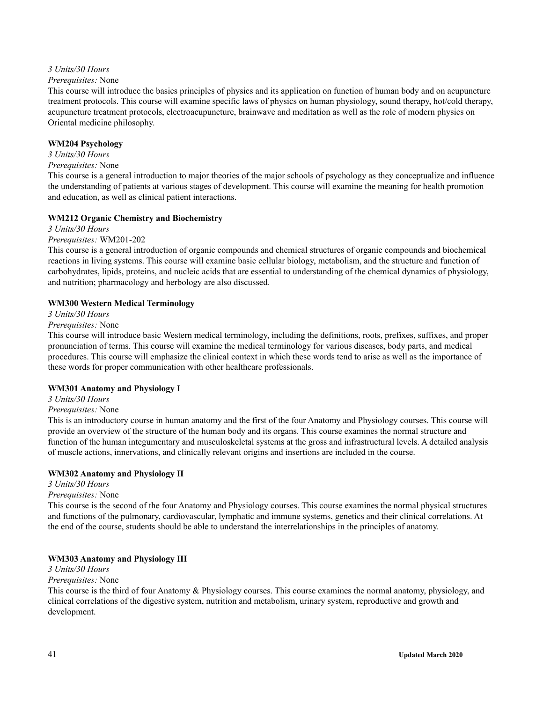### *3 Units/30 Hours*

### *Prerequisites:* None

This course will introduce the basics principles of physics and its application on function of human body and on acupuncture treatment protocols. This course will examine specific laws of physics on human physiology, sound therapy, hot/cold therapy, acupuncture treatment protocols, electroacupuncture, brainwave and meditation as well as the role of modern physics on Oriental medicine philosophy.

### **WM204 Psychology**

*3 Units/30 Hours*

## *Prerequisites:* None

This course is a general introduction to major theories of the major schools of psychology as they conceptualize and influence the understanding of patients at various stages of development. This course will examine the meaning for health promotion and education, as well as clinical patient interactions.

### **WM212 Organic Chemistry and Biochemistry**

*3 Units/30 Hours*

### *Prerequisites:* WM201-202

This course is a general introduction of organic compounds and chemical structures of organic compounds and biochemical reactions in living systems. This course will examine basic cellular biology, metabolism, and the structure and function of carbohydrates, lipids, proteins, and nucleic acids that are essential to understanding of the chemical dynamics of physiology, and nutrition; pharmacology and herbology are also discussed.

### **WM300 Western Medical Terminology**

*3 Units/30 Hours*

### *Prerequisites:* None

This course will introduce basic Western medical terminology, including the definitions, roots, prefixes, suffixes, and proper pronunciation of terms. This course will examine the medical terminology for various diseases, body parts, and medical procedures. This course will emphasize the clinical context in which these words tend to arise as well as the importance of these words for proper communication with other healthcare professionals.

### **WM301 Anatomy and Physiology I**

*3 Units/30 Hours Prerequisites:* None

This is an introductory course in human anatomy and the first of the four Anatomy and Physiology courses. This course will provide an overview of the structure of the human body and its organs. This course examines the normal structure and function of the human integumentary and musculoskeletal systems at the gross and infrastructural levels. A detailed analysis of muscle actions, innervations, and clinically relevant origins and insertions are included in the course.

### **WM302 Anatomy and Physiology II**

*3 Units/30 Hours*

### *Prerequisites:* None

This course is the second of the four Anatomy and Physiology courses. This course examines the normal physical structures and functions of the pulmonary, cardiovascular, lymphatic and immune systems, genetics and their clinical correlations. At the end of the course, students should be able to understand the interrelationships in the principles of anatomy.

### **WM303 Anatomy and Physiology III**

*3 Units/30 Hours*

### *Prerequisites:* None

This course is the third of four Anatomy & Physiology courses. This course examines the normal anatomy, physiology, and clinical correlations of the digestive system, nutrition and metabolism, urinary system, reproductive and growth and development.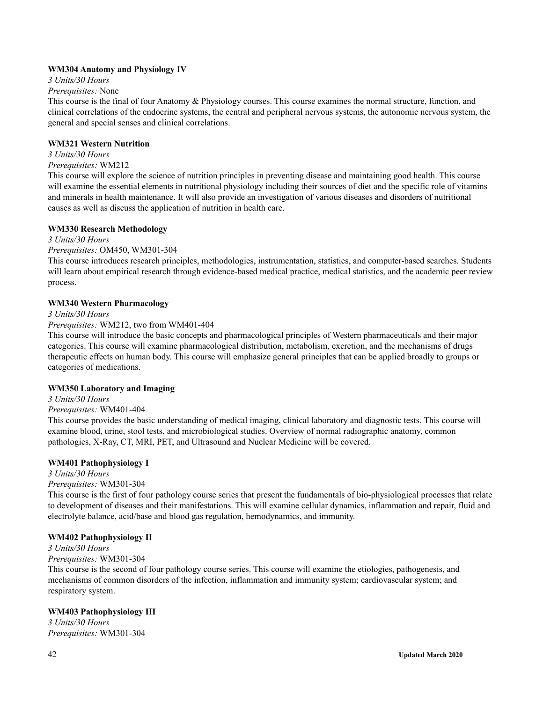### **WM304 Anatomy and Physiology IV**

*3 Units/30 Hours*

### *Prerequisites:* None

This course is the final of four Anatomy & Physiology courses. This course examines the normal structure, function, and clinical correlations of the endocrine systems, the central and peripheral nervous systems, the autonomic nervous system, the general and special senses and clinical correlations.

### **WM321 Western Nutrition**

*3 Units/30 Hours*

## *Prerequisites:* WM212

This course will explore the science of nutrition principles in preventing disease and maintaining good health. This course will examine the essential elements in nutritional physiology including their sources of diet and the specific role of vitamins and minerals in health maintenance. It will also provide an investigation of various diseases and disorders of nutritional causes as well as discuss the application of nutrition in health care.

### **WM330 Research Methodology**

*3 Units/30 Hours*

### *Prerequisites:* OM450, WM301-304

This course introduces research principles, methodologies, instrumentation, statistics, and computer-based searches. Students will learn about empirical research through evidence-based medical practice, medical statistics, and the academic peer review process.

### **WM340 Western Pharmacology**

*3 Units/30 Hours*

### *Prerequisites:* WM212, two from WM401-404

This course will introduce the basic concepts and pharmacological principles of Western pharmaceuticals and their major categories. This course will examine pharmacological distribution, metabolism, excretion, and the mechanisms of drugs therapeutic effects on human body. This course will emphasize general principles that can be applied broadly to groups or categories of medications.

### **WM350 Laboratory and Imaging**

*3 Units/30 Hours Prerequisites:* WM401-404

This course provides the basic understanding of medical imaging, clinical laboratory and diagnostic tests. This course will examine blood, urine, stool tests, and microbiological studies. Overview of normal radiographic anatomy, common pathologies, X-Ray, CT, MRI, PET, and Ultrasound and Nuclear Medicine will be covered.

### **WM401 Pathophysiology I**

*3 Units/30 Hours Prerequisites:* WM301-304

This course is the first of four pathology course series that present the fundamentals of bio-physiological processes that relate to development of diseases and their manifestations. This will examine cellular dynamics, inflammation and repair, fluid and electrolyte balance, acid/base and blood gas regulation, hemodynamics, and immunity.

### **WM402 Pathophysiology II**

## *3 Units/30 Hours*

*Prerequisites:* WM301-304

This course is the second of four pathology course series. This course will examine the etiologies, pathogenesis, and mechanisms of common disorders of the infection, inflammation and immunity system; cardiovascular system; and respiratory system.

### **WM403 Pathophysiology III**

*3 Units/30 Hours Prerequisites:* WM301-304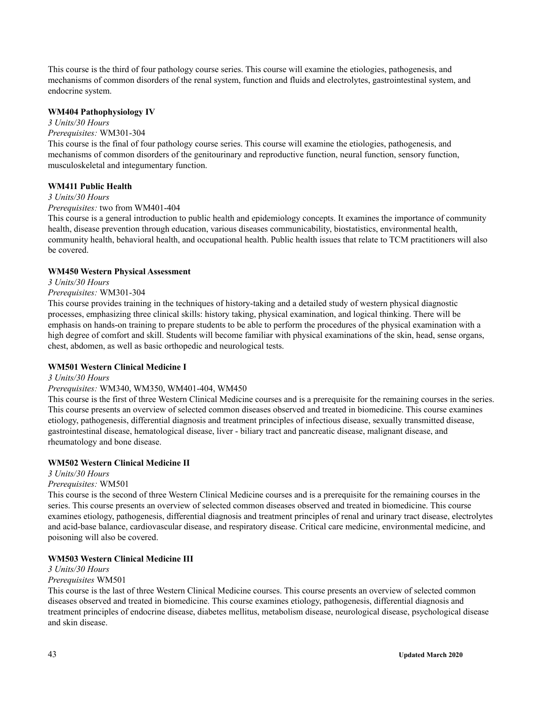This course is the third of four pathology course series. This course will examine the etiologies, pathogenesis, and mechanisms of common disorders of the renal system, function and fluids and electrolytes, gastrointestinal system, and endocrine system.

### **WM404 Pathophysiology IV**

*3 Units/30 Hours*

#### *Prerequisites:* WM301-304

This course is the final of four pathology course series. This course will examine the etiologies, pathogenesis, and mechanisms of common disorders of the genitourinary and reproductive function, neural function, sensory function, musculoskeletal and integumentary function.

#### **WM411 Public Health**

#### *3 Units/30 Hours*

#### *Prerequisites:* two from WM401-404

This course is a general introduction to public health and epidemiology concepts. It examines the importance of community health, disease prevention through education, various diseases communicability, biostatistics, environmental health, community health, behavioral health, and occupational health. Public health issues that relate to TCM practitioners will also be covered.

#### **WM450 Western Physical Assessment**

### *3 Units/30 Hours*

### *Prerequisites:* WM301-304

This course provides training in the techniques of history-taking and a detailed study of western physical diagnostic processes, emphasizing three clinical skills: history taking, physical examination, and logical thinking. There will be emphasis on hands-on training to prepare students to be able to perform the procedures of the physical examination with a high degree of comfort and skill. Students will become familiar with physical examinations of the skin, head, sense organs, chest, abdomen, as well as basic orthopedic and neurological tests.

#### **WM501 Western Clinical Medicine I**

#### *3 Units/30 Hours*

#### *Prerequisites:* WM340, WM350, WM401-404, WM450

This course is the first of three Western Clinical Medicine courses and is a prerequisite for the remaining courses in the series. This course presents an overview of selected common diseases observed and treated in biomedicine. This course examines etiology, pathogenesis, differential diagnosis and treatment principles of infectious disease, sexually transmitted disease, gastrointestinal disease, hematological disease, liver - biliary tract and pancreatic disease, malignant disease, and rheumatology and bone disease.

### **WM502 Western Clinical Medicine II**

### *3 Units/30 Hours*

#### *Prerequisites:* WM501

This course is the second of three Western Clinical Medicine courses and is a prerequisite for the remaining courses in the series. This course presents an overview of selected common diseases observed and treated in biomedicine. This course examines etiology, pathogenesis, differential diagnosis and treatment principles of renal and urinary tract disease, electrolytes and acid-base balance, cardiovascular disease, and respiratory disease. Critical care medicine, environmental medicine, and poisoning will also be covered.

#### **WM503 Western Clinical Medicine III**

### *3 Units/30 Hours*

#### *Prerequisites* WM501

This course is the last of three Western Clinical Medicine courses. This course presents an overview of selected common diseases observed and treated in biomedicine. This course examines etiology, pathogenesis, differential diagnosis and treatment principles of endocrine disease, diabetes mellitus, metabolism disease, neurological disease, psychological disease and skin disease.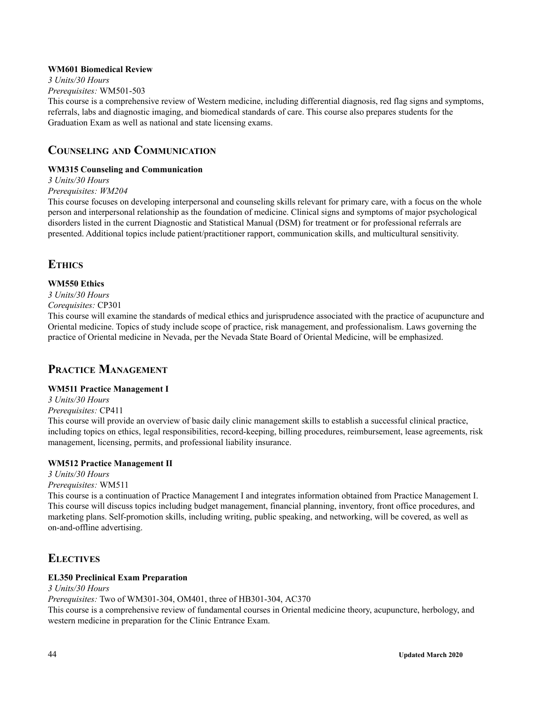### **WM601 Biomedical Review**

*3 Units/30 Hours Prerequisites:* WM501-503

This course is a comprehensive review of Western medicine, including differential diagnosis, red flag signs and symptoms, referrals, labs and diagnostic imaging, and biomedical standards of care. This course also prepares students for the Graduation Exam as well as national and state licensing exams.

### **COUNSELING AND COMMUNICATION**

### **WM315 Counseling and Communication**

*3 Units/30 Hours*

### *Prerequisites: WM204*

This course focuses on developing interpersonal and counseling skills relevant for primary care, with a focus on the whole person and interpersonal relationship as the foundation of medicine. Clinical signs and symptoms of major psychological disorders listed in the current Diagnostic and Statistical Manual (DSM) for treatment or for professional referrals are presented. Additional topics include patient/practitioner rapport, communication skills, and multicultural sensitivity.

### **ETHICS**

### **WM550 Ethics**

*3 Units/30 Hours*

*Corequisites:* CP301

This course will examine the standards of medical ethics and jurisprudence associated with the practice of acupuncture and Oriental medicine. Topics of study include scope of practice, risk management, and professionalism. Laws governing the practice of Oriental medicine in Nevada, per the Nevada State Board of Oriental Medicine, will be emphasized.

### **PRACTICE MANAGEMENT**

### **WM511 Practice Management I**

*3 Units/30 Hours Prerequisites:* CP411

This course will provide an overview of basic daily clinic management skills to establish a successful clinical practice, including topics on ethics, legal responsibilities, record-keeping, billing procedures, reimbursement, lease agreements, risk management, licensing, permits, and professional liability insurance.

### **WM512 Practice Management II**

*3 Units/30 Hours*

### *Prerequisites:* WM511

This course is a continuation of Practice Management I and integrates information obtained from Practice Management I. This course will discuss topics including budget management, financial planning, inventory, front office procedures, and marketing plans. Self-promotion skills, including writing, public speaking, and networking, will be covered, as well as on-and-offline advertising.

### **ELECTIVES**

### **EL350 Preclinical Exam Preparation**

*3 Units/30 Hours*

*Prerequisites:* Two of WM301-304, OM401, three of HB301-304, AC370

This course is a comprehensive review of fundamental courses in Oriental medicine theory, acupuncture, herbology, and western medicine in preparation for the Clinic Entrance Exam.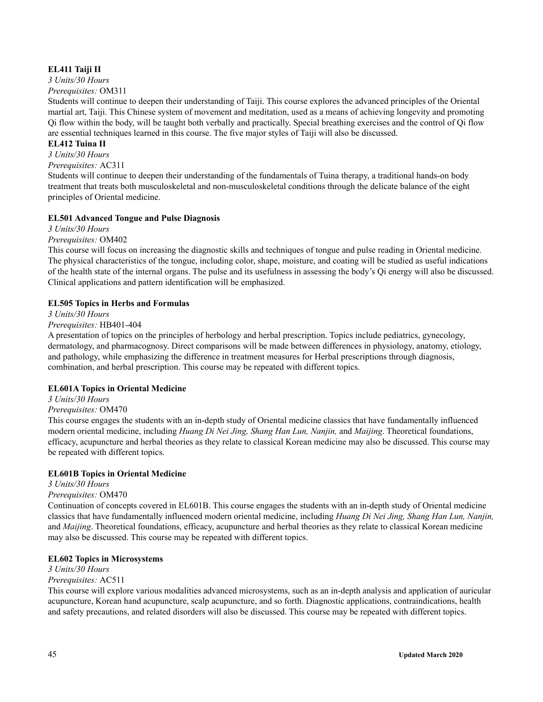### **EL411 Taiji II**

*3 Units/30 Hours*

*Prerequisites:* OM311

Students will continue to deepen their understanding of Taiji. This course explores the advanced principles of the Oriental martial art, Taiji. This Chinese system of movement and meditation, used as a means of achieving longevity and promoting Qi flow within the body, will be taught both verbally and practically. Special breathing exercises and the control of Qi flow are essential techniques learned in this course. The five major styles of Taiji will also be discussed.

### **EL412 Tuina II**

*3 Units/30 Hours*

*Prerequisites:* AC311

Students will continue to deepen their understanding of the fundamentals of Tuina therapy, a traditional hands-on body treatment that treats both musculoskeletal and non-musculoskeletal conditions through the delicate balance of the eight principles of Oriental medicine.

### **EL501 Advanced Tongue and Pulse Diagnosis**

*3 Units/30 Hours*

*Prerequisites:* OM402

This course will focus on increasing the diagnostic skills and techniques of tongue and pulse reading in Oriental medicine. The physical characteristics of the tongue, including color, shape, moisture, and coating will be studied as useful indications of the health state of the internal organs. The pulse and its usefulness in assessing the body's Qi energy will also be discussed. Clinical applications and pattern identification will be emphasized.

### **EL505 Topics in Herbs and Formulas**

*3 Units/30 Hours*

### *Prerequisites:* HB401-404

A presentation of topics on the principles of herbology and herbal prescription. Topics include pediatrics, gynecology, dermatology, and pharmacognosy. Direct comparisons will be made between differences in physiology, anatomy, etiology, and pathology, while emphasizing the difference in treatment measures for Herbal prescriptions through diagnosis, combination, and herbal prescription. This course may be repeated with different topics.

### **EL601A Topics in Oriental Medicine**

*3 Units/30 Hours Prerequisites:* OM470

This course engages the students with an in-depth study of Oriental medicine classics that have fundamentally influenced modern oriental medicine, including *Huang Di Nei Jing, Shang Han Lun, Nanjin,* and *Maijing*. Theoretical foundations, efficacy, acupuncture and herbal theories as they relate to classical Korean medicine may also be discussed. This course may be repeated with different topics.

### **EL601B Topics in Oriental Medicine**

*3 Units/30 Hours*

### *Prerequisites:* OM470

Continuation of concepts covered in EL601B. This course engages the students with an in-depth study of Oriental medicine classics that have fundamentally influenced modern oriental medicine, including *Huang Di Nei Jing, Shang Han Lun, Nanjin,* and *Maijing*. Theoretical foundations, efficacy, acupuncture and herbal theories as they relate to classical Korean medicine may also be discussed. This course may be repeated with different topics.

### **EL602 Topics in Microsystems**

*3 Units/30 Hours*

### *Prerequisites:* AC511

This course will explore various modalities advanced microsystems, such as an in-depth analysis and application of auricular acupuncture, Korean hand acupuncture, scalp acupuncture, and so forth. Diagnostic applications, contraindications, health and safety precautions, and related disorders will also be discussed. This course may be repeated with different topics.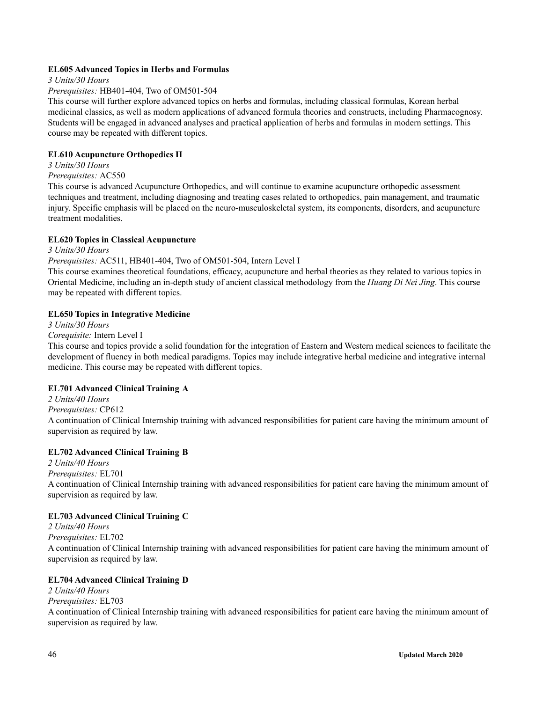### **EL605 Advanced Topics in Herbs and Formulas**

*3 Units/30 Hours*

### *Prerequisites:* HB401-404, Two of OM501-504

This course will further explore advanced topics on herbs and formulas, including classical formulas, Korean herbal medicinal classics, as well as modern applications of advanced formula theories and constructs, including Pharmacognosy. Students will be engaged in advanced analyses and practical application of herbs and formulas in modern settings. This course may be repeated with different topics.

### **EL610 Acupuncture Orthopedics II**

*3 Units/30 Hours*

### *Prerequisites:* AC550

This course is advanced Acupuncture Orthopedics, and will continue to examine acupuncture orthopedic assessment techniques and treatment, including diagnosing and treating cases related to orthopedics, pain management, and traumatic injury. Specific emphasis will be placed on the neuro-musculoskeletal system, its components, disorders, and acupuncture treatment modalities.

### **EL620 Topics in Classical Acupuncture**

*3 Units/30 Hours*

### *Prerequisites:* AC511, HB401-404, Two of OM501-504, Intern Level I

This course examines theoretical foundations, efficacy, acupuncture and herbal theories as they related to various topics in Oriental Medicine, including an in-depth study of ancient classical methodology from the *Huang Di Nei Jing*. This course may be repeated with different topics.

### **EL650 Topics in Integrative Medicine**

*3 Units/30 Hours*

*Corequisite:* Intern Level I

This course and topics provide a solid foundation for the integration of Eastern and Western medical sciences to facilitate the development of fluency in both medical paradigms. Topics may include integrative herbal medicine and integrative internal medicine. This course may be repeated with different topics.

### **EL701 Advanced Clinical Training A**

*2 Units/40 Hours Prerequisites:* CP612 A continuation of Clinical Internship training with advanced responsibilities for patient care having the minimum amount of supervision as required by law.

### **EL702 Advanced Clinical Training B**

*2 Units/40 Hours Prerequisites:* EL701 A continuation of Clinical Internship training with advanced responsibilities for patient care having the minimum amount of supervision as required by law.

### **EL703 Advanced Clinical Training C**

*2 Units/40 Hours Prerequisites:* EL702 A continuation of Clinical Internship training with advanced responsibilities for patient care having the minimum amount of supervision as required by law.

### **EL704 Advanced Clinical Training D**

- *2 Units/40 Hours*
- *Prerequisites:* EL703

A continuation of Clinical Internship training with advanced responsibilities for patient care having the minimum amount of supervision as required by law.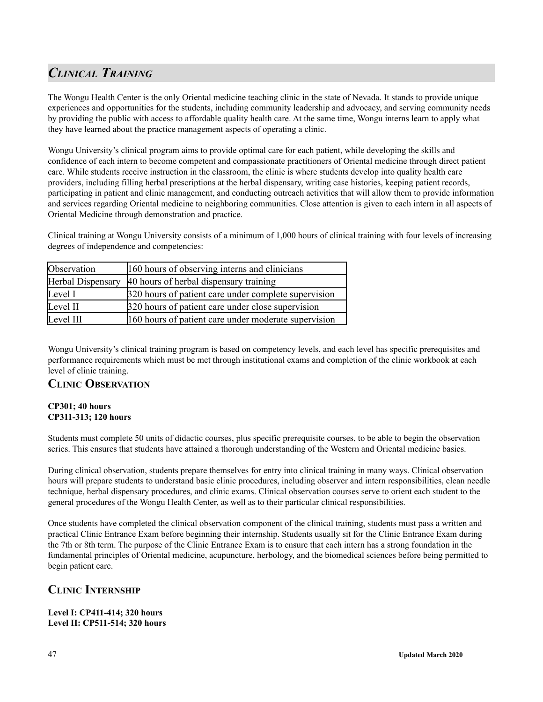# *CLINICAL TRAINING*

The Wongu Health Center is the only Oriental medicine teaching clinic in the state of Nevada. It stands to provide unique experiences and opportunities for the students, including community leadership and advocacy, and serving community needs by providing the public with access to affordable quality health care. At the same time, Wongu interns learn to apply what they have learned about the practice management aspects of operating a clinic.

Wongu University's clinical program aims to provide optimal care for each patient, while developing the skills and confidence of each intern to become competent and compassionate practitioners of Oriental medicine through direct patient care. While students receive instruction in the classroom, the clinic is where students develop into quality health care providers, including filling herbal prescriptions at the herbal dispensary, writing case histories, keeping patient records, participating in patient and clinic management, and conducting outreach activities that will allow them to provide information and services regarding Oriental medicine to neighboring communities. Close attention is given to each intern in all aspects of Oriental Medicine through demonstration and practice.

Clinical training at Wongu University consists of a minimum of 1,000 hours of clinical training with four levels of increasing degrees of independence and competencies:

| Observation       | 160 hours of observing interns and clinicians        |  |
|-------------------|------------------------------------------------------|--|
| Herbal Dispensary | 40 hours of herbal dispensary training               |  |
| Level I           | 320 hours of patient care under complete supervision |  |
| Level II          | 320 hours of patient care under close supervision    |  |
| Level III         | 160 hours of patient care under moderate supervision |  |

Wongu University's clinical training program is based on competency levels, and each level has specific prerequisites and performance requirements which must be met through institutional exams and completion of the clinic workbook at each level of clinic training.

### **CLINIC OBSERVATION**

### **CP301; 40 hours CP311-313; 120 hours**

Students must complete 50 units of didactic courses, plus specific prerequisite courses, to be able to begin the observation series. This ensures that students have attained a thorough understanding of the Western and Oriental medicine basics.

During clinical observation, students prepare themselves for entry into clinical training in many ways. Clinical observation hours will prepare students to understand basic clinic procedures, including observer and intern responsibilities, clean needle technique, herbal dispensary procedures, and clinic exams. Clinical observation courses serve to orient each student to the general procedures of the Wongu Health Center, as well as to their particular clinical responsibilities.

Once students have completed the clinical observation component of the clinical training, students must pass a written and practical Clinic Entrance Exam before beginning their internship. Students usually sit for the Clinic Entrance Exam during the 7th or 8th term. The purpose of the Clinic Entrance Exam is to ensure that each intern has a strong foundation in the fundamental principles of Oriental medicine, acupuncture, herbology, and the biomedical sciences before being permitted to begin patient care.

## **CLINIC INTERNSHIP**

### **Level I: CP411-414; 320 hours Level II: CP511-514; 320 hours**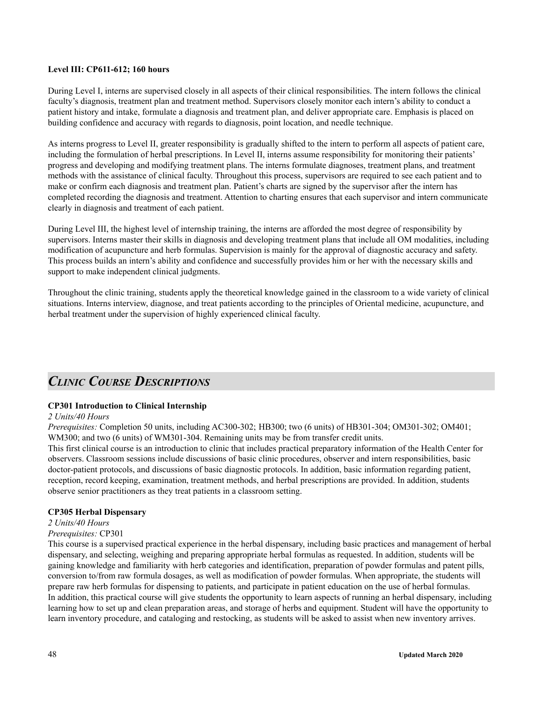### **Level III: CP611-612; 160 hours**

During Level I, interns are supervised closely in all aspects of their clinical responsibilities. The intern follows the clinical faculty's diagnosis, treatment plan and treatment method. Supervisors closely monitor each intern's ability to conduct a patient history and intake, formulate a diagnosis and treatment plan, and deliver appropriate care. Emphasis is placed on building confidence and accuracy with regards to diagnosis, point location, and needle technique.

As interns progress to Level II, greater responsibility is gradually shifted to the intern to perform all aspects of patient care, including the formulation of herbal prescriptions. In Level II, interns assume responsibility for monitoring their patients' progress and developing and modifying treatment plans. The interns formulate diagnoses, treatment plans, and treatment methods with the assistance of clinical faculty. Throughout this process, supervisors are required to see each patient and to make or confirm each diagnosis and treatment plan. Patient's charts are signed by the supervisor after the intern has completed recording the diagnosis and treatment. Attention to charting ensures that each supervisor and intern communicate clearly in diagnosis and treatment of each patient.

During Level III, the highest level of internship training, the interns are afforded the most degree of responsibility by supervisors. Interns master their skills in diagnosis and developing treatment plans that include all OM modalities, including modification of acupuncture and herb formulas. Supervision is mainly for the approval of diagnostic accuracy and safety. This process builds an intern's ability and confidence and successfully provides him or her with the necessary skills and support to make independent clinical judgments.

Throughout the clinic training, students apply the theoretical knowledge gained in the classroom to a wide variety of clinical situations. Interns interview, diagnose, and treat patients according to the principles of Oriental medicine, acupuncture, and herbal treatment under the supervision of highly experienced clinical faculty.

## *CLINIC COURSE DESCRIPTIONS*

### **CP301 Introduction to Clinical Internship**

### *2 Units/40 Hours*

*Prerequisites:* Completion 50 units, including AC300-302; HB300; two (6 units) of HB301-304; OM301-302; OM401; WM300; and two (6 units) of WM301-304. Remaining units may be from transfer credit units.

This first clinical course is an introduction to clinic that includes practical preparatory information of the Health Center for observers. Classroom sessions include discussions of basic clinic procedures, observer and intern responsibilities, basic doctor-patient protocols, and discussions of basic diagnostic protocols. In addition, basic information regarding patient, reception, record keeping, examination, treatment methods, and herbal prescriptions are provided. In addition, students observe senior practitioners as they treat patients in a classroom setting.

### **CP305 Herbal Dispensary**

### *2 Units/40 Hours*

### *Prerequisites:* CP301

This course is a supervised practical experience in the herbal dispensary, including basic practices and management of herbal dispensary, and selecting, weighing and preparing appropriate herbal formulas as requested. In addition, students will be gaining knowledge and familiarity with herb categories and identification, preparation of powder formulas and patent pills, conversion to/from raw formula dosages, as well as modification of powder formulas. When appropriate, the students will prepare raw herb formulas for dispensing to patients, and participate in patient education on the use of herbal formulas. In addition, this practical course will give students the opportunity to learn aspects of running an herbal dispensary, including learning how to set up and clean preparation areas, and storage of herbs and equipment. Student will have the opportunity to learn inventory procedure, and cataloging and restocking, as students will be asked to assist when new inventory arrives.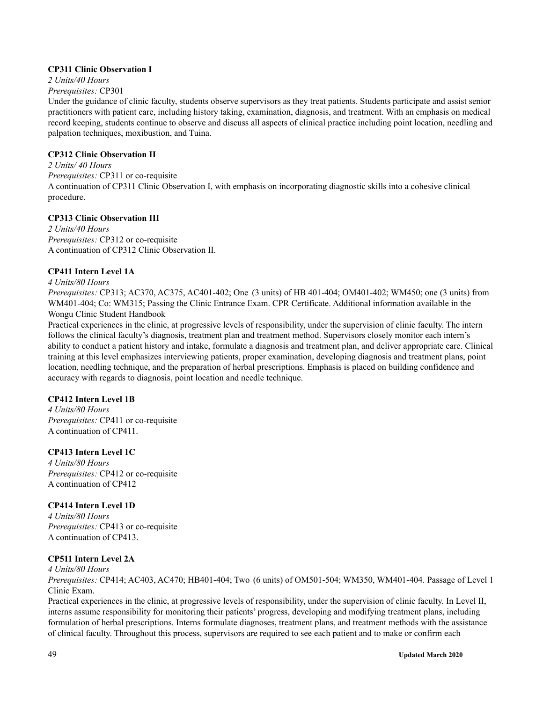### **CP311 Clinic Observation I**

# *2 Units/40 Hours*

*Prerequisites:* CP301

Under the guidance of clinic faculty, students observe supervisors as they treat patients. Students participate and assist senior practitioners with patient care, including history taking, examination, diagnosis, and treatment. With an emphasis on medical record keeping, students continue to observe and discuss all aspects of clinical practice including point location, needling and palpation techniques, moxibustion, and Tuina.

#### **CP312 Clinic Observation II**

*2 Units/ 40 Hours Prerequisites:* CP311 or co-requisite A continuation of CP311 Clinic Observation I, with emphasis on incorporating diagnostic skills into a cohesive clinical procedure.

### **CP313 Clinic Observation III**

*2 Units/40 Hours Prerequisites:* CP312 or co-requisite A continuation of CP312 Clinic Observation II.

### **CP411 Intern Level 1A**

*4 Units/80 Hours*

*Prerequisites:* CP313; AC370, AC375, AC401-402; One (3 units) of HB 401-404; OM401-402; WM450; one (3 units) from WM401-404; Co: WM315; Passing the Clinic Entrance Exam. CPR Certificate. Additional information available in the Wongu Clinic Student Handbook

Practical experiences in the clinic, at progressive levels of responsibility, under the supervision of clinic faculty. The intern follows the clinical faculty's diagnosis, treatment plan and treatment method. Supervisors closely monitor each intern's ability to conduct a patient history and intake, formulate a diagnosis and treatment plan, and deliver appropriate care. Clinical training at this level emphasizes interviewing patients, proper examination, developing diagnosis and treatment plans, point location, needling technique, and the preparation of herbal prescriptions. Emphasis is placed on building confidence and accuracy with regards to diagnosis, point location and needle technique.

### **CP412 Intern Level 1B**

*4 Units/80 Hours Prerequisites:* CP411 or co-requisite A continuation of CP411.

### **CP413 Intern Level 1C**

*4 Units/80 Hours Prerequisites:* CP412 or co-requisite A continuation of CP412

### **CP414 Intern Level 1D**

*4 Units/80 Hours Prerequisites:* CP413 or co-requisite A continuation of CP413.

### **CP511 Intern Level 2A**

*4 Units/80 Hours*

*Prerequisites:* CP414; AC403, AC470; HB401-404; Two (6 units) of OM501-504; WM350, WM401-404. Passage of Level 1 Clinic Exam.

Practical experiences in the clinic, at progressive levels of responsibility, under the supervision of clinic faculty. In Level II, interns assume responsibility for monitoring their patients' progress, developing and modifying treatment plans, including formulation of herbal prescriptions. Interns formulate diagnoses, treatment plans, and treatment methods with the assistance of clinical faculty. Throughout this process, supervisors are required to see each patient and to make or confirm each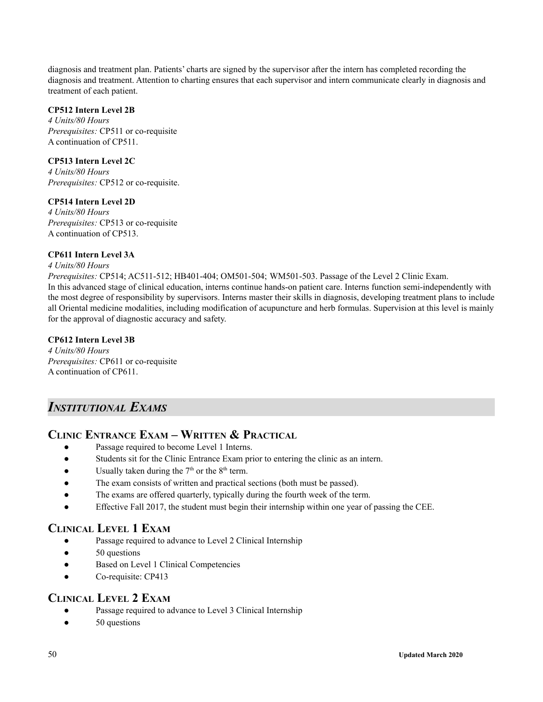diagnosis and treatment plan. Patients' charts are signed by the supervisor after the intern has completed recording the diagnosis and treatment. Attention to charting ensures that each supervisor and intern communicate clearly in diagnosis and treatment of each patient.

### **CP512 Intern Level 2B**

*4 Units/80 Hours Prerequisites:* CP511 or co-requisite A continuation of CP511.

### **CP513 Intern Level 2C**

*4 Units/80 Hours Prerequisites:* CP512 or co-requisite.

### **CP514 Intern Level 2D**

*4 Units/80 Hours Prerequisites:* CP513 or co-requisite A continuation of CP513.

### **CP611 Intern Level 3A**

### *4 Units/80 Hours*

*Prerequisites:* CP514; AC511-512; HB401-404; OM501-504; WM501-503. Passage of the Level 2 Clinic Exam. In this advanced stage of clinical education, interns continue hands-on patient care. Interns function semi-independently with the most degree of responsibility by supervisors. Interns master their skills in diagnosis, developing treatment plans to include all Oriental medicine modalities, including modification of acupuncture and herb formulas. Supervision at this level is mainly for the approval of diagnostic accuracy and safety.

### **CP612 Intern Level 3B**

*4 Units/80 Hours Prerequisites:* CP611 or co-requisite A continuation of CP611.

## *INSTITUTIONAL EXAMS*

### **CLINIC ENTRANCE EXAM – WRITTEN & PRACTICAL**

- Passage required to become Level 1 Interns.
- Students sit for the Clinic Entrance Exam prior to entering the clinic as an intern.
- Usually taken during the  $7<sup>th</sup>$  or the  $8<sup>th</sup>$  term.
- The exam consists of written and practical sections (both must be passed).
- The exams are offered quarterly, typically during the fourth week of the term.
- Effective Fall 2017, the student must begin their internship within one year of passing the CEE.

### **CLINICAL LEVEL 1 EXAM**

- Passage required to advance to Level 2 Clinical Internship
- 50 questions
- Based on Level 1 Clinical Competencies
- Co-requisite: CP413

### **CLINICAL LEVEL 2 EXAM**

- Passage required to advance to Level 3 Clinical Internship
- 50 questions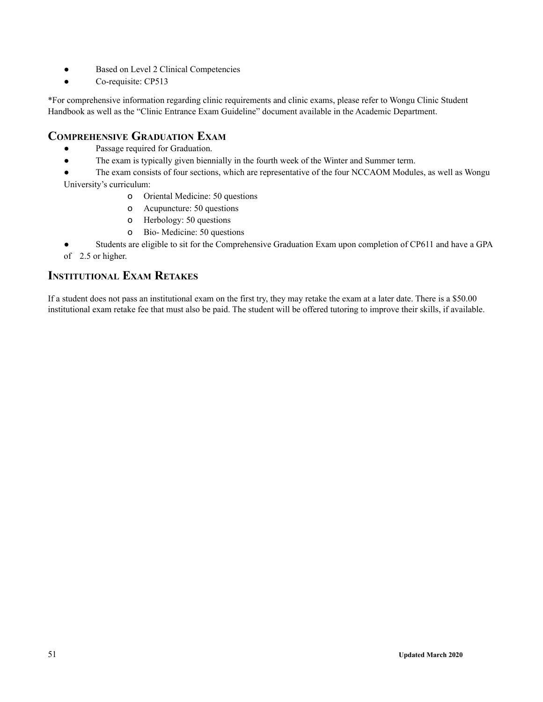- Based on Level 2 Clinical Competencies
- Co-requisite: CP513

\*For comprehensive information regarding clinic requirements and clinic exams, please refer to Wongu Clinic Student Handbook as well as the "Clinic Entrance Exam Guideline" document available in the Academic Department.

## **COMPREHENSIVE GRADUATION EXAM**

- Passage required for Graduation.
- The exam is typically given biennially in the fourth week of the Winter and Summer term.

• The exam consists of four sections, which are representative of the four NCCAOM Modules, as well as Wongu University's curriculum:

- o Oriental Medicine: 50 questions
- o Acupuncture: 50 questions
- o Herbology: 50 questions
- o Bio- Medicine: 50 questions
- Students are eligible to sit for the Comprehensive Graduation Exam upon completion of CP611 and have a GPA of 2.5 or higher.

### **INSTITUTIONAL EXAM RETAKES**

If a student does not pass an institutional exam on the first try, they may retake the exam at a later date. There is a \$50.00 institutional exam retake fee that must also be paid. The student will be offered tutoring to improve their skills, if available.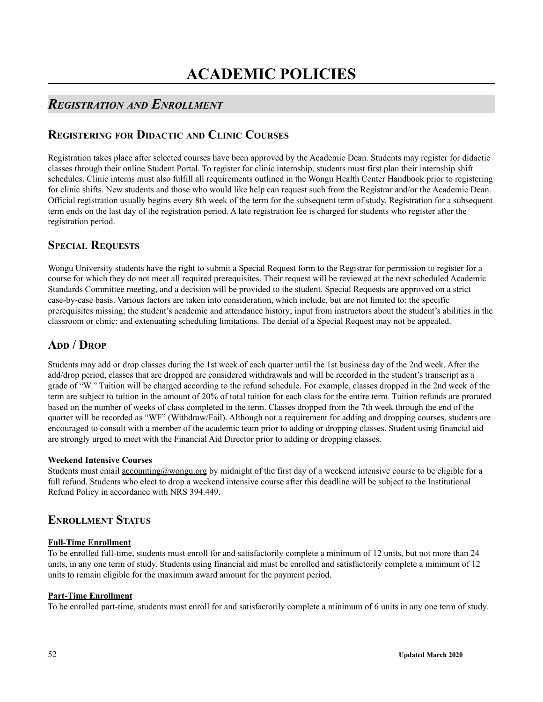## *REGISTRATION AND ENROLLMENT*

## **REGISTERING FOR DIDACTIC AND CLINIC COURSES**

Registration takes place after selected courses have been approved by the Academic Dean. Students may register for didactic classes through their online Student Portal. To register for clinic internship, students must first plan their internship shift schedules. Clinic interns must also fulfill all requirements outlined in the Wongu Health Center Handbook prior to registering for clinic shifts. New students and those who would like help can request such from the Registrar and/or the Academic Dean. Official registration usually begins every 8th week of the term for the subsequent term of study. Registration for a subsequent term ends on the last day of the registration period. A late registration fee is charged for students who register after the registration period.

## **SPECIAL REQUESTS**

Wongu University students have the right to submit a Special Request form to the Registrar for permission to register for a course for which they do not meet all required prerequisites. Their request will be reviewed at the next scheduled Academic Standards Committee meeting, and a decision will be provided to the student. Special Requests are approved on a strict case-by-case basis. Various factors are taken into consideration, which include, but are not limited to: the specific prerequisites missing; the student's academic and attendance history; input from instructors about the student's abilities in the classroom or clinic; and extenuating scheduling limitations. The denial of a Special Request may not be appealed.

## **ADD / DROP**

Students may add or drop classes during the 1st week of each quarter until the 1st business day of the 2nd week. After the add/drop period, classes that are dropped are considered withdrawals and will be recorded in the student's transcript as a grade of "W." Tuition will be charged according to the refund schedule. For example, classes dropped in the 2nd week of the term are subject to tuition in the amount of 20% of total tuition for each class for the entire term. Tuition refunds are prorated based on the number of weeks of class completed in the term. Classes dropped from the 7th week through the end of the quarter will be recorded as "WF" (Withdraw/Fail). Although not a requirement for adding and dropping courses, students are encouraged to consult with a member of the academic team prior to adding or dropping classes. Student using financial aid are strongly urged to meet with the Financial Aid Director prior to adding or dropping classes.

### **Weekend Intensive Courses**

Students must email accounting@wongu.org by midnight of the first day of a weekend intensive course to be eligible for a full refund. Students who elect to drop a weekend intensive course after this deadline will be subject to the Institutional Refund Policy in accordance with NRS 394.449.

## **ENROLLMENT STATUS**

### **Full-Time Enrollment**

To be enrolled full-time, students must enroll for and satisfactorily complete a minimum of 12 units, but not more than 24 units, in any one term of study. Students using financial aid must be enrolled and satisfactorily complete a minimum of 12 units to remain eligible for the maximum award amount for the payment period.

### **Part-Time Enrollment**

To be enrolled part-time, students must enroll for and satisfactorily complete a minimum of 6 units in any one term of study.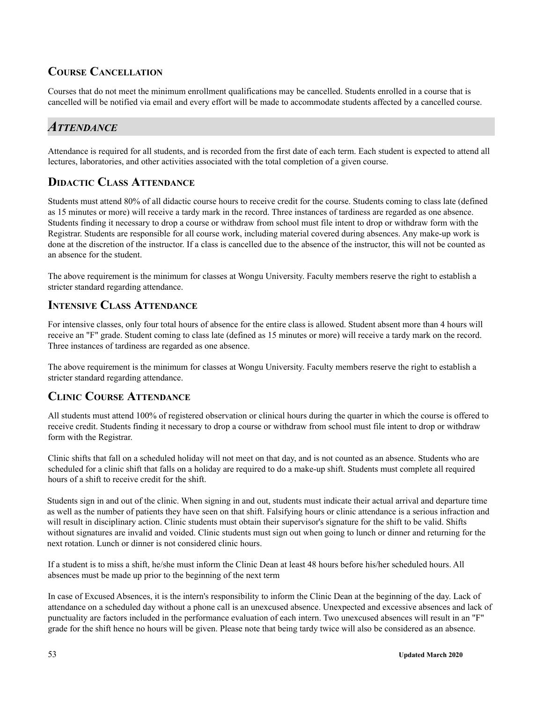## **COURSE CANCELLATION**

Courses that do not meet the minimum enrollment qualifications may be cancelled. Students enrolled in a course that is cancelled will be notified via email and every effort will be made to accommodate students affected by a cancelled course.

## *ATTENDANCE*

Attendance is required for all students, and is recorded from the first date of each term. Each student is expected to attend all lectures, laboratories, and other activities associated with the total completion of a given course.

## **DIDACTIC CLASS ATTENDANCE**

Students must attend 80% of all didactic course hours to receive credit for the course. Students coming to class late (defined as 15 minutes or more) will receive a tardy mark in the record. Three instances of tardiness are regarded as one absence. Students finding it necessary to drop a course or withdraw from school must file intent to drop or withdraw form with the Registrar. Students are responsible for all course work, including material covered during absences. Any make-up work is done at the discretion of the instructor. If a class is cancelled due to the absence of the instructor, this will not be counted as an absence for the student.

The above requirement is the minimum for classes at Wongu University. Faculty members reserve the right to establish a stricter standard regarding attendance.

## **INTENSIVE CLASS ATTENDANCE**

For intensive classes, only four total hours of absence for the entire class is allowed. Student absent more than 4 hours will receive an "F" grade. Student coming to class late (defined as 15 minutes or more) will receive a tardy mark on the record. Three instances of tardiness are regarded as one absence.

The above requirement is the minimum for classes at Wongu University. Faculty members reserve the right to establish a stricter standard regarding attendance.

### **CLINIC COURSE ATTENDANCE**

All students must attend 100% of registered observation or clinical hours during the quarter in which the course is offered to receive credit. Students finding it necessary to drop a course or withdraw from school must file intent to drop or withdraw form with the Registrar.

Clinic shifts that fall on a scheduled holiday will not meet on that day, and is not counted as an absence. Students who are scheduled for a clinic shift that falls on a holiday are required to do a make-up shift. Students must complete all required hours of a shift to receive credit for the shift.

Students sign in and out of the clinic. When signing in and out, students must indicate their actual arrival and departure time as well as the number of patients they have seen on that shift. Falsifying hours or clinic attendance is a serious infraction and will result in disciplinary action. Clinic students must obtain their supervisor's signature for the shift to be valid. Shifts without signatures are invalid and voided. Clinic students must sign out when going to lunch or dinner and returning for the next rotation. Lunch or dinner is not considered clinic hours.

If a student is to miss a shift, he/she must inform the Clinic Dean at least 48 hours before his/her scheduled hours. All absences must be made up prior to the beginning of the next term

In case of Excused Absences, it is the intern's responsibility to inform the Clinic Dean at the beginning of the day. Lack of attendance on a scheduled day without a phone call is an unexcused absence. Unexpected and excessive absences and lack of punctuality are factors included in the performance evaluation of each intern. Two unexcused absences will result in an "F" grade for the shift hence no hours will be given. Please note that being tardy twice will also be considered as an absence.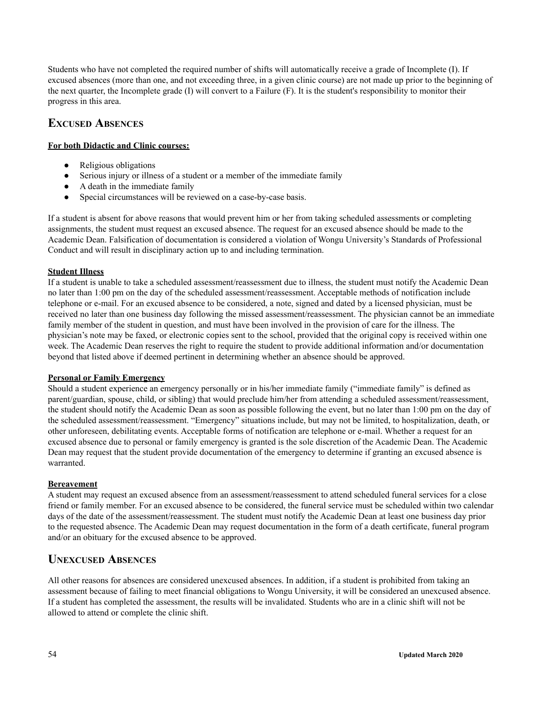Students who have not completed the required number of shifts will automatically receive a grade of Incomplete (I). If excused absences (more than one, and not exceeding three, in a given clinic course) are not made up prior to the beginning of the next quarter, the Incomplete grade (I) will convert to a Failure (F). It is the student's responsibility to monitor their progress in this area.

## **EXCUSED ABSENCES**

### **For both Didactic and Clinic courses:**

- Religious obligations
- Serious injury or illness of a student or a member of the immediate family
- A death in the immediate family
- Special circumstances will be reviewed on a case-by-case basis.

If a student is absent for above reasons that would prevent him or her from taking scheduled assessments or completing assignments, the student must request an excused absence. The request for an excused absence should be made to the Academic Dean. Falsification of documentation is considered a violation of Wongu University's Standards of Professional Conduct and will result in disciplinary action up to and including termination.

### **Student Illness**

If a student is unable to take a scheduled assessment/reassessment due to illness, the student must notify the Academic Dean no later than 1:00 pm on the day of the scheduled assessment/reassessment. Acceptable methods of notification include telephone or e-mail. For an excused absence to be considered, a note, signed and dated by a licensed physician, must be received no later than one business day following the missed assessment/reassessment. The physician cannot be an immediate family member of the student in question, and must have been involved in the provision of care for the illness. The physician's note may be faxed, or electronic copies sent to the school, provided that the original copy is received within one week. The Academic Dean reserves the right to require the student to provide additional information and/or documentation beyond that listed above if deemed pertinent in determining whether an absence should be approved.

### **Personal or Family Emergency**

Should a student experience an emergency personally or in his/her immediate family ("immediate family" is defined as parent/guardian, spouse, child, or sibling) that would preclude him/her from attending a scheduled assessment/reassessment, the student should notify the Academic Dean as soon as possible following the event, but no later than 1:00 pm on the day of the scheduled assessment/reassessment. "Emergency" situations include, but may not be limited, to hospitalization, death, or other unforeseen, debilitating events. Acceptable forms of notification are telephone or e-mail. Whether a request for an excused absence due to personal or family emergency is granted is the sole discretion of the Academic Dean. The Academic Dean may request that the student provide documentation of the emergency to determine if granting an excused absence is warranted.

### **Bereavement**

A student may request an excused absence from an assessment/reassessment to attend scheduled funeral services for a close friend or family member. For an excused absence to be considered, the funeral service must be scheduled within two calendar days of the date of the assessment/reassessment. The student must notify the Academic Dean at least one business day prior to the requested absence. The Academic Dean may request documentation in the form of a death certificate, funeral program and/or an obituary for the excused absence to be approved.

### **UNEXCUSED ABSENCES**

All other reasons for absences are considered unexcused absences. In addition, if a student is prohibited from taking an assessment because of failing to meet financial obligations to Wongu University, it will be considered an unexcused absence. If a student has completed the assessment, the results will be invalidated. Students who are in a clinic shift will not be allowed to attend or complete the clinic shift.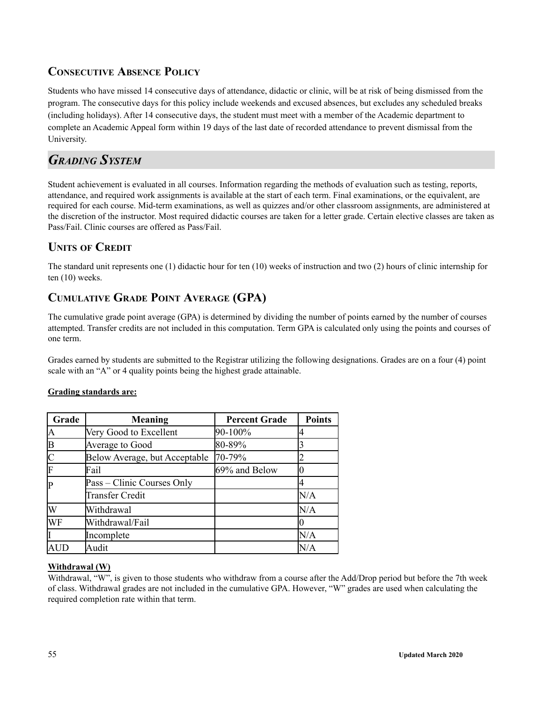## **CONSECUTIVE ABSENCE POLICY**

Students who have missed 14 consecutive days of attendance, didactic or clinic, will be at risk of being dismissed from the program. The consecutive days for this policy include weekends and excused absences, but excludes any scheduled breaks (including holidays). After 14 consecutive days, the student must meet with a member of the Academic department to complete an Academic Appeal form within 19 days of the last date of recorded attendance to prevent dismissal from the University.

## *GRADING SYSTEM*

Student achievement is evaluated in all courses. Information regarding the methods of evaluation such as testing, reports, attendance, and required work assignments is available at the start of each term. Final examinations, or the equivalent, are required for each course. Mid-term examinations, as well as quizzes and/or other classroom assignments, are administered at the discretion of the instructor. Most required didactic courses are taken for a letter grade. Certain elective classes are taken as Pass/Fail. Clinic courses are offered as Pass/Fail.

## **UNITS OF CREDIT**

The standard unit represents one (1) didactic hour for ten (10) weeks of instruction and two (2) hours of clinic internship for ten (10) weeks.

## **CUMULATIVE GRADE POINT AVERAGE (GPA)**

The cumulative grade point average (GPA) is determined by dividing the number of points earned by the number of courses attempted. Transfer credits are not included in this computation. Term GPA is calculated only using the points and courses of one term.

Grades earned by students are submitted to the Registrar utilizing the following designations. Grades are on a four (4) point scale with an "A" or 4 quality points being the highest grade attainable.

### **Grading standards are:**

| Grade | <b>Meaning</b>                | <b>Percent Grade</b> | <b>Points</b> |
|-------|-------------------------------|----------------------|---------------|
| A     | Very Good to Excellent        | 90-100%              |               |
| B     | Average to Good               | 80-89%               |               |
|       | Below Average, but Acceptable | 70-79%               |               |
| F     | Fail                          | 69% and Below        |               |
| P     | Pass – Clinic Courses Only    |                      |               |
|       | <b>Transfer Credit</b>        |                      | N/A           |
| W     | Withdrawal                    |                      | N/A           |
| WF    | Withdrawal/Fail               |                      |               |
|       | Incomplete                    |                      | N/A           |
|       | Audit                         |                      | N/A           |

### **Withdrawal (W)**

Withdrawal, "W", is given to those students who withdraw from a course after the Add/Drop period but before the 7th week of class. Withdrawal grades are not included in the cumulative GPA. However, "W" grades are used when calculating the required completion rate within that term.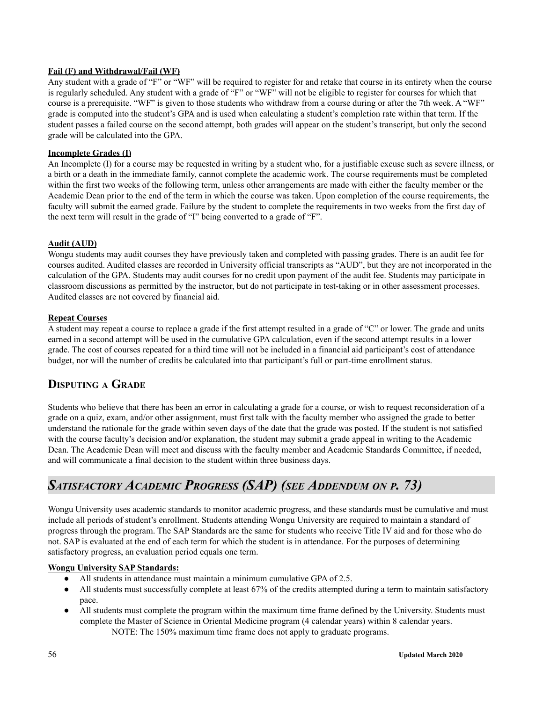### **Fail (F) and Withdrawal/Fail (WF)**

Any student with a grade of "F" or "WF" will be required to register for and retake that course in its entirety when the course is regularly scheduled. Any student with a grade of "F" or "WF" will not be eligible to register for courses for which that course is a prerequisite. "WF" is given to those students who withdraw from a course during or after the 7th week. A "WF" grade is computed into the student's GPA and is used when calculating a student's completion rate within that term. If the student passes a failed course on the second attempt, both grades will appear on the student's transcript, but only the second grade will be calculated into the GPA.

### **Incomplete Grades (I)**

An Incomplete (I) for a course may be requested in writing by a student who, for a justifiable excuse such as severe illness, or a birth or a death in the immediate family, cannot complete the academic work. The course requirements must be completed within the first two weeks of the following term, unless other arrangements are made with either the faculty member or the Academic Dean prior to the end of the term in which the course was taken. Upon completion of the course requirements, the faculty will submit the earned grade. Failure by the student to complete the requirements in two weeks from the first day of the next term will result in the grade of "I" being converted to a grade of "F".

### **Audit (AUD)**

Wongu students may audit courses they have previously taken and completed with passing grades. There is an audit fee for courses audited. Audited classes are recorded in University official transcripts as "AUD", but they are not incorporated in the calculation of the GPA. Students may audit courses for no credit upon payment of the audit fee. Students may participate in classroom discussions as permitted by the instructor, but do not participate in test-taking or in other assessment processes. Audited classes are not covered by financial aid.

### **Repeat Courses**

A student may repeat a course to replace a grade if the first attempt resulted in a grade of "C" or lower. The grade and units earned in a second attempt will be used in the cumulative GPA calculation, even if the second attempt results in a lower grade. The cost of courses repeated for a third time will not be included in a financial aid participant's cost of attendance budget, nor will the number of credits be calculated into that participant's full or part-time enrollment status.

## **DISPUTING A GRADE**

Students who believe that there has been an error in calculating a grade for a course, or wish to request reconsideration of a grade on a quiz, exam, and/or other assignment, must first talk with the faculty member who assigned the grade to better understand the rationale for the grade within seven days of the date that the grade was posted. If the student is not satisfied with the course faculty's decision and/or explanation, the student may submit a grade appeal in writing to the Academic Dean. The Academic Dean will meet and discuss with the faculty member and Academic Standards Committee, if needed, and will communicate a final decision to the student within three business days.

# *SATISFACTORY ACADEMIC PROGRESS (SAP) (SEE ADDENDUM ON <sup>P</sup>. 73)*

Wongu University uses academic standards to monitor academic progress, and these standards must be cumulative and must include all periods of student's enrollment. Students attending Wongu University are required to maintain a standard of progress through the program. The SAP Standards are the same for students who receive Title IV aid and for those who do not. SAP is evaluated at the end of each term for which the student is in attendance. For the purposes of determining satisfactory progress, an evaluation period equals one term.

### **Wongu University SAP Standards:**

- All students in attendance must maintain a minimum cumulative GPA of 2.5.
- All students must successfully complete at least 67% of the credits attempted during a term to maintain satisfactory pace.
- All students must complete the program within the maximum time frame defined by the University. Students must complete the Master of Science in Oriental Medicine program (4 calendar years) within 8 calendar years. NOTE: The 150% maximum time frame does not apply to graduate programs.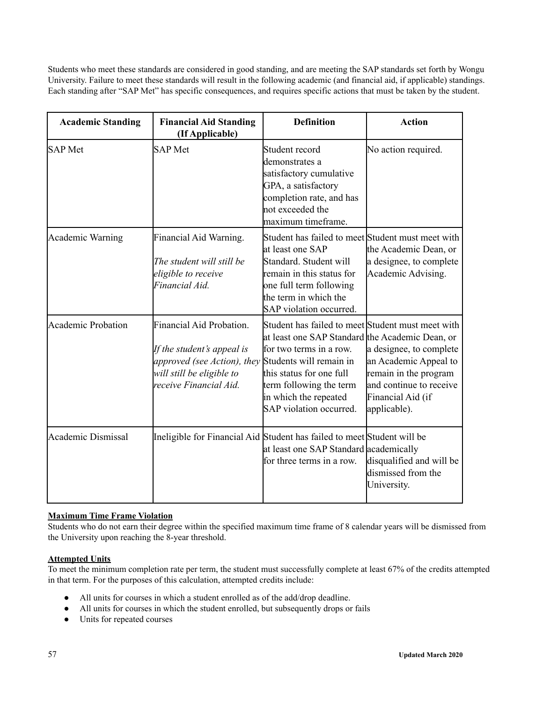Students who meet these standards are considered in good standing, and are meeting the SAP standards set forth by Wongu University. Failure to meet these standards will result in the following academic (and financial aid, if applicable) standings. Each standing after "SAP Met" has specific consequences, and requires specific actions that must be taken by the student.

| <b>Academic Standing</b>  | <b>Financial Aid Standing</b><br>(If Applicable)                                                                                                                            | <b>Definition</b>                                                                                                                                                                                                                          | <b>Action</b>                                                                                                                             |
|---------------------------|-----------------------------------------------------------------------------------------------------------------------------------------------------------------------------|--------------------------------------------------------------------------------------------------------------------------------------------------------------------------------------------------------------------------------------------|-------------------------------------------------------------------------------------------------------------------------------------------|
| <b>SAP</b> Met            | <b>SAP</b> Met                                                                                                                                                              | Student record<br>demonstrates a<br>satisfactory cumulative<br>GPA, a satisfactory<br>completion rate, and has<br>not exceeded the<br>maximum timeframe.                                                                                   | No action required.                                                                                                                       |
| <b>Academic Warning</b>   | Financial Aid Warning.<br>The student will still be<br>eligible to receive<br>Financial Aid.                                                                                | Student has failed to meet Student must meet with<br>at least one SAP<br>Standard. Student will<br>remain in this status for<br>one full term following<br>the term in which the<br>SAP violation occurred.                                | the Academic Dean, or<br>a designee, to complete<br>Academic Advising.                                                                    |
| <b>Academic Probation</b> | Financial Aid Probation.<br>If the student's appeal is<br><i>approved (see Action), they</i> Students will remain in<br>will still be eligible to<br>receive Financial Aid. | Student has failed to meet Student must meet with<br>at least one SAP Standard the Academic Dean, or<br>for two terms in a row.<br>this status for one full<br>term following the term<br>in which the repeated<br>SAP violation occurred. | a designee, to complete<br>an Academic Appeal to<br>remain in the program<br>and continue to receive<br>Financial Aid (if<br>applicable). |
| <b>Academic Dismissal</b> | Ineligible for Financial Aid Student has failed to meet Student will be                                                                                                     | at least one SAP Standard academically<br>for three terms in a row.                                                                                                                                                                        | disqualified and will be<br>dismissed from the<br>University.                                                                             |

### **Maximum Time Frame Violation**

Students who do not earn their degree within the specified maximum time frame of 8 calendar years will be dismissed from the University upon reaching the 8-year threshold.

### **Attempted Units**

To meet the minimum completion rate per term, the student must successfully complete at least 67% of the credits attempted in that term. For the purposes of this calculation, attempted credits include:

- All units for courses in which a student enrolled as of the add/drop deadline.
- All units for courses in which the student enrolled, but subsequently drops or fails
- Units for repeated courses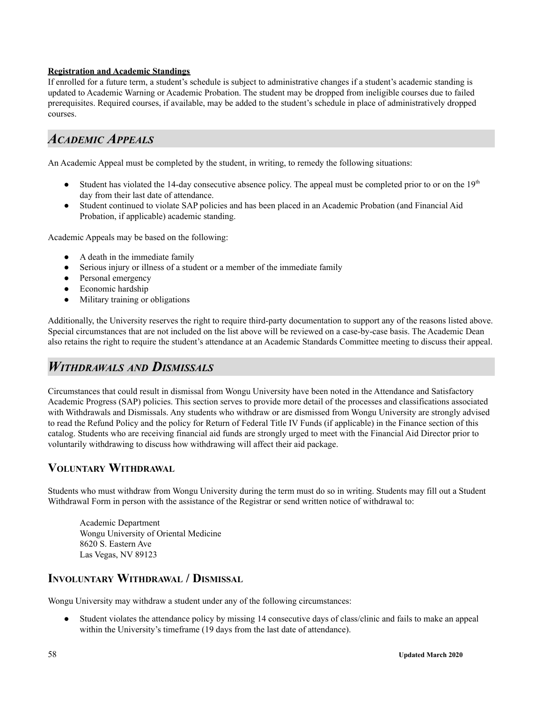### **Registration and Academic Standings**

If enrolled for a future term, a student's schedule is subject to administrative changes if a student's academic standing is updated to Academic Warning or Academic Probation. The student may be dropped from ineligible courses due to failed prerequisites. Required courses, if available, may be added to the student's schedule in place of administratively dropped courses.

## *ACADEMIC APPEALS*

An Academic Appeal must be completed by the student, in writing, to remedy the following situations:

- Student has violated the 14-day consecutive absence policy. The appeal must be completed prior to or on the  $19<sup>th</sup>$ day from their last date of attendance.
- Student continued to violate SAP policies and has been placed in an Academic Probation (and Financial Aid Probation, if applicable) academic standing.

Academic Appeals may be based on the following:

- A death in the immediate family
- Serious injury or illness of a student or a member of the immediate family
- Personal emergency
- Economic hardship
- Military training or obligations

Additionally, the University reserves the right to require third-party documentation to support any of the reasons listed above. Special circumstances that are not included on the list above will be reviewed on a case-by-case basis. The Academic Dean also retains the right to require the student's attendance at an Academic Standards Committee meeting to discuss their appeal.

## *WITHDRAWALS AND DISMISSALS*

Circumstances that could result in dismissal from Wongu University have been noted in the Attendance and Satisfactory Academic Progress (SAP) policies. This section serves to provide more detail of the processes and classifications associated with Withdrawals and Dismissals. Any students who withdraw or are dismissed from Wongu University are strongly advised to read the Refund Policy and the policy for Return of Federal Title IV Funds (if applicable) in the Finance section of this catalog. Students who are receiving financial aid funds are strongly urged to meet with the Financial Aid Director prior to voluntarily withdrawing to discuss how withdrawing will affect their aid package.

### **VOLUNTARY WITHDRAWAL**

Students who must withdraw from Wongu University during the term must do so in writing. Students may fill out a Student Withdrawal Form in person with the assistance of the Registrar or send written notice of withdrawal to:

Academic Department Wongu University of Oriental Medicine 8620 S. Eastern Ave Las Vegas, NV 89123

## **INVOLUNTARY WITHDRAWAL / DISMISSAL**

Wongu University may withdraw a student under any of the following circumstances:

● Student violates the attendance policy by missing 14 consecutive days of class/clinic and fails to make an appeal within the University's timeframe (19 days from the last date of attendance).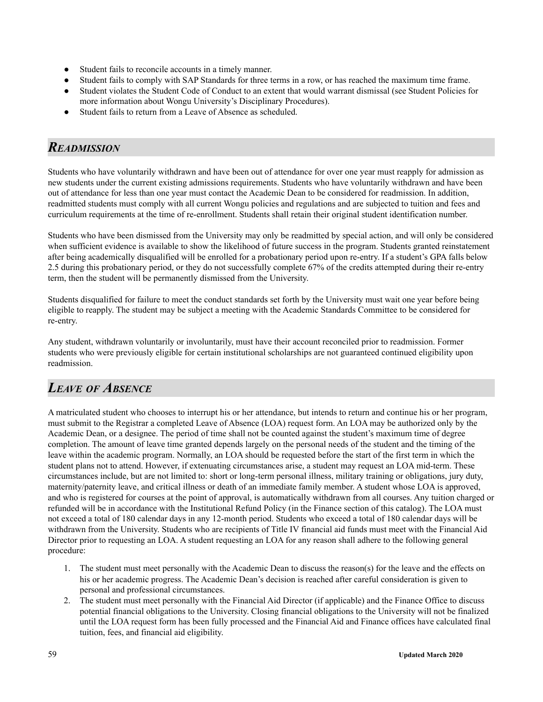- Student fails to reconcile accounts in a timely manner.
- Student fails to comply with SAP Standards for three terms in a row, or has reached the maximum time frame.
- Student violates the Student Code of Conduct to an extent that would warrant dismissal (see Student Policies for more information about Wongu University's Disciplinary Procedures).
- Student fails to return from a Leave of Absence as scheduled.

## *READMISSION*

Students who have voluntarily withdrawn and have been out of attendance for over one year must reapply for admission as new students under the current existing admissions requirements. Students who have voluntarily withdrawn and have been out of attendance for less than one year must contact the Academic Dean to be considered for readmission. In addition, readmitted students must comply with all current Wongu policies and regulations and are subjected to tuition and fees and curriculum requirements at the time of re-enrollment. Students shall retain their original student identification number.

Students who have been dismissed from the University may only be readmitted by special action, and will only be considered when sufficient evidence is available to show the likelihood of future success in the program. Students granted reinstatement after being academically disqualified will be enrolled for a probationary period upon re-entry. If a student's GPA falls below 2.5 during this probationary period, or they do not successfully complete 67% of the credits attempted during their re-entry term, then the student will be permanently dismissed from the University.

Students disqualified for failure to meet the conduct standards set forth by the University must wait one year before being eligible to reapply. The student may be subject a meeting with the Academic Standards Committee to be considered for re-entry.

Any student, withdrawn voluntarily or involuntarily, must have their account reconciled prior to readmission. Former students who were previously eligible for certain institutional scholarships are not guaranteed continued eligibility upon readmission.

## *LEAVE OF ABSENCE*

A matriculated student who chooses to interrupt his or her attendance, but intends to return and continue his or her program, must submit to the Registrar a completed Leave of Absence (LOA) request form. An LOA may be authorized only by the Academic Dean, or a designee. The period of time shall not be counted against the student's maximum time of degree completion. The amount of leave time granted depends largely on the personal needs of the student and the timing of the leave within the academic program. Normally, an LOA should be requested before the start of the first term in which the student plans not to attend. However, if extenuating circumstances arise, a student may request an LOA mid-term. These circumstances include, but are not limited to: short or long-term personal illness, military training or obligations, jury duty, maternity/paternity leave, and critical illness or death of an immediate family member. A student whose LOA is approved, and who is registered for courses at the point of approval, is automatically withdrawn from all courses. Any tuition charged or refunded will be in accordance with the Institutional Refund Policy (in the Finance section of this catalog). The LOA must not exceed a total of 180 calendar days in any 12-month period. Students who exceed a total of 180 calendar days will be withdrawn from the University. Students who are recipients of Title IV financial aid funds must meet with the Financial Aid Director prior to requesting an LOA. A student requesting an LOA for any reason shall adhere to the following general procedure:

- 1. The student must meet personally with the Academic Dean to discuss the reason(s) for the leave and the effects on his or her academic progress. The Academic Dean's decision is reached after careful consideration is given to personal and professional circumstances.
- 2. The student must meet personally with the Financial Aid Director (if applicable) and the Finance Office to discuss potential financial obligations to the University. Closing financial obligations to the University will not be finalized until the LOA request form has been fully processed and the Financial Aid and Finance offices have calculated final tuition, fees, and financial aid eligibility.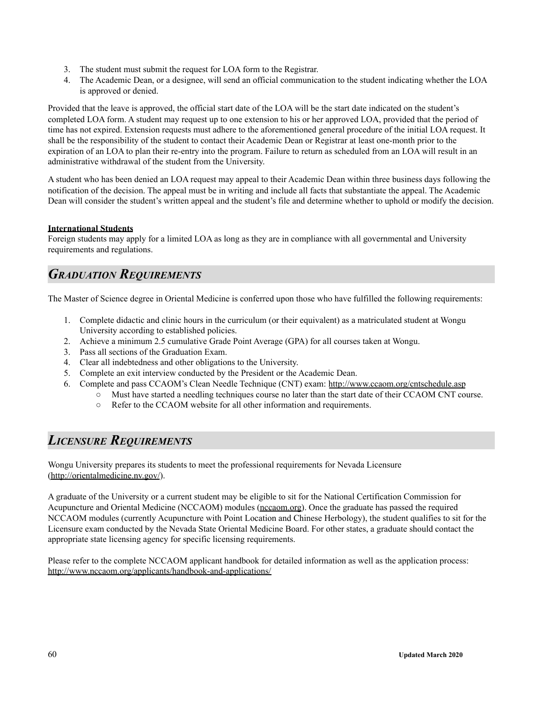- 3. The student must submit the request for LOA form to the Registrar.
- 4. The Academic Dean, or a designee, will send an official communication to the student indicating whether the LOA is approved or denied.

Provided that the leave is approved, the official start date of the LOA will be the start date indicated on the student's completed LOA form. A student may request up to one extension to his or her approved LOA, provided that the period of time has not expired. Extension requests must adhere to the aforementioned general procedure of the initial LOA request. It shall be the responsibility of the student to contact their Academic Dean or Registrar at least one-month prior to the expiration of an LOA to plan their re-entry into the program. Failure to return as scheduled from an LOA will result in an administrative withdrawal of the student from the University.

A student who has been denied an LOA request may appeal to their Academic Dean within three business days following the notification of the decision. The appeal must be in writing and include all facts that substantiate the appeal. The Academic Dean will consider the student's written appeal and the student's file and determine whether to uphold or modify the decision.

### **International Students**

Foreign students may apply for a limited LOA as long as they are in compliance with all governmental and University requirements and regulations.

## *GRADUATION REQUIREMENTS*

The Master of Science degree in Oriental Medicine is conferred upon those who have fulfilled the following requirements:

- 1. Complete didactic and clinic hours in the curriculum (or their equivalent) as a matriculated student at Wongu University according to established policies.
- 2. Achieve a minimum 2.5 cumulative Grade Point Average (GPA) for all courses taken at Wongu.
- 3. Pass all sections of the Graduation Exam.
- 4. Clear all indebtedness and other obligations to the University.
- 5. Complete an exit interview conducted by the President or the Academic Dean.
- 6. Complete and pass CCAOM's Clean Needle Technique (CNT) exam: http://www.ccaom.org/cntschedule.asp
	- Must have started a needling techniques course no later than the start date of their CCAOM CNT course.
		- Refer to the CCAOM website for all other information and requirements.

## *LICENSURE REQUIREMENTS*

Wongu University prepares its students to meet the professional requirements for Nevada Licensure (http://orientalmedicine.nv.gov/).

A graduate of the University or a current student may be eligible to sit for the National Certification Commission for Acupuncture and Oriental Medicine (NCCAOM) modules [\(nccaom.org](http://www.nccaom.org/)). Once the graduate has passed the required NCCAOM modules (currently Acupuncture with Point Location and Chinese Herbology), the student qualifies to sit for the Licensure exam conducted by the Nevada State Oriental Medicine Board. For other states, a graduate should contact the appropriate state licensing agency for specific licensing requirements.

Please refer to the complete NCCAOM applicant handbook for detailed information as well as the application process: http://www.nccaom.org/applicants/handbook-and-applications/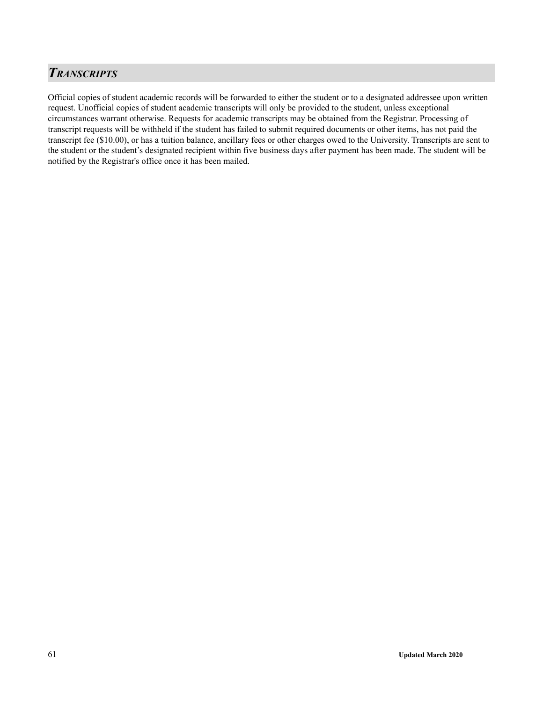## *TRANSCRIPTS*

Official copies of student academic records will be forwarded to either the student or to a designated addressee upon written request. Unofficial copies of student academic transcripts will only be provided to the student, unless exceptional circumstances warrant otherwise. Requests for academic transcripts may be obtained from the Registrar. Processing of transcript requests will be withheld if the student has failed to submit required documents or other items, has not paid the transcript fee (\$10.00), or has a tuition balance, ancillary fees or other charges owed to the University. Transcripts are sent to the student or the student's designated recipient within five business days after payment has been made. The student will be notified by the Registrar's office once it has been mailed.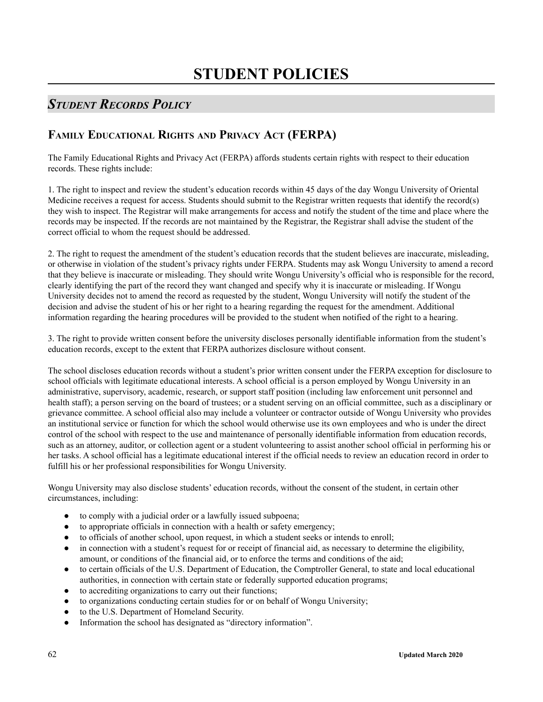# *STUDENT RECORDS POLICY*

## **FAMILY EDUCATIONAL RIGHTS AND PRIVACY ACT (FERPA)**

The Family Educational Rights and Privacy Act (FERPA) affords students certain rights with respect to their education records. These rights include:

1. The right to inspect and review the student's education records within 45 days of the day Wongu University of Oriental Medicine receives a request for access. Students should submit to the Registrar written requests that identify the record(s) they wish to inspect. The Registrar will make arrangements for access and notify the student of the time and place where the records may be inspected. If the records are not maintained by the Registrar, the Registrar shall advise the student of the correct official to whom the request should be addressed.

2. The right to request the amendment of the student's education records that the student believes are inaccurate, misleading, or otherwise in violation of the student's privacy rights under FERPA. Students may ask Wongu University to amend a record that they believe is inaccurate or misleading. They should write Wongu University's official who is responsible for the record, clearly identifying the part of the record they want changed and specify why it is inaccurate or misleading. If Wongu University decides not to amend the record as requested by the student, Wongu University will notify the student of the decision and advise the student of his or her right to a hearing regarding the request for the amendment. Additional information regarding the hearing procedures will be provided to the student when notified of the right to a hearing.

3. The right to provide written consent before the university discloses personally identifiable information from the student's education records, except to the extent that FERPA authorizes disclosure without consent.

The school discloses education records without a student's prior written consent under the FERPA exception for disclosure to school officials with legitimate educational interests. A school official is a person employed by Wongu University in an administrative, supervisory, academic, research, or support staff position (including law enforcement unit personnel and health staff); a person serving on the board of trustees; or a student serving on an official committee, such as a disciplinary or grievance committee. A school official also may include a volunteer or contractor outside of Wongu University who provides an institutional service or function for which the school would otherwise use its own employees and who is under the direct control of the school with respect to the use and maintenance of personally identifiable information from education records, such as an attorney, auditor, or collection agent or a student volunteering to assist another school official in performing his or her tasks. A school official has a legitimate educational interest if the official needs to review an education record in order to fulfill his or her professional responsibilities for Wongu University.

Wongu University may also disclose students' education records, without the consent of the student, in certain other circumstances, including:

- to comply with a judicial order or a lawfully issued subpoena;
- to appropriate officials in connection with a health or safety emergency;
- to officials of another school, upon request, in which a student seeks or intends to enroll;
- in connection with a student's request for or receipt of financial aid, as necessary to determine the eligibility, amount, or conditions of the financial aid, or to enforce the terms and conditions of the aid;
- to certain officials of the U.S. Department of Education, the Comptroller General, to state and local educational authorities, in connection with certain state or federally supported education programs;
- to accrediting organizations to carry out their functions;
- to organizations conducting certain studies for or on behalf of Wongu University;
- to the U.S. Department of Homeland Security.
- Information the school has designated as "directory information".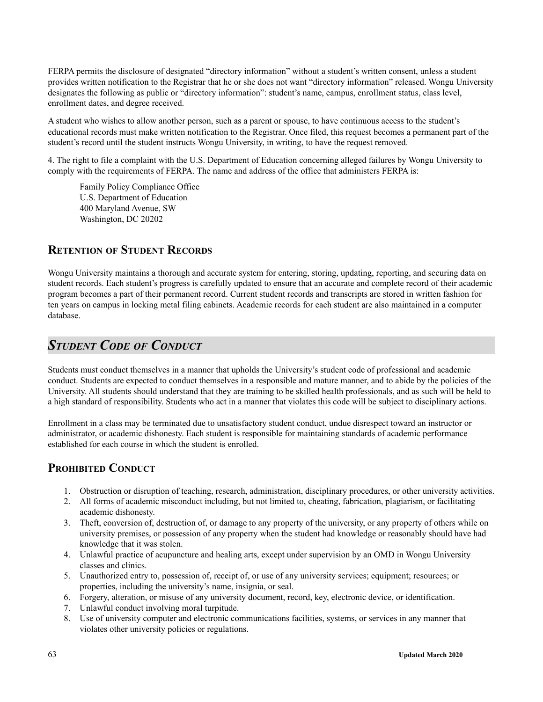FERPA permits the disclosure of designated "directory information" without a student's written consent, unless a student provides written notification to the Registrar that he or she does not want "directory information" released. Wongu University designates the following as public or "directory information": student's name, campus, enrollment status, class level, enrollment dates, and degree received.

A student who wishes to allow another person, such as a parent or spouse, to have continuous access to the student's educational records must make written notification to the Registrar. Once filed, this request becomes a permanent part of the student's record until the student instructs Wongu University, in writing, to have the request removed.

4. The right to file a complaint with the U.S. Department of Education concerning alleged failures by Wongu University to comply with the requirements of FERPA. The name and address of the office that administers FERPA is:

Family Policy Compliance Office U.S. Department of Education 400 Maryland Avenue, SW Washington, DC 20202

### **RETENTION OF STUDENT RECORDS**

Wongu University maintains a thorough and accurate system for entering, storing, updating, reporting, and securing data on student records. Each student's progress is carefully updated to ensure that an accurate and complete record of their academic program becomes a part of their permanent record. Current student records and transcripts are stored in written fashion for ten years on campus in locking metal filing cabinets. Academic records for each student are also maintained in a computer database.

## *STUDENT CODE OF CONDUCT*

Students must conduct themselves in a manner that upholds the University's student code of professional and academic conduct. Students are expected to conduct themselves in a responsible and mature manner, and to abide by the policies of the University. All students should understand that they are training to be skilled health professionals, and as such will be held to a high standard of responsibility. Students who act in a manner that violates this code will be subject to disciplinary actions.

Enrollment in a class may be terminated due to unsatisfactory student conduct, undue disrespect toward an instructor or administrator, or academic dishonesty. Each student is responsible for maintaining standards of academic performance established for each course in which the student is enrolled.

### **PROHIBITED CONDUCT**

- 1. Obstruction or disruption of teaching, research, administration, disciplinary procedures, or other university activities.
- 2. All forms of academic misconduct including, but not limited to, cheating, fabrication, plagiarism, or facilitating academic dishonesty.
- 3. Theft, conversion of, destruction of, or damage to any property of the university, or any property of others while on university premises, or possession of any property when the student had knowledge or reasonably should have had knowledge that it was stolen.
- 4. Unlawful practice of acupuncture and healing arts, except under supervision by an OMD in Wongu University classes and clinics.
- 5. Unauthorized entry to, possession of, receipt of, or use of any university services; equipment; resources; or properties, including the university's name, insignia, or seal.
- 6. Forgery, alteration, or misuse of any university document, record, key, electronic device, or identification.
- 7. Unlawful conduct involving moral turpitude.
- 8. Use of university computer and electronic communications facilities, systems, or services in any manner that violates other university policies or regulations.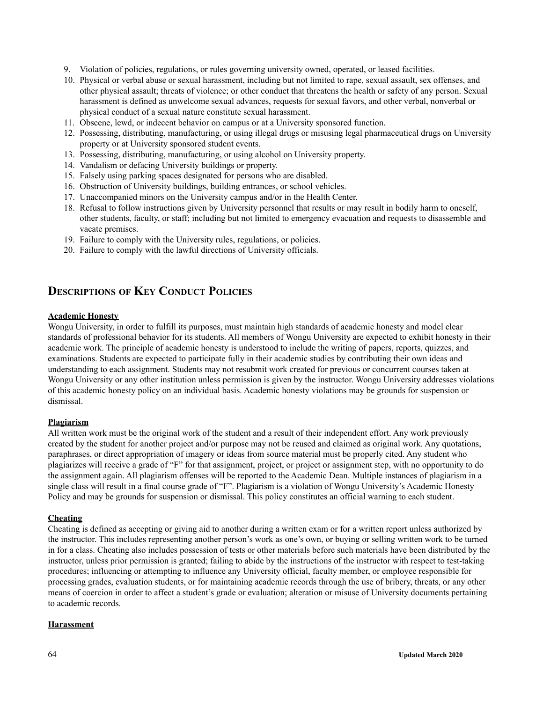- 9. Violation of policies, regulations, or rules governing university owned, operated, or leased facilities.
- 10. Physical or verbal abuse or sexual harassment, including but not limited to rape, sexual assault, sex offenses, and other physical assault; threats of violence; or other conduct that threatens the health or safety of any person. Sexual harassment is defined as unwelcome sexual advances, requests for sexual favors, and other verbal, nonverbal or physical conduct of a sexual nature constitute sexual harassment.
- 11. Obscene, lewd, or indecent behavior on campus or at a University sponsored function.
- 12. Possessing, distributing, manufacturing, or using illegal drugs or misusing legal pharmaceutical drugs on University property or at University sponsored student events.
- 13. Possessing, distributing, manufacturing, or using alcohol on University property.
- 14. Vandalism or defacing University buildings or property.
- 15. Falsely using parking spaces designated for persons who are disabled.
- 16. Obstruction of University buildings, building entrances, or school vehicles.
- 17. Unaccompanied minors on the University campus and/or in the Health Center.
- 18. Refusal to follow instructions given by University personnel that results or may result in bodily harm to oneself, other students, faculty, or staff; including but not limited to emergency evacuation and requests to disassemble and vacate premises.
- 19. Failure to comply with the University rules, regulations, or policies.
- 20. Failure to comply with the lawful directions of University officials.

## **DESCRIPTIONS OF KEY CONDUCT POLICIES**

### **Academic Honesty**

Wongu University, in order to fulfill its purposes, must maintain high standards of academic honesty and model clear standards of professional behavior for its students. All members of Wongu University are expected to exhibit honesty in their academic work. The principle of academic honesty is understood to include the writing of papers, reports, quizzes, and examinations. Students are expected to participate fully in their academic studies by contributing their own ideas and understanding to each assignment. Students may not resubmit work created for previous or concurrent courses taken at Wongu University or any other institution unless permission is given by the instructor. Wongu University addresses violations of this academic honesty policy on an individual basis. Academic honesty violations may be grounds for suspension or dismissal.

### **Plagiarism**

All written work must be the original work of the student and a result of their independent effort. Any work previously created by the student for another project and/or purpose may not be reused and claimed as original work. Any quotations, paraphrases, or direct appropriation of imagery or ideas from source material must be properly cited. Any student who plagiarizes will receive a grade of "F" for that assignment, project, or project or assignment step, with no opportunity to do the assignment again. All plagiarism offenses will be reported to the Academic Dean. Multiple instances of plagiarism in a single class will result in a final course grade of "F". Plagiarism is a violation of Wongu University's Academic Honesty Policy and may be grounds for suspension or dismissal. This policy constitutes an official warning to each student.

### **Cheating**

Cheating is defined as accepting or giving aid to another during a written exam or for a written report unless authorized by the instructor. This includes representing another person's work as one's own, or buying or selling written work to be turned in for a class. Cheating also includes possession of tests or other materials before such materials have been distributed by the instructor, unless prior permission is granted; failing to abide by the instructions of the instructor with respect to test-taking procedures; influencing or attempting to influence any University official, faculty member, or employee responsible for processing grades, evaluation students, or for maintaining academic records through the use of bribery, threats, or any other means of coercion in order to affect a student's grade or evaluation; alteration or misuse of University documents pertaining to academic records.

### **Harassment**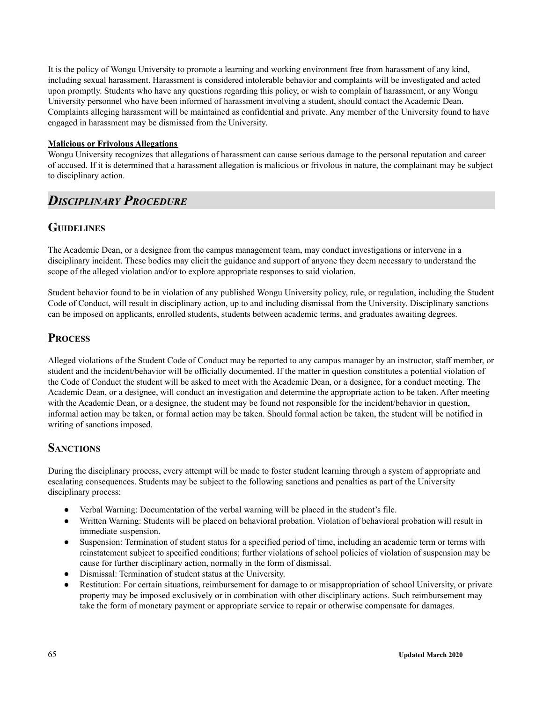It is the policy of Wongu University to promote a learning and working environment free from harassment of any kind, including sexual harassment. Harassment is considered intolerable behavior and complaints will be investigated and acted upon promptly. Students who have any questions regarding this policy, or wish to complain of harassment, or any Wongu University personnel who have been informed of harassment involving a student, should contact the Academic Dean. Complaints alleging harassment will be maintained as confidential and private. Any member of the University found to have engaged in harassment may be dismissed from the University.

### **Malicious or Frivolous Allegations**

Wongu University recognizes that allegations of harassment can cause serious damage to the personal reputation and career of accused. If it is determined that a harassment allegation is malicious or frivolous in nature, the complainant may be subject to disciplinary action.

## *DISCIPLINARY PROCEDURE*

### **GUIDELINES**

The Academic Dean, or a designee from the campus management team, may conduct investigations or intervene in a disciplinary incident. These bodies may elicit the guidance and support of anyone they deem necessary to understand the scope of the alleged violation and/or to explore appropriate responses to said violation.

Student behavior found to be in violation of any published Wongu University policy, rule, or regulation, including the Student Code of Conduct, will result in disciplinary action, up to and including dismissal from the University. Disciplinary sanctions can be imposed on applicants, enrolled students, students between academic terms, and graduates awaiting degrees.

## **PROCESS**

Alleged violations of the Student Code of Conduct may be reported to any campus manager by an instructor, staff member, or student and the incident/behavior will be officially documented. If the matter in question constitutes a potential violation of the Code of Conduct the student will be asked to meet with the Academic Dean, or a designee, for a conduct meeting. The Academic Dean, or a designee, will conduct an investigation and determine the appropriate action to be taken. After meeting with the Academic Dean, or a designee, the student may be found not responsible for the incident/behavior in question, informal action may be taken, or formal action may be taken. Should formal action be taken, the student will be notified in writing of sanctions imposed.

### **SANCTIONS**

During the disciplinary process, every attempt will be made to foster student learning through a system of appropriate and escalating consequences. Students may be subject to the following sanctions and penalties as part of the University disciplinary process:

- Verbal Warning: Documentation of the verbal warning will be placed in the student's file.
- Written Warning: Students will be placed on behavioral probation. Violation of behavioral probation will result in immediate suspension.
- Suspension: Termination of student status for a specified period of time, including an academic term or terms with reinstatement subject to specified conditions; further violations of school policies of violation of suspension may be cause for further disciplinary action, normally in the form of dismissal.
- Dismissal: Termination of student status at the University.
- Restitution: For certain situations, reimbursement for damage to or misappropriation of school University, or private property may be imposed exclusively or in combination with other disciplinary actions. Such reimbursement may take the form of monetary payment or appropriate service to repair or otherwise compensate for damages.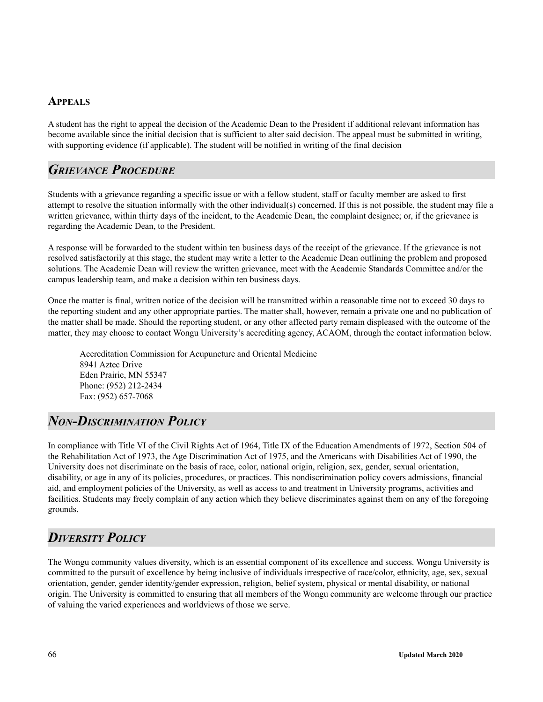### **APPEALS**

A student has the right to appeal the decision of the Academic Dean to the President if additional relevant information has become available since the initial decision that is sufficient to alter said decision. The appeal must be submitted in writing, with supporting evidence (if applicable). The student will be notified in writing of the final decision

## *GRIEVANCE PROCEDURE*

Students with a grievance regarding a specific issue or with a fellow student, staff or faculty member are asked to first attempt to resolve the situation informally with the other individual(s) concerned. If this is not possible, the student may file a written grievance, within thirty days of the incident, to the Academic Dean, the complaint designee; or, if the grievance is regarding the Academic Dean, to the President.

A response will be forwarded to the student within ten business days of the receipt of the grievance. If the grievance is not resolved satisfactorily at this stage, the student may write a letter to the Academic Dean outlining the problem and proposed solutions. The Academic Dean will review the written grievance, meet with the Academic Standards Committee and/or the campus leadership team, and make a decision within ten business days.

Once the matter is final, written notice of the decision will be transmitted within a reasonable time not to exceed 30 days to the reporting student and any other appropriate parties. The matter shall, however, remain a private one and no publication of the matter shall be made. Should the reporting student, or any other affected party remain displeased with the outcome of the matter, they may choose to contact Wongu University's accrediting agency, ACAOM, through the contact information below.

Accreditation Commission for Acupuncture and Oriental Medicine 8941 Aztec Drive Eden Prairie, MN 55347 Phone: (952) 212-2434 Fax: (952) 657-7068

# *NON-DISCRIMINATION POLICY*

In compliance with Title VI of the Civil Rights Act of 1964, Title IX of the Education Amendments of 1972, Section 504 of the Rehabilitation Act of 1973, the Age Discrimination Act of 1975, and the Americans with Disabilities Act of 1990, the University does not discriminate on the basis of race, color, national origin, religion, sex, gender, sexual orientation, disability, or age in any of its policies, procedures, or practices. This nondiscrimination policy covers admissions, financial aid, and employment policies of the University, as well as access to and treatment in University programs, activities and facilities. Students may freely complain of any action which they believe discriminates against them on any of the foregoing grounds.

# *DIVERSITY POLICY*

The Wongu community values diversity, which is an essential component of its excellence and success. Wongu University is committed to the pursuit of excellence by being inclusive of individuals irrespective of race/color, ethnicity, age, sex, sexual orientation, gender, gender identity/gender expression, religion, belief system, physical or mental disability, or national origin. The University is committed to ensuring that all members of the Wongu community are welcome through our practice of valuing the varied experiences and worldviews of those we serve.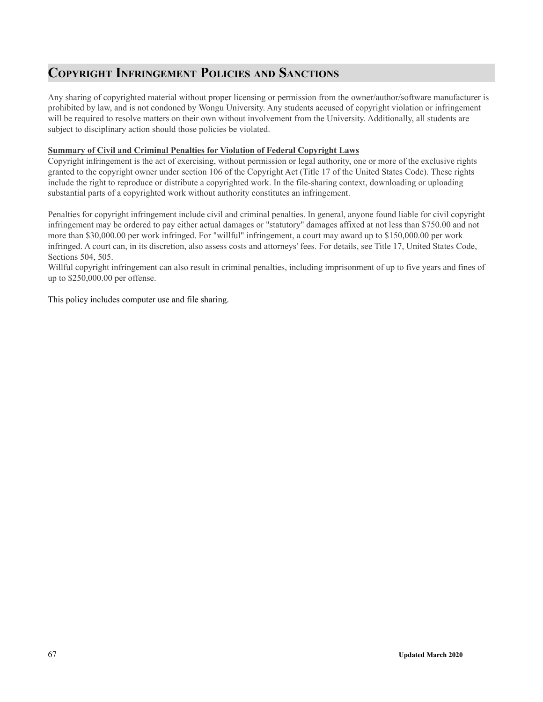# **COPYRIGHT INFRINGEMENT POLICIES AND SANCTIONS**

Any sharing of copyrighted material without proper licensing or permission from the owner/author/software manufacturer is prohibited by law, and is not condoned by Wongu University. Any students accused of copyright violation or infringement will be required to resolve matters on their own without involvement from the University. Additionally, all students are subject to disciplinary action should those policies be violated.

### **Summary of Civil and Criminal Penalties for Violation of Federal Copyright Laws**

Copyright infringement is the act of exercising, without permission or legal authority, one or more of the exclusive rights granted to the copyright owner under section 106 of the Copyright Act (Title 17 of the United States Code). These rights include the right to reproduce or distribute a copyrighted work. In the file-sharing context, downloading or uploading substantial parts of a copyrighted work without authority constitutes an infringement.

Penalties for copyright infringement include civil and criminal penalties. In general, anyone found liable for civil copyright infringement may be ordered to pay either actual damages or "statutory" damages affixed at not less than \$750.00 and not more than \$30,000.00 per work infringed. For "willful" infringement, a court may award up to \$150,000.00 per work infringed. A court can, in its discretion, also assess costs and attorneys' fees. For details, see Title 17, United States Code, Sections 504, 505.

Willful copyright infringement can also result in criminal penalties, including imprisonment of up to five years and fines of up to \$250,000.00 per offense.

This policy includes computer use and file sharing.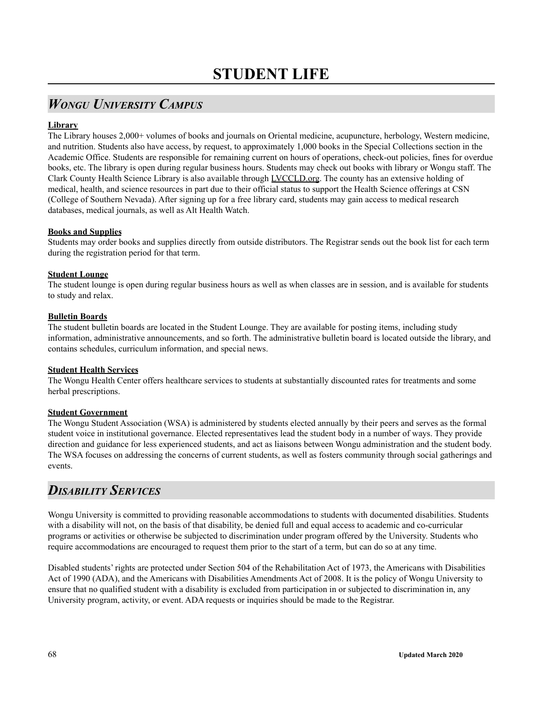# *WONGU UNIVERSITY CAMPUS*

### **Library**

The Library houses 2,000+ volumes of books and journals on Oriental medicine, acupuncture, herbology, Western medicine, and nutrition. Students also have access, by request, to approximately 1,000 books in the Special Collections section in the Academic Office. Students are responsible for remaining current on hours of operations, check-out policies, fines for overdue books, etc. The library is open during regular business hours. Students may check out books with library or Wongu staff. The Clark County Health Science Library is also available through LVCCLD.org. The county has an extensive holding of medical, health, and science resources in part due to their official status to support the Health Science offerings at CSN (College of Southern Nevada). After signing up for a free library card, students may gain access to medical research databases, medical journals, as well as Alt Health Watch.

### **Books and Supplies**

Students may order books and supplies directly from outside distributors. The Registrar sends out the book list for each term during the registration period for that term.

### **Student Lounge**

The student lounge is open during regular business hours as well as when classes are in session, and is available for students to study and relax.

### **Bulletin Boards**

The student bulletin boards are located in the Student Lounge. They are available for posting items, including study information, administrative announcements, and so forth. The administrative bulletin board is located outside the library, and contains schedules, curriculum information, and special news.

### **Student Health Services**

The Wongu Health Center offers healthcare services to students at substantially discounted rates for treatments and some herbal prescriptions.

### **Student Government**

The Wongu Student Association (WSA) is administered by students elected annually by their peers and serves as the formal student voice in institutional governance. Elected representatives lead the student body in a number of ways. They provide direction and guidance for less experienced students, and act as liaisons between Wongu administration and the student body. The WSA focuses on addressing the concerns of current students, as well as fosters community through social gatherings and events.

## *DISABILITY SERVICES*

Wongu University is committed to providing reasonable accommodations to students with documented disabilities. Students with a disability will not, on the basis of that disability, be denied full and equal access to academic and co-curricular programs or activities or otherwise be subjected to discrimination under program offered by the University. Students who require accommodations are encouraged to request them prior to the start of a term, but can do so at any time.

Disabled students' rights are protected under Section 504 of the Rehabilitation Act of 1973, the Americans with Disabilities Act of 1990 (ADA), and the Americans with Disabilities Amendments Act of 2008. It is the policy of Wongu University to ensure that no qualified student with a disability is excluded from participation in or subjected to discrimination in, any University program, activity, or event. ADA requests or inquiries should be made to the Registrar.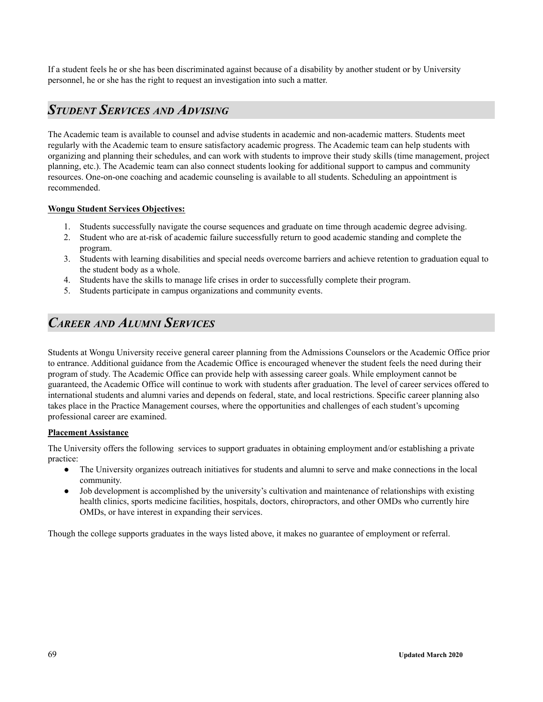If a student feels he or she has been discriminated against because of a disability by another student or by University personnel, he or she has the right to request an investigation into such a matter.

## *STUDENT SERVICES AND ADVISING*

The Academic team is available to counsel and advise students in academic and non-academic matters. Students meet regularly with the Academic team to ensure satisfactory academic progress. The Academic team can help students with organizing and planning their schedules, and can work with students to improve their study skills (time management, project planning, etc.). The Academic team can also connect students looking for additional support to campus and community resources. One-on-one coaching and academic counseling is available to all students. Scheduling an appointment is recommended.

### **Wongu Student Services Objectives:**

- 1. Students successfully navigate the course sequences and graduate on time through academic degree advising.
- 2. Student who are at-risk of academic failure successfully return to good academic standing and complete the program.
- 3. Students with learning disabilities and special needs overcome barriers and achieve retention to graduation equal to the student body as a whole.
- 4. Students have the skills to manage life crises in order to successfully complete their program.
- 5. Students participate in campus organizations and community events.

# *CAREER AND ALUMNI SERVICES*

Students at Wongu University receive general career planning from the Admissions Counselors or the Academic Office prior to entrance. Additional guidance from the Academic Office is encouraged whenever the student feels the need during their program of study. The Academic Office can provide help with assessing career goals. While employment cannot be guaranteed, the Academic Office will continue to work with students after graduation. The level of career services offered to international students and alumni varies and depends on federal, state, and local restrictions. Specific career planning also takes place in the Practice Management courses, where the opportunities and challenges of each student's upcoming professional career are examined.

### **Placement Assistance**

The University offers the following services to support graduates in obtaining employment and/or establishing a private practice:

- The University organizes outreach initiatives for students and alumni to serve and make connections in the local community.
- Job development is accomplished by the university's cultivation and maintenance of relationships with existing health clinics, sports medicine facilities, hospitals, doctors, chiropractors, and other OMDs who currently hire OMDs, or have interest in expanding their services.

Though the college supports graduates in the ways listed above, it makes no guarantee of employment or referral.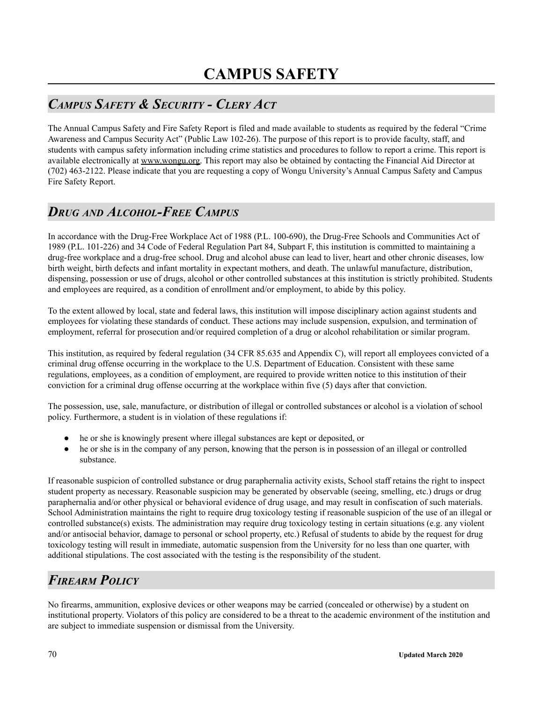# *CAMPUS SAFETY & SECURITY - CLERY ACT*

The Annual Campus Safety and Fire Safety Report is filed and made available to students as required by the federal "Crime Awareness and Campus Security Act" (Public Law 102-26). The purpose of this report is to provide faculty, staff, and students with campus safety information including crime statistics and procedures to follow to report a crime. This report is available electronically at www.wongu.org. This report may also be obtained by contacting the Financial Aid Director at (702) 463-2122. Please indicate that you are requesting a copy of Wongu University's Annual Campus Safety and Campus Fire Safety Report.

# *DRUG AND ALCOHOL-FREE CAMPUS*

In accordance with the Drug-Free Workplace Act of 1988 (P.L. 100-690), the Drug-Free Schools and Communities Act of 1989 (P.L. 101-226) and 34 Code of Federal Regulation Part 84, Subpart F, this institution is committed to maintaining a drug-free workplace and a drug-free school. Drug and alcohol abuse can lead to liver, heart and other chronic diseases, low birth weight, birth defects and infant mortality in expectant mothers, and death. The unlawful manufacture, distribution, dispensing, possession or use of drugs, alcohol or other controlled substances at this institution is strictly prohibited. Students and employees are required, as a condition of enrollment and/or employment, to abide by this policy.

To the extent allowed by local, state and federal laws, this institution will impose disciplinary action against students and employees for violating these standards of conduct. These actions may include suspension, expulsion, and termination of employment, referral for prosecution and/or required completion of a drug or alcohol rehabilitation or similar program.

This institution, as required by federal regulation (34 CFR 85.635 and Appendix C), will report all employees convicted of a criminal drug offense occurring in the workplace to the U.S. Department of Education. Consistent with these same regulations, employees, as a condition of employment, are required to provide written notice to this institution of their conviction for a criminal drug offense occurring at the workplace within five (5) days after that conviction.

The possession, use, sale, manufacture, or distribution of illegal or controlled substances or alcohol is a violation of school policy. Furthermore, a student is in violation of these regulations if:

- he or she is knowingly present where illegal substances are kept or deposited, or
- he or she is in the company of any person, knowing that the person is in possession of an illegal or controlled substance.

If reasonable suspicion of controlled substance or drug paraphernalia activity exists, School staff retains the right to inspect student property as necessary. Reasonable suspicion may be generated by observable (seeing, smelling, etc.) drugs or drug paraphernalia and/or other physical or behavioral evidence of drug usage, and may result in confiscation of such materials. School Administration maintains the right to require drug toxicology testing if reasonable suspicion of the use of an illegal or controlled substance(s) exists. The administration may require drug toxicology testing in certain situations (e.g. any violent and/or antisocial behavior, damage to personal or school property, etc.) Refusal of students to abide by the request for drug toxicology testing will result in immediate, automatic suspension from the University for no less than one quarter, with additional stipulations. The cost associated with the testing is the responsibility of the student.

# *FIREARM POLICY*

No firearms, ammunition, explosive devices or other weapons may be carried (concealed or otherwise) by a student on institutional property. Violators of this policy are considered to be a threat to the academic environment of the institution and are subject to immediate suspension or dismissal from the University.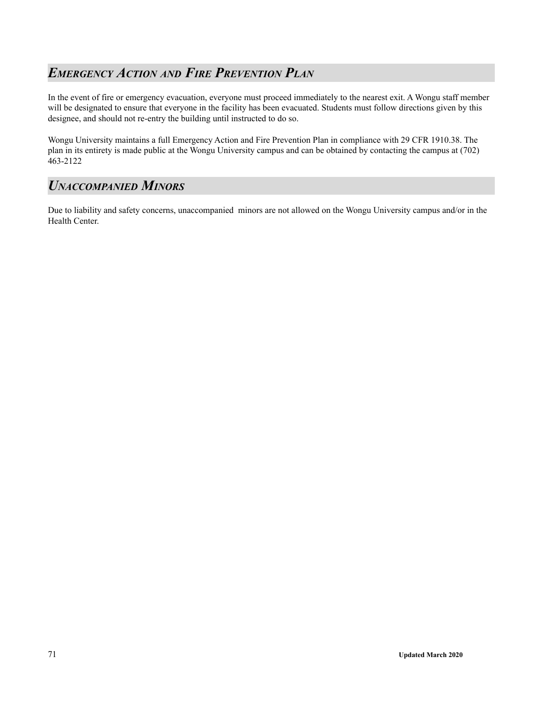# *EMERGENCY ACTION AND FIRE PREVENTION PLAN*

In the event of fire or emergency evacuation, everyone must proceed immediately to the nearest exit. A Wongu staff member will be designated to ensure that everyone in the facility has been evacuated. Students must follow directions given by this designee, and should not re-entry the building until instructed to do so.

Wongu University maintains a full Emergency Action and Fire Prevention Plan in compliance with 29 CFR 1910.38. The plan in its entirety is made public at the Wongu University campus and can be obtained by contacting the campus at (702) 463-2122

# *UNACCOMPANIED MINORS*

Due to liability and safety concerns, unaccompanied minors are not allowed on the Wongu University campus and/or in the Health Center.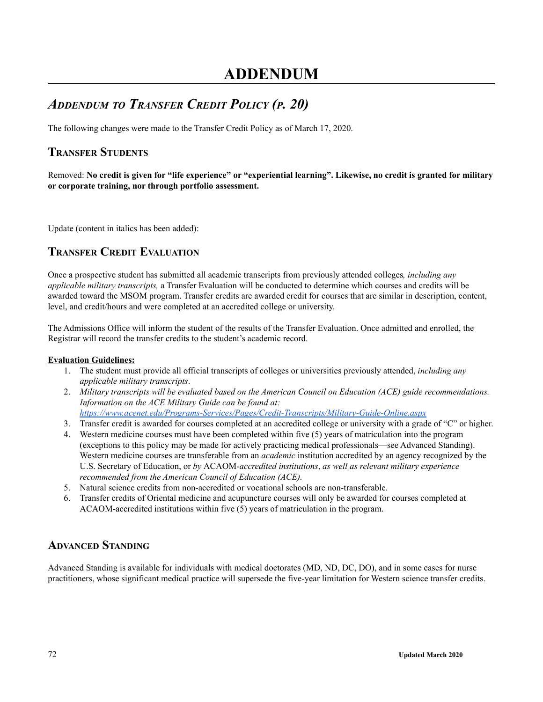# *ADDENDUM TO TRANSFER CREDIT POLICY (P. 20)*

The following changes were made to the Transfer Credit Policy as of March 17, 2020.

## **TRANSFER STUDENTS**

Removed: No credit is given for "life experience" or "experiential learning". Likewise, no credit is granted for military **or corporate training, nor through portfolio assessment.**

Update (content in italics has been added):

## **TRANSFER CREDIT EVALUATION**

Once a prospective student has submitted all academic transcripts from previously attended colleges*, including any applicable military transcripts,* a Transfer Evaluation will be conducted to determine which courses and credits will be awarded toward the MSOM program. Transfer credits are awarded credit for courses that are similar in description, content, level, and credit/hours and were completed at an accredited college or university.

The Admissions Office will inform the student of the results of the Transfer Evaluation. Once admitted and enrolled, the Registrar will record the transfer credits to the student's academic record.

### **Evaluation Guidelines:**

- 1. The student must provide all official transcripts of colleges or universities previously attended, *including any applicable military transcripts*.
- 2. *Military transcripts will be evaluated based on the American Council on Education (ACE) guide recommendations. Information on the ACE Military Guide can be found at[:](https://www.acenet.edu/Programs-Services/Pages/Credit-Transcripts/Military-Guide-Online.aspx) <https://www.acenet.edu/Programs-Services/Pages/Credit-Transcripts/Military-Guide-Online.aspx>*
- 3. Transfer credit is awarded for courses completed at an accredited college or university with a grade of "C" or higher.
- 4. Western medicine courses must have been completed within five (5) years of matriculation into the program (exceptions to this policy may be made for actively practicing medical professionals—see Advanced Standing). Western medicine courses are transferable from an *academic* institution accredited by an agency recognized by the U.S. Secretary of Education, or *by* ACAOM-*accredited institutions*, *as well as relevant military experience recommended from the American Council of Education (ACE).*
- 5. Natural science credits from non-accredited or vocational schools are non-transferable.
- 6. Transfer credits of Oriental medicine and acupuncture courses will only be awarded for courses completed at ACAOM-accredited institutions within five (5) years of matriculation in the program.

## **ADVANCED STANDING**

Advanced Standing is available for individuals with medical doctorates (MD, ND, DC, DO), and in some cases for nurse practitioners, whose significant medical practice will supersede the five-year limitation for Western science transfer credits.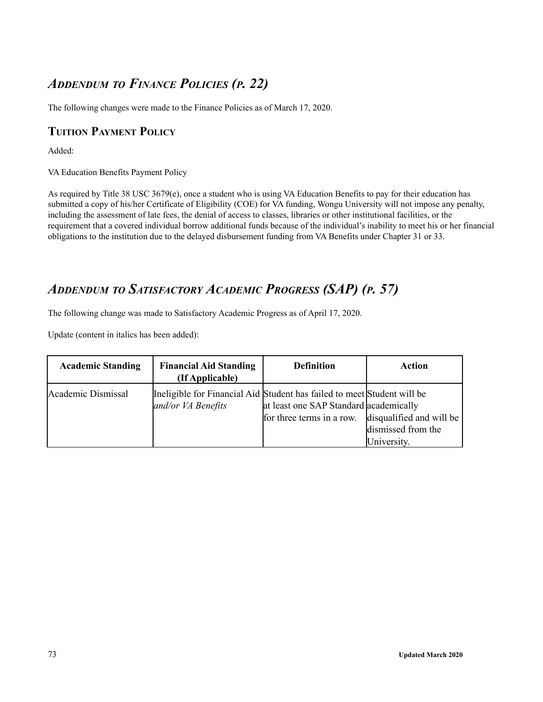## *ADDENDUM TO FINANCE POLICIES (P. 22)*

The following changes were made to the Finance Policies as of March 17, 2020.

#### **TUITION PAYMENT POLICY**

Added:

VA Education Benefits Payment Policy

As required by Title 38 USC 3679(e), once a student who is using VA Education Benefits to pay for their education has submitted a copy of his/her Certificate of Eligibility (COE) for VA funding, Wongu University will not impose any penalty, including the assessment of late fees, the denial of access to classes, libraries or other institutional facilities, or the requirement that a covered individual borrow additional funds because of the individual's inability to meet his or her financial obligations to the institution due to the delayed disbursement funding from VA Benefits under Chapter 31 or 33.

## *ADDENDUM TO SATISFACTORY ACADEMIC PROGRESS (SAP) (P. 57)*

The following change was made to Satisfactory Academic Progress as of April 17, 2020.

Update (content in italics has been added):

| <b>Academic Standing</b> | <b>Financial Aid Standing</b><br>(If Applicable)                                              | <b>Definition</b>                                                   | <b>Action</b>                                                 |
|--------------------------|-----------------------------------------------------------------------------------------------|---------------------------------------------------------------------|---------------------------------------------------------------|
| Academic Dismissal       | Ineligible for Financial Aid Student has failed to meet Student will be<br>and/or VA Benefits | at least one SAP Standard academically<br>for three terms in a row. | disqualified and will be<br>dismissed from the<br>University. |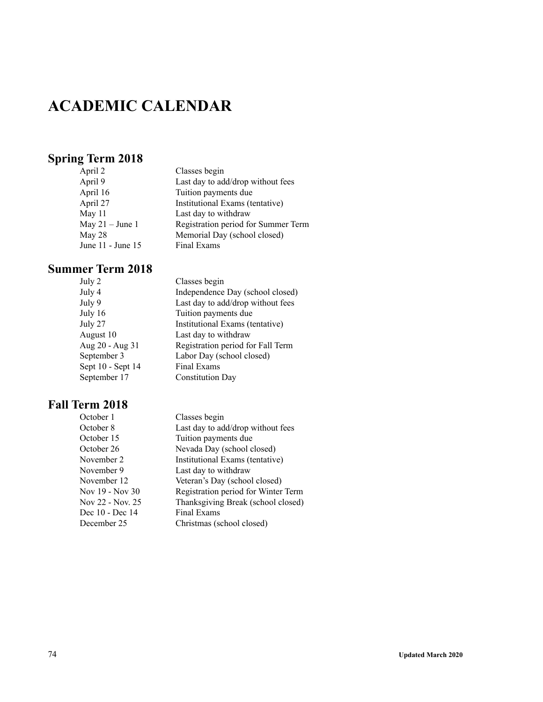# **ACADEMIC CALENDAR**

## **Spring Term 2018**

| April 2           | Classes begin                       |
|-------------------|-------------------------------------|
| April 9           | Last day to add/drop without fees   |
| April 16          | Tuition payments due                |
| April 27          | Institutional Exams (tentative)     |
| May 11            | Last day to withdraw                |
| May $21 -$ June 1 | Registration period for Summer Term |
| May 28            | Memorial Day (school closed)        |
| June 11 - June 15 | Final Exams                         |
|                   |                                     |

### **Summer Term 2018**

| July 2            | Classes begin                     |
|-------------------|-----------------------------------|
| July 4            | Independence Day (school closed)  |
| July 9            | Last day to add/drop without fees |
| July 16           | Tuition payments due              |
| July 27           | Institutional Exams (tentative)   |
| August 10         | Last day to withdraw              |
| Aug 20 - Aug 31   | Registration period for Fall Term |
| September 3       | Labor Day (school closed)         |
| Sept 10 - Sept 14 | Final Exams                       |
| September 17      | <b>Constitution Day</b>           |
|                   |                                   |

| October 1        | Classes begin                       |
|------------------|-------------------------------------|
| October 8        | Last day to add/drop without fees   |
| October 15       | Tuition payments due                |
| October 26       | Nevada Day (school closed)          |
| November 2       | Institutional Exams (tentative)     |
| November 9       | Last day to withdraw                |
| November 12      | Veteran's Day (school closed)       |
| Nov 19 - Nov 30  | Registration period for Winter Term |
| Nov 22 - Nov. 25 | Thanksgiving Break (school closed)  |
| Dec 10 - Dec 14  | Final Exams                         |
| December 25      | Christmas (school closed)           |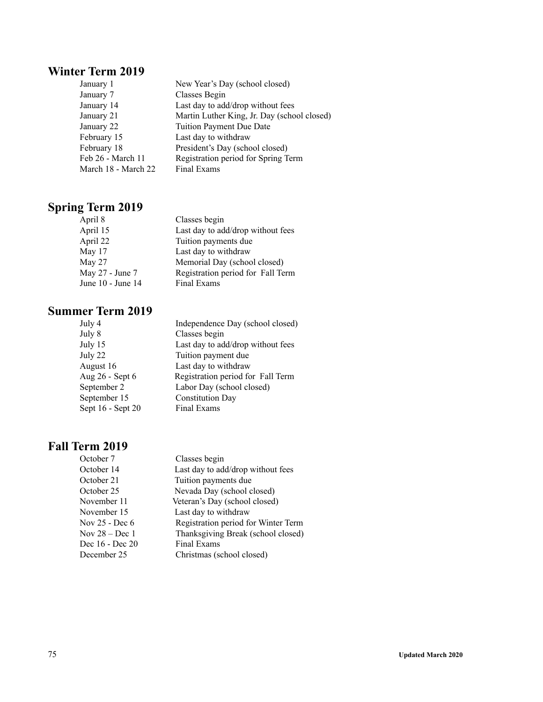### **Winter Term 2019**

| January 1           | New Year's Day (school closed)              |
|---------------------|---------------------------------------------|
| January 7           | Classes Begin                               |
| January 14          | Last day to add/drop without fees           |
| January 21          | Martin Luther King, Jr. Day (school closed) |
| January 22          | Tuition Payment Due Date                    |
| February 15         | Last day to withdraw                        |
| February 18         | President's Day (school closed)             |
| Feb 26 - March 11   | Registration period for Spring Term         |
| March 18 - March 22 | Final Exams                                 |

## **Spring Term 2019**

| April 8           | Classes begin                     |
|-------------------|-----------------------------------|
| April 15          | Last day to add/drop without fees |
| April 22          | Tuition payments due              |
| May 17            | Last day to withdraw              |
| May 27            | Memorial Day (school closed)      |
| May 27 - June 7   | Registration period for Fall Term |
| June 10 - June 14 | Final Exams                       |
|                   |                                   |

### **Summer Term 2019**

| July 4            | Independence Day (school closed)  |
|-------------------|-----------------------------------|
| July 8            | Classes begin                     |
| July 15           | Last day to add/drop without fees |
| July 22           | Tuition payment due               |
| August 16         | Last day to withdraw              |
| Aug 26 - Sept 6   | Registration period for Fall Term |
| September 2       | Labor Day (school closed)         |
| September 15      | <b>Constitution Day</b>           |
| Sept 16 - Sept 20 | Final Exams                       |
|                   |                                   |

| Classes begin                       |
|-------------------------------------|
| Last day to add/drop without fees   |
| Tuition payments due                |
| Nevada Day (school closed)          |
| Veteran's Day (school closed)       |
| Last day to withdraw                |
| Registration period for Winter Term |
| Thanksgiving Break (school closed)  |
| Final Exams                         |
| Christmas (school closed)           |
|                                     |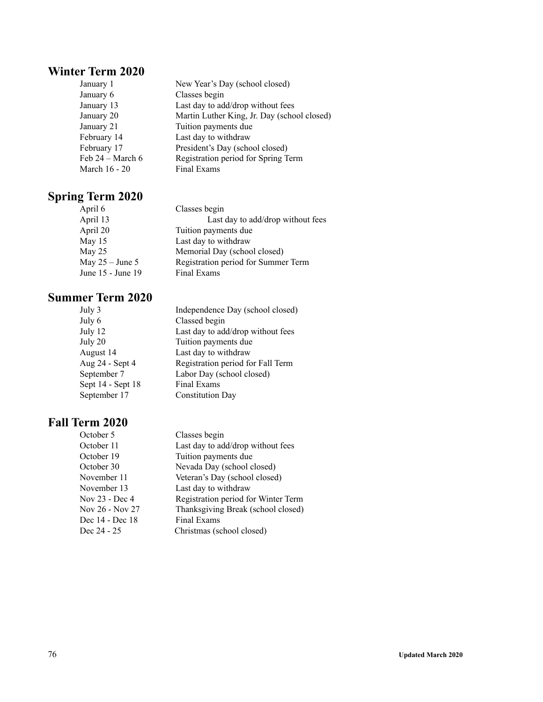### **Winter Term 2020**

| New Year's Day (school closed)              |
|---------------------------------------------|
| Classes begin                               |
| Last day to add/drop without fees           |
| Martin Luther King, Jr. Day (school closed) |
| Tuition payments due                        |
| Last day to withdraw                        |
| President's Day (school closed)             |
| Registration period for Spring Term         |
| Final Exams                                 |
|                                             |

# **Spring Term 2020**

| April 6           | Classes begin                       |
|-------------------|-------------------------------------|
| April 13          | Last day to add/drop without fees   |
| April 20          | Tuition payments due                |
| May 15            | Last day to withdraw                |
| May $25$          | Memorial Day (school closed)        |
| May $25 -$ June 5 | Registration period for Summer Term |
| June 15 - June 19 | Final Exams                         |

#### **Summer Term 2020**

| Independence Day (school closed)  |
|-----------------------------------|
| Classed begin                     |
| Last day to add/drop without fees |
| Tuition payments due              |
| Last day to withdraw              |
| Registration period for Fall Term |
| Labor Day (school closed)         |
| Final Exams                       |
| <b>Constitution Day</b>           |
|                                   |

| October 5       | Classes begin                       |
|-----------------|-------------------------------------|
| October 11      | Last day to add/drop without fees   |
| October 19      | Tuition payments due                |
| October 30      | Nevada Day (school closed)          |
| November 11     | Veteran's Day (school closed)       |
| November 13     | Last day to withdraw                |
| Nov 23 - Dec 4  | Registration period for Winter Term |
| Nov 26 - Nov 27 | Thanksgiving Break (school closed)  |
| Dec 14 - Dec 18 | Final Exams                         |
| Dec 24 - 25     | Christmas (school closed)           |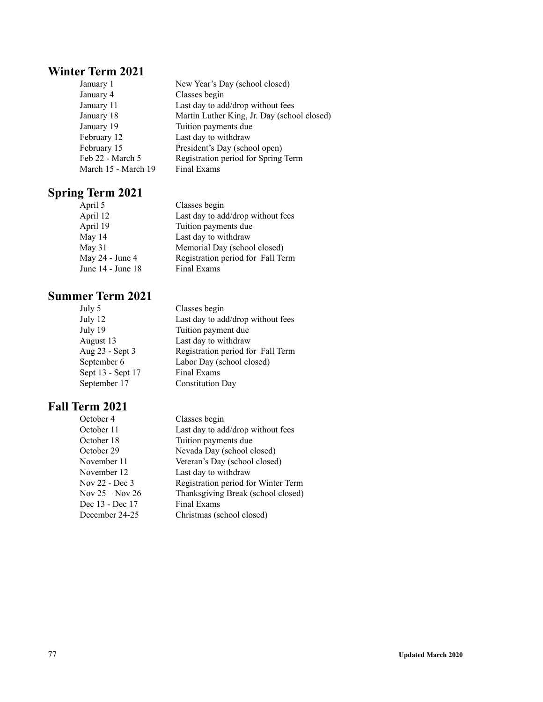### **Winter Term 2021**

| January 1           | New Year's Day (school closed)              |
|---------------------|---------------------------------------------|
| January 4           | Classes begin                               |
| January 11          | Last day to add/drop without fees           |
| January 18          | Martin Luther King, Jr. Day (school closed) |
| January 19          | Tuition payments due                        |
| February 12         | Last day to withdraw                        |
| February 15         | President's Day (school open)               |
| Feb 22 - March 5    | Registration period for Spring Term         |
| March 15 - March 19 | Final Exams                                 |

## **Spring Term 2021**

| April 5           | Classes begin                     |
|-------------------|-----------------------------------|
| April 12          | Last day to add/drop without fees |
| April 19          | Tuition payments due              |
| May 14            | Last day to withdraw              |
| May 31            | Memorial Day (school closed)      |
| May 24 - June 4   | Registration period for Fall Term |
| June 14 - June 18 | Final Exams                       |

### **Summer Term 2021**

| July 5            | Classes begin                     |
|-------------------|-----------------------------------|
| July 12           | Last day to add/drop without fees |
| July 19           | Tuition payment due               |
| August 13         | Last day to withdraw              |
| Aug 23 - Sept 3   | Registration period for Fall Term |
| September 6       | Labor Day (school closed)         |
| Sept 13 - Sept 17 | Final Exams                       |
| September 17      | <b>Constitution Day</b>           |
|                   |                                   |

| Registration period for Winter Term |
|-------------------------------------|
| Thanksgiving Break (school closed)  |
|                                     |
|                                     |
| Last day to add/drop without fees   |